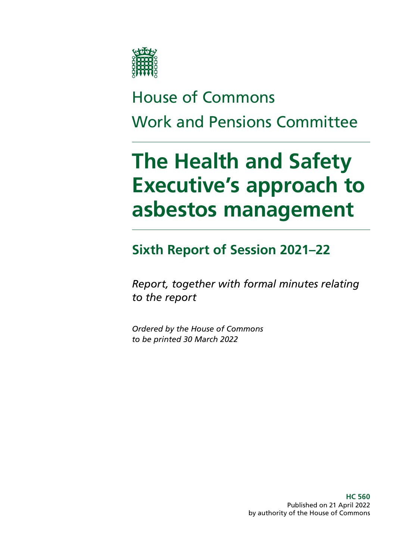

# House of Commons Work and Pensions Committee

# **The Health and Safety Executive's approach to asbestos management**

# **Sixth Report of Session 2021–22**

*Report, together with formal minutes relating to the report*

*Ordered by the House of Commons to be printed 30 March 2022*

> **HC 560** Published on 21 April 2022 by authority of the House of Commons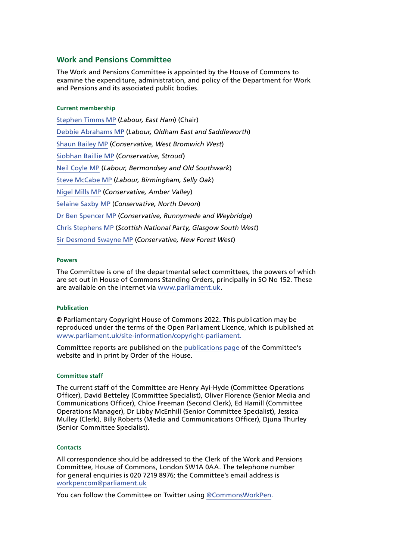#### **Work and Pensions Committee**

The Work and Pensions Committee is appointed by the House of Commons to examine the expenditure, administration, and policy of the Department for Work and Pensions and its associated public bodies.

#### **Current membership**

[Stephen Timms MP](https://members.parliament.uk/member/163/contact) (*Labour, East Ham*) (Chair) [Debbie Abrahams MP](https://members.parliament.uk/member/4212/contact) (*Labour, Oldham East and Saddleworth*) [Shaun Bailey MP](https://members.parliament.uk/member/4757/contact) (*Conservative, West Bromwich West*) [Siobhan Baillie MP](https://members.parliament.uk/member/4847/contact) (*Conservative, Stroud*) [Neil Coyle MP](https://members.parliament.uk/member/4368/contact) (*Labour, Bermondsey and Old Southwark*) [Steve McCabe MP](https://www.parliament.uk/biographies/commons/steve-mccabe/298) (*Labour, Birmingham, Selly Oak*) [Nigel Mills MP](https://www.parliament.uk/biographies/commons/nigel-mills/4136) (*Conservative, Amber Valley*) [Selaine Saxby MP](https://members.parliament.uk/member/4863/contact) (*Conservative, North Devon*) [Dr Ben Spencer MP](https://members.parliament.uk/member/4785/contact) (*Conservative, Runnymede and Weybridge*) [Chris Stephens MP](https://members.parliament.uk/member/4463/contact) (*Scottish National Party, Glasgow South West*) [Sir Desmond Swayne MP](https://members.parliament.uk/member/55/contact) (*Conservative, New Forest West*)

#### **Powers**

The Committee is one of the departmental select committees, the powers of which are set out in House of Commons Standing Orders, principally in SO No 152. These are available on the internet via [www.parliament.uk.](https://www.parliament.uk/)

#### **Publication**

© Parliamentary Copyright House of Commons 2022. This publication may be reproduced under the terms of the Open Parliament Licence, which is published at [www.parliament.uk/site-information/copyright-parliament.](http://www.parliament.uk/site-information/copyright-parliament)

Committee reports are published on the [publications page](https://committees.parliament.uk/work/953/children-in-poverty-measurement-and-targets/publications/) of the Committee's website and in print by Order of the House.

#### **Committee staff**

The current staff of the Committee are Henry Ayi-Hyde (Committee Operations Officer), David Betteley (Committee Specialist), Oliver Florence (Senior Media and Communications Officer), Chloe Freeman (Second Clerk), Ed Hamill (Committee Operations Manager), Dr Libby McEnhill (Senior Committee Specialist), Jessica Mulley (Clerk), Billy Roberts (Media and Communications Officer), Djuna Thurley (Senior Committee Specialist).

#### **Contacts**

All correspondence should be addressed to the Clerk of the Work and Pensions Committee, House of Commons, London SW1A 0AA. The telephone number for general enquiries is 020 7219 8976; the Committee's email address is [workpencom@parliament.uk](mailto:workpencom%40parliament.uk?subject=)

You can follow the Committee on Twitter using [@CommonsWorkPen](https://twitter.com/CommonsWorkPen).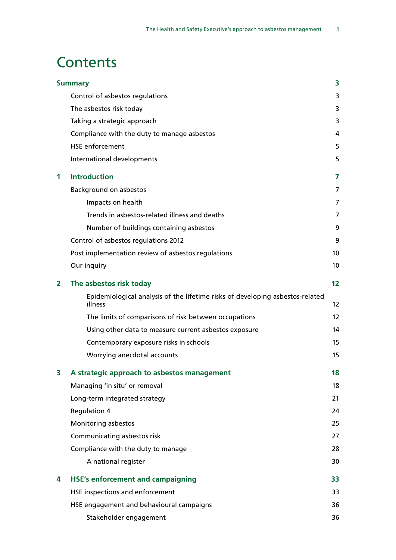# **Contents**

|   | <b>Summary</b>                                                                           | 3               |
|---|------------------------------------------------------------------------------------------|-----------------|
|   | Control of asbestos regulations                                                          | 3               |
|   | The asbestos risk today                                                                  | 3               |
|   | Taking a strategic approach                                                              | 3               |
|   | Compliance with the duty to manage asbestos                                              | 4               |
|   | <b>HSE</b> enforcement                                                                   | 5               |
|   | International developments                                                               | 5               |
| 1 | <b>Introduction</b>                                                                      | 7               |
|   | <b>Background on asbestos</b>                                                            | 7               |
|   | Impacts on health                                                                        | $\overline{7}$  |
|   | Trends in asbestos-related illness and deaths                                            | 7               |
|   | Number of buildings containing asbestos                                                  | 9               |
|   | Control of asbestos regulations 2012                                                     | 9               |
|   | Post implementation review of asbestos regulations                                       | 10              |
|   | Our inquiry                                                                              | 10 <sup>°</sup> |
| 2 | The asbestos risk today                                                                  | 12              |
|   | Epidemiological analysis of the lifetime risks of developing asbestos-related<br>illness | 12              |
|   | The limits of comparisons of risk between occupations                                    | 12              |
|   | Using other data to measure current asbestos exposure                                    | 14              |
|   | Contemporary exposure risks in schools                                                   | 15              |
|   | Worrying anecdotal accounts                                                              | 15              |
| З | A strategic approach to asbestos management                                              | 18              |
|   | Managing 'in situ' or removal                                                            | 18              |
|   | Long-term integrated strategy                                                            | 21              |
|   | <b>Regulation 4</b>                                                                      | 24              |
|   | Monitoring asbestos                                                                      | 25              |
|   | Communicating asbestos risk                                                              | 27              |
|   | Compliance with the duty to manage                                                       | 28              |
|   | A national register                                                                      | 30              |
| 4 | <b>HSE's enforcement and campaigning</b>                                                 | 33              |
|   | HSE inspections and enforcement                                                          | 33              |
|   | HSE engagement and behavioural campaigns                                                 | 36              |
|   | Stakeholder engagement                                                                   | 36              |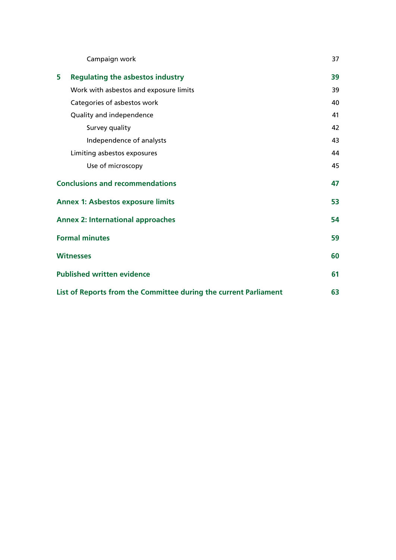| Campaign work                                                    | 37 |
|------------------------------------------------------------------|----|
| 5<br><b>Regulating the asbestos industry</b>                     | 39 |
| Work with asbestos and exposure limits                           | 39 |
| Categories of asbestos work                                      | 40 |
| Quality and independence                                         | 41 |
| Survey quality                                                   | 42 |
| Independence of analysts                                         | 43 |
| Limiting asbestos exposures                                      | 44 |
| Use of microscopy                                                | 45 |
| <b>Conclusions and recommendations</b>                           | 47 |
| <b>Annex 1: Asbestos exposure limits</b>                         | 53 |
| <b>Annex 2: International approaches</b>                         | 54 |
| <b>Formal minutes</b>                                            | 59 |
| <b>Witnesses</b>                                                 | 60 |
| <b>Published written evidence</b>                                | 61 |
| List of Reports from the Committee during the current Parliament | 63 |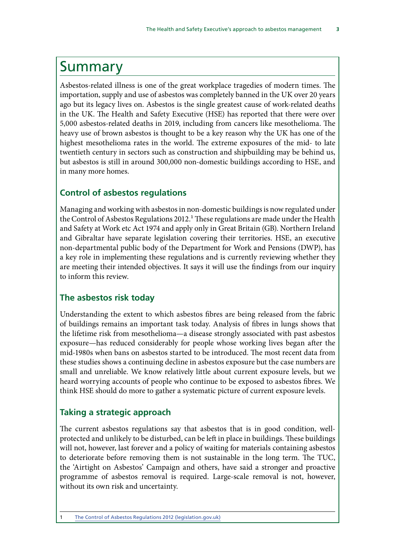# <span id="page-4-0"></span>Summary

Asbestos-related illness is one of the great workplace tragedies of modern times. The importation, supply and use of asbestos was completely banned in the UK over 20 years ago but its legacy lives on. Asbestos is the single greatest cause of work-related deaths in the UK. The Health and Safety Executive (HSE) has reported that there were over 5,000 asbestos-related deaths in 2019, including from cancers like mesothelioma. The heavy use of brown asbestos is thought to be a key reason why the UK has one of the highest mesothelioma rates in the world. The extreme exposures of the mid- to late twentieth century in sectors such as construction and shipbuilding may be behind us, but asbestos is still in around 300,000 non-domestic buildings according to HSE, and in many more homes.

## **Control of asbestos regulations**

Managing and working with asbestos in non-domestic buildings is now regulated under the Control of Asbestos Regulations 2012.<sup>1</sup> These regulations are made under the Health and Safety at Work etc Act 1974 and apply only in Great Britain (GB). Northern Ireland and Gibraltar have separate legislation covering their territories. HSE, an executive non-departmental public body of the Department for Work and Pensions (DWP), has a key role in implementing these regulations and is currently reviewing whether they are meeting their intended objectives. It says it will use the findings from our inquiry to inform this review.

## **The asbestos risk today**

Understanding the extent to which asbestos fibres are being released from the fabric of buildings remains an important task today. Analysis of fibres in lungs shows that the lifetime risk from mesothelioma—a disease strongly associated with past asbestos exposure—has reduced considerably for people whose working lives began after the mid-1980s when bans on asbestos started to be introduced. The most recent data from these studies shows a continuing decline in asbestos exposure but the case numbers are small and unreliable. We know relatively little about current exposure levels, but we heard worrying accounts of people who continue to be exposed to asbestos fibres. We think HSE should do more to gather a systematic picture of current exposure levels.

#### **Taking a strategic approach**

The current asbestos regulations say that asbestos that is in good condition, wellprotected and unlikely to be disturbed, can be left in place in buildings. These buildings will not, however, last forever and a policy of waiting for materials containing asbestos to deteriorate before removing them is not sustainable in the long term. The TUC, the 'Airtight on Asbestos' Campaign and others, have said a stronger and proactive programme of asbestos removal is required. Large-scale removal is not, however, without its own risk and uncertainty.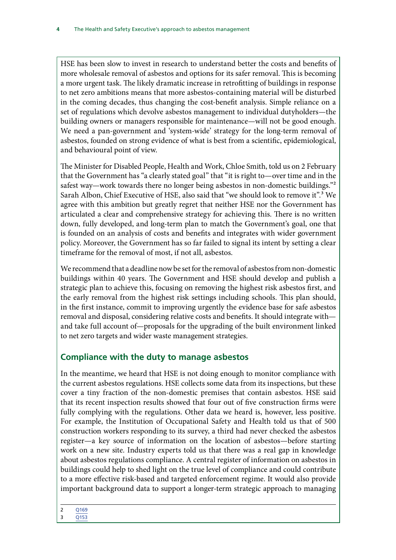<span id="page-5-0"></span>HSE has been slow to invest in research to understand better the costs and benefits of more wholesale removal of asbestos and options for its safer removal. This is becoming a more urgent task. The likely dramatic increase in retrofitting of buildings in response to net zero ambitions means that more asbestos-containing material will be disturbed in the coming decades, thus changing the cost-benefit analysis. Simple reliance on a set of regulations which devolve asbestos management to individual dutyholders—the building owners or managers responsible for maintenance—will not be good enough. We need a pan-government and 'system-wide' strategy for the long-term removal of asbestos, founded on strong evidence of what is best from a scientific, epidemiological, and behavioural point of view.

The Minister for Disabled People, Health and Work, Chloe Smith, told us on 2 February that the Government has "a clearly stated goal" that "it is right to—over time and in the safest way—work towards there no longer being asbestos in non-domestic buildings."2 Sarah Albon, Chief Executive of HSE, also said that "we should look to remove it".<sup>3</sup> We agree with this ambition but greatly regret that neither HSE nor the Government has articulated a clear and comprehensive strategy for achieving this. There is no written down, fully developed, and long-term plan to match the Government's goal, one that is founded on an analysis of costs and benefits and integrates with wider government policy. Moreover, the Government has so far failed to signal its intent by setting a clear timeframe for the removal of most, if not all, asbestos.

We recommend that a deadline now be set for the removal of asbestos from non-domestic buildings within 40 years. The Government and HSE should develop and publish a strategic plan to achieve this, focusing on removing the highest risk asbestos first, and the early removal from the highest risk settings including schools. This plan should, in the first instance, commit to improving urgently the evidence base for safe asbestos removal and disposal, considering relative costs and benefits. It should integrate with and take full account of—proposals for the upgrading of the built environment linked to net zero targets and wider waste management strategies.

# **Compliance with the duty to manage asbestos**

In the meantime, we heard that HSE is not doing enough to monitor compliance with the current asbestos regulations. HSE collects some data from its inspections, but these cover a tiny fraction of the non-domestic premises that contain asbestos. HSE said that its recent inspection results showed that four out of five construction firms were fully complying with the regulations. Other data we heard is, however, less positive. For example, the Institution of Occupational Safety and Health told us that of 500 construction workers responding to its survey, a third had never checked the asbestos register—a key source of information on the location of asbestos—before starting work on a new site. Industry experts told us that there was a real gap in knowledge about asbestos regulations compliance. A central register of information on asbestos in buildings could help to shed light on the true level of compliance and could contribute to a more effective risk-based and targeted enforcement regime. It would also provide important background data to support a longer-term strategic approach to managing

2 [Q169](https://committees.parliament.uk/oralevidence/3431/pdf/) 3 [Q153](https://committees.parliament.uk/oralevidence/9780/html/)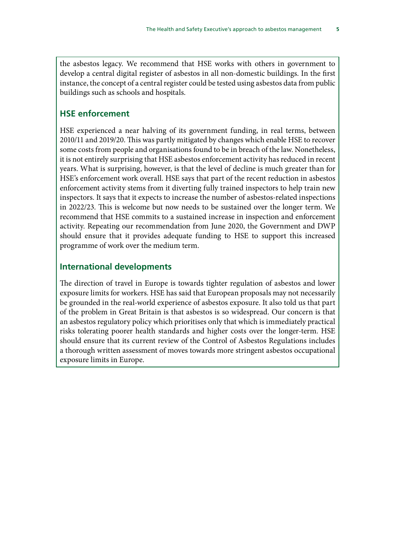<span id="page-6-0"></span>the asbestos legacy. We recommend that HSE works with others in government to develop a central digital register of asbestos in all non-domestic buildings. In the first instance, the concept of a central register could be tested using asbestos data from public buildings such as schools and hospitals.

## **HSE enforcement**

HSE experienced a near halving of its government funding, in real terms, between 2010/11 and 2019/20. This was partly mitigated by changes which enable HSE to recover some costs from people and organisations found to be in breach of the law. Nonetheless, it is not entirely surprising that HSE asbestos enforcement activity has reduced in recent years. What is surprising, however, is that the level of decline is much greater than for HSE's enforcement work overall. HSE says that part of the recent reduction in asbestos enforcement activity stems from it diverting fully trained inspectors to help train new inspectors. It says that it expects to increase the number of asbestos-related inspections in 2022/23. This is welcome but now needs to be sustained over the longer term. We recommend that HSE commits to a sustained increase in inspection and enforcement activity. Repeating our recommendation from June 2020, the Government and DWP should ensure that it provides adequate funding to HSE to support this increased programme of work over the medium term.

## **International developments**

The direction of travel in Europe is towards tighter regulation of asbestos and lower exposure limits for workers. HSE has said that European proposals may not necessarily be grounded in the real-world experience of asbestos exposure. It also told us that part of the problem in Great Britain is that asbestos is so widespread. Our concern is that an asbestos regulatory policy which prioritises only that which is immediately practical risks tolerating poorer health standards and higher costs over the longer-term. HSE should ensure that its current review of the Control of Asbestos Regulations includes a thorough written assessment of moves towards more stringent asbestos occupational exposure limits in Europe.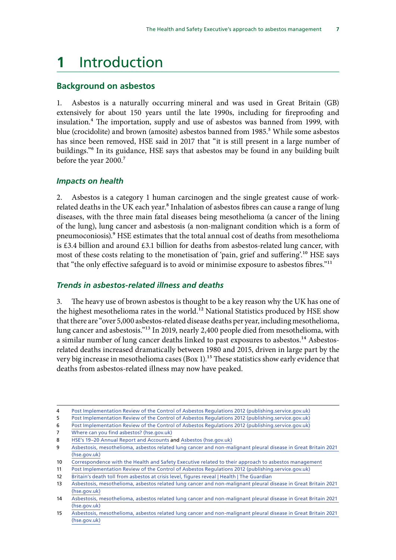# <span id="page-7-0"></span>**1** Introduction

#### **Background on asbestos**

1. Asbestos is a naturally occurring mineral and was used in Great Britain (GB) extensively for about 150 years until the late 1990s, including for fireproofing and insulation.4 The importation, supply and use of asbestos was banned from 1999, with blue (crocidolite) and brown (amosite) asbestos banned from 1985.<sup>5</sup> While some asbestos has since been removed, HSE said in 2017 that "it is still present in a large number of buildings."6 In its guidance, HSE says that asbestos may be found in any building built before the year 2000.7

#### *Impacts on health*

2. Asbestos is a category 1 human carcinogen and the single greatest cause of workrelated deaths in the UK each year.<sup>8</sup> Inhalation of asbestos fibres can cause a range of lung diseases, with the three main fatal diseases being mesothelioma (a cancer of the lining of the lung), lung cancer and asbestosis (a non-malignant condition which is a form of pneumoconiosis).9 HSE estimates that the total annual cost of deaths from mesothelioma is £3.4 billion and around £3.1 billion for deaths from asbestos-related lung cancer, with most of these costs relating to the monetisation of 'pain, grief and suffering'.<sup>10</sup> HSE says that "the only effective safeguard is to avoid or minimise exposure to asbestos fibres."11

#### *Trends in asbestos-related illness and deaths*

3. The heavy use of brown asbestos is thought to be a key reason why the UK has one of the highest mesothelioma rates in the world.<sup>12</sup> National Statistics produced by HSE show that there are "over 5,000 asbestos-related disease deaths per year, including mesothelioma, lung cancer and asbestosis."13 In 2019, nearly 2,400 people died from mesothelioma, with a similar number of lung cancer deaths linked to past exposures to asbestos.<sup>14</sup> Asbestosrelated deaths increased dramatically between 1980 and 2015, driven in large part by the very big increase in mesothelioma cases (Box 1).<sup>15</sup> These statistics show early evidence that deaths from asbestos-related illness may now have peaked.

6 [Post Implementation Review of the Control of Asbestos Regulations 2012 \(publishing.service.gov.uk\)](https://assets.publishing.service.gov.uk/government/uploads/system/uploads/attachment_data/file/598574/post-implementation-review-of-the-control-of-asbestos-regulations-2012.pdf)

<sup>4</sup> [Post Implementation Review of the Control of Asbestos Regulations 2012 \(publishing.service.gov.uk\)](https://assets.publishing.service.gov.uk/government/uploads/system/uploads/attachment_data/file/598574/post-implementation-review-of-the-control-of-asbestos-regulations-2012.pdf)

<sup>5</sup> [Post Implementation Review of the Control of Asbestos Regulations 2012 \(publishing.service.gov.uk\)](https://assets.publishing.service.gov.uk/government/uploads/system/uploads/attachment_data/file/598574/post-implementation-review-of-the-control-of-asbestos-regulations-2012.pdf)

<sup>7</sup> Where can you find asbestos? (hse.gov.uk)

<sup>8</sup> [HSE's 19–20 Annual Report and Accounts](https://www.hse.gov.uk/aboutus/reports/ara-2019-20.pdf?new) and [Asbestos \(hse.gov.uk\)](https://www.hse.gov.uk/toolbox/harmful/asbestos.htm)

<sup>9</sup> [Asbestosis, mesothelioma, asbestos related lung cancer and non-malignant pleural disease in Great Britain 2021](https://www.hse.gov.uk/statistics/causdis/asbestos-related-disease.pdf)  [\(hse.gov.uk\)](https://www.hse.gov.uk/statistics/causdis/asbestos-related-disease.pdf)

<sup>10</sup> [Correspondence with the Health and Safety Executive related to their approach to asbestos management](https://committees.parliament.uk/publications/9112/documents/159424/default/)

<sup>11</sup> [Post Implementation Review of the Control of Asbestos Regulations 2012 \(publishing.service.gov.uk\)](https://assets.publishing.service.gov.uk/government/uploads/system/uploads/attachment_data/file/598574/post-implementation-review-of-the-control-of-asbestos-regulations-2012.pdf)

<sup>12</sup> [Britain's death toll from asbestos at crisis level, figures reveal | Health | The Guardian](https://www.theguardian.com/society/2019/jul/07/britains-death-toll-from-asbestos-at-crisis-level-figures-reveal)

<sup>13</sup> [Asbestosis, mesothelioma, asbestos related lung cancer and non-malignant pleural disease in Great Britain 2021](https://www.hse.gov.uk/statistics/causdis/asbestos-related-disease.pdf)  [\(hse.gov.uk\)](https://www.hse.gov.uk/statistics/causdis/asbestos-related-disease.pdf)

<sup>14</sup> [Asbestosis, mesothelioma, asbestos related lung cancer and non-malignant pleural disease in Great Britain 2021](https://www.hse.gov.uk/statistics/causdis/asbestos-related-disease.pdf)  [\(hse.gov.uk\)](https://www.hse.gov.uk/statistics/causdis/asbestos-related-disease.pdf)

<sup>15</sup> [Asbestosis, mesothelioma, asbestos related lung cancer and non-malignant pleural disease in Great Britain 2021](https://www.hse.gov.uk/statistics/causdis/asbestos-related-disease.pdf)  [\(hse.gov.uk\)](https://www.hse.gov.uk/statistics/causdis/asbestos-related-disease.pdf)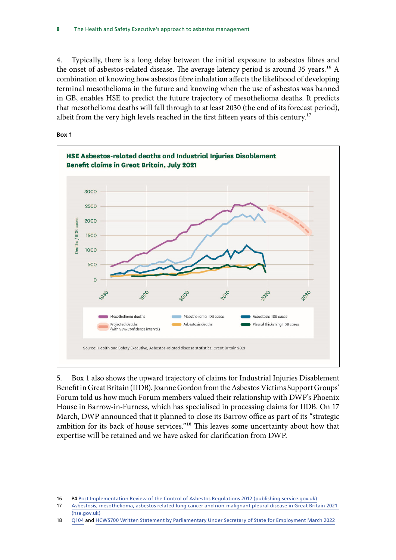4. Typically, there is a long delay between the initial exposure to asbestos fibres and the onset of asbestos-related disease. The average latency period is around 35 years.<sup>16</sup> A combination of knowing how asbestos fibre inhalation affects the likelihood of developing terminal mesothelioma in the future and knowing when the use of asbestos was banned in GB, enables HSE to predict the future trajectory of mesothelioma deaths. It predicts that mesothelioma deaths will fall through to at least 2030 (the end of its forecast period), albeit from the very high levels reached in the first fifteen years of this century.<sup>17</sup>



5. Box 1 also shows the upward trajectory of claims for Industrial Injuries Disablement Benefit in Great Britain (IIDB). Joanne Gordon from the Asbestos Victims Support Groups' Forum told us how much Forum members valued their relationship with DWP's Phoenix House in Barrow-in-Furness, which has specialised in processing claims for IIDB. On 17 March, DWP announced that it planned to close its Barrow office as part of its "strategic ambition for its back of house services."<sup>18</sup> This leaves some uncertainty about how that expertise will be retained and we have asked for clarification from DWP.

<sup>16</sup> P4 [Post Implementation Review of the Control of Asbestos Regulations 2012 \(publishing.service.gov.uk\)](https://assets.publishing.service.gov.uk/government/uploads/system/uploads/attachment_data/file/598574/post-implementation-review-of-the-control-of-asbestos-regulations-2012.pdf)

<sup>17</sup> [Asbestosis, mesothelioma, asbestos related lung cancer and non-malignant pleural disease in Great Britain 2021](https://www.hse.gov.uk/statistics/causdis/asbestos-related-disease.pdf)  [\(hse.gov.uk\)](https://www.hse.gov.uk/statistics/causdis/asbestos-related-disease.pdf)

<sup>18</sup> [Q104](https://committees.parliament.uk/oralevidence/3276/pdf/) and [HCWS700 Written Statement by Parliamentary Under Secretary of State for Employment March 2022](https://questions-statements.parliament.uk/written-statements/detail/2022-03-18/hcws700)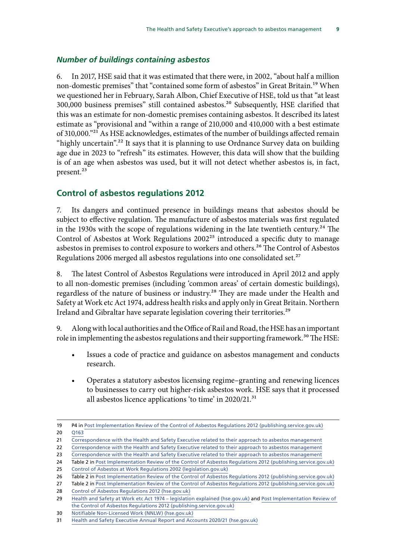#### <span id="page-9-0"></span>*Number of buildings containing asbestos*

6. In 2017, HSE said that it was estimated that there were, in 2002, "about half a million non-domestic premises" that "contained some form of asbestos" in Great Britain.19 When we questioned her in February, Sarah Albon, Chief Executive of HSE, told us that "at least 300,000 business premises" still contained asbestos.<sup>20</sup> Subsequently, HSE clarified that this was an estimate for non-domestic premises containing asbestos. It described its latest estimate as "provisional and "within a range of 210,000 and 410,000 with a best estimate of 310,000."<sup>21</sup> As HSE acknowledges, estimates of the number of buildings affected remain "highly uncertain".<sup>22</sup> It says that it is planning to use Ordnance Survey data on building age due in 2023 to "refresh" its estimates. However, this data will show that the building is of an age when asbestos was used, but it will not detect whether asbestos is, in fact, present.<sup>23</sup>

## **Control of asbestos regulations 2012**

7. Its dangers and continued presence in buildings means that asbestos should be subject to effective regulation. The manufacture of asbestos materials was first regulated in the 1930s with the scope of regulations widening in the late twentieth century.<sup>24</sup> The Control of Asbestos at Work Regulations 2002<sup>25</sup> introduced a specific duty to manage asbestos in premises to control exposure to workers and others.<sup>26</sup> The Control of Asbestos Regulations 2006 merged all asbestos regulations into one consolidated set.<sup>27</sup>

8. The latest Control of Asbestos Regulations were introduced in April 2012 and apply to all non-domestic premises (including 'common areas' of certain domestic buildings), regardless of the nature of business or industry.<sup>28</sup> They are made under the Health and Safety at Work etc Act 1974, address health risks and apply only in Great Britain. Northern Ireland and Gibraltar have separate legislation covering their territories.<sup>29</sup>

9. Along with local authorities and the Office of Rail and Road, the HSE has an important role in implementing the asbestos regulations and their supporting framework.<sup>30</sup> The HSE:

- Issues a code of practice and guidance on asbestos management and conducts research.
- Operates a statutory asbestos licensing regime–granting and renewing licences to businesses to carry out higher-risk asbestos work. HSE says that it processed all asbestos licence applications 'to time' in 2020/21.<sup>31</sup>

<sup>19</sup> P4 in [Post Implementation Review of the Control of Asbestos Regulations 2012 \(publishing.service.gov.uk\)](https://assets.publishing.service.gov.uk/government/uploads/system/uploads/attachment_data/file/598574/post-implementation-review-of-the-control-of-asbestos-regulations-2012.pdf) 20 [Q163](https://committees.parliament.uk/oralevidence/9780/html/)

<sup>21</sup> [Correspondence with the Health and Safety Executive related to their approach to asbestos management](https://committees.parliament.uk/publications/9112/documents/159424/default/)

<sup>22</sup> [Correspondence with the Health and Safety Executive related to their approach to asbestos management](https://committees.parliament.uk/publications/9112/documents/159424/default/)

<sup>23</sup> [Correspondence with the Health and Safety Executive related to their approach to asbestos management](https://committees.parliament.uk/publications/9112/documents/159424/default/)

<sup>24</sup> Table 2 in [Post Implementation Review of the Control of Asbestos Regulations 2012 \(publishing.service.gov.uk\)](https://assets.publishing.service.gov.uk/government/uploads/system/uploads/attachment_data/file/598574/post-implementation-review-of-the-control-of-asbestos-regulations-2012.pdf) 25 [Control of Asbestos at Work Regulations 2002 \(legislation.gov.uk\)](https://www.legislation.gov.uk/uksi/2002/2675/contents/made)

<sup>26</sup> Table 2 in [Post Implementation Review of the Control of Asbestos Regulations 2012 \(publishing.service.gov.uk\)](https://assets.publishing.service.gov.uk/government/uploads/system/uploads/attachment_data/file/598574/post-implementation-review-of-the-control-of-asbestos-regulations-2012.pdf) 27 Table 2 in [Post Implementation Review of the Control of Asbestos Regulations 2012 \(publishing.service.gov.uk\)](https://assets.publishing.service.gov.uk/government/uploads/system/uploads/attachment_data/file/598574/post-implementation-review-of-the-control-of-asbestos-regulations-2012.pdf)

<sup>28</sup> [Control of Asbestos Regulations 2012 \(hse.gov.uk\)](https://www.hse.gov.uk/asbestos/regulations.htm)

<sup>29</sup> [Health and Safety at Work etc Act 1974 – legislation explained \(hse.gov.uk\)](https://www.hse.gov.uk/legislation/hswa.htm) and [Post Implementation Review of](https://assets.publishing.service.gov.uk/government/uploads/system/uploads/attachment_data/file/598574/post-implementation-review-of-the-control-of-asbestos-regulations-2012.pdf)  [the Control of Asbestos Regulations 2012 \(publishing.service.gov.uk\)](https://assets.publishing.service.gov.uk/government/uploads/system/uploads/attachment_data/file/598574/post-implementation-review-of-the-control-of-asbestos-regulations-2012.pdf)

<sup>30</sup> [Notifiable Non-Licensed Work \(NNLW\) \(hse.gov.uk\)](https://www.hse.gov.uk/asbestos/licensing/notifiable-non-licensed-work.htm)

<sup>31</sup> [Health and Safety Executive Annual Report and Accounts 2020/21 \(hse.gov.uk\)](https://www.hse.gov.uk/aboutus/reports/ara-2020-21-large-print.pdf)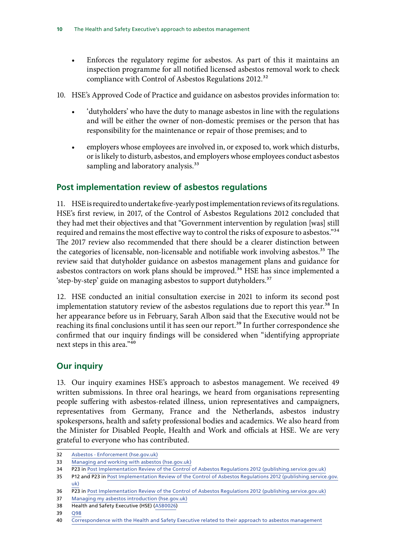- <span id="page-10-0"></span>• Enforces the regulatory regime for asbestos. As part of this it maintains an inspection programme for all notified licensed asbestos removal work to check compliance with Control of Asbestos Regulations 2012.<sup>32</sup>
- 10. HSE's Approved Code of Practice and guidance on asbestos provides information to:
	- 'dutyholders' who have the duty to manage asbestos in line with the regulations and will be either the owner of non-domestic premises or the person that has responsibility for the maintenance or repair of those premises; and to
	- employers whose employees are involved in, or exposed to, work which disturbs, or is likely to disturb, asbestos, and employers whose employees conduct asbestos sampling and laboratory analysis.<sup>33</sup>

# **Post implementation review of asbestos regulations**

11. HSE is required to undertake five-yearly post implementation reviews of its regulations. HSE's first review, in 2017, of the Control of Asbestos Regulations 2012 concluded that they had met their objectives and that "Government intervention by regulation [was] still required and remains the most effective way to control the risks of exposure to asbestos."<sup>34</sup> The 2017 review also recommended that there should be a clearer distinction between the categories of licensable, non-licensable and notifiable work involving asbestos.<sup>35</sup> The review said that dutyholder guidance on asbestos management plans and guidance for asbestos contractors on work plans should be improved.<sup>36</sup> HSE has since implemented a 'step-by-step' guide on managing asbestos to support dutyholders.<sup>37</sup>

12. HSE conducted an initial consultation exercise in 2021 to inform its second post implementation statutory review of the asbestos regulations due to report this year.<sup>38</sup> In her appearance before us in February, Sarah Albon said that the Executive would not be reaching its final conclusions until it has seen our report.<sup>39</sup> In further correspondence she confirmed that our inquiry findings will be considered when "identifying appropriate next steps in this area."40

# **Our inquiry**

13. Our inquiry examines HSE's approach to asbestos management. We received 49 written submissions. In three oral hearings, we heard from organisations representing people suffering with asbestos-related illness, union representatives and campaigners, representatives from Germany, France and the Netherlands, asbestos industry spokespersons, health and safety professional bodies and academics. We also heard from the Minister for Disabled People, Health and Work and officials at HSE. We are very grateful to everyone who has contributed.

<sup>32</sup> [Asbestos - Enforcement \(hse.gov.uk\)](https://www.hse.gov.uk/asbestos/enforcement.htm)

<sup>33</sup> [Managing and working with asbestos \(hse.gov.uk\)](https://www.hse.gov.uk/pubns/priced/l143.pdf)

<sup>34</sup> P23 in [Post Implementation Review of the Control of Asbestos Regulations 2012 \(publishing.service.gov.uk\)](https://assets.publishing.service.gov.uk/government/uploads/system/uploads/attachment_data/file/598574/post-implementation-review-of-the-control-of-asbestos-regulations-2012.pdf)

<sup>35</sup> P12 and P23 in [Post Implementation Review of the Control of Asbestos Regulations 2012 \(publishing.service.gov.](https://assets.publishing.service.gov.uk/government/uploads/system/uploads/attachment_data/file/598574/post-implementation-review-of-the-control-of-asbestos-regulations-2012.pdf) [uk\)](https://assets.publishing.service.gov.uk/government/uploads/system/uploads/attachment_data/file/598574/post-implementation-review-of-the-control-of-asbestos-regulations-2012.pdf)

<sup>36</sup> P23 in [Post Implementation Review of the Control of Asbestos Regulations 2012 \(publishing.service.gov.uk\)](https://assets.publishing.service.gov.uk/government/uploads/system/uploads/attachment_data/file/598574/post-implementation-review-of-the-control-of-asbestos-regulations-2012.pdf)

<sup>37</sup> [Managing my asbestos introduction \(hse.gov.uk\)](https://www.hse.gov.uk/asbestos/managing/intro.htm)

<sup>38</sup> Health and Safety Executive (HSE) [\(ASB0026\)](https://committees.parliament.uk/writtenevidence/39390/html/)

<sup>39</sup> [Q98](https://committees.parliament.uk/oralevidence/9780/html/)

<sup>40</sup> [Correspondence with the Health and Safety Executive related to their approach to asbestos management](https://committees.parliament.uk/publications/9112/documents/159424/default/)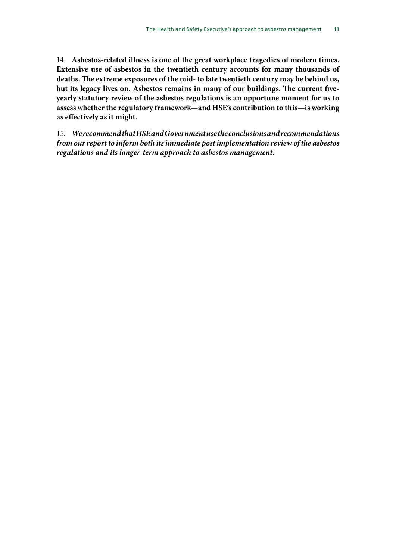14. **Asbestos-related illness is one of the great workplace tragedies of modern times. Extensive use of asbestos in the twentieth century accounts for many thousands of deaths. The extreme exposures of the mid- to late twentieth century may be behind us, but its legacy lives on. Asbestos remains in many of our buildings. The current fiveyearly statutory review of the asbestos regulations is an opportune moment for us to assess whether the regulatory framework—and HSE's contribution to this—is working as effectively as it might.**

15. *We recommend that HSE and Government use the conclusions and recommendations from our report to inform both its immediate post implementation review of the asbestos regulations and its longer-term approach to asbestos management.*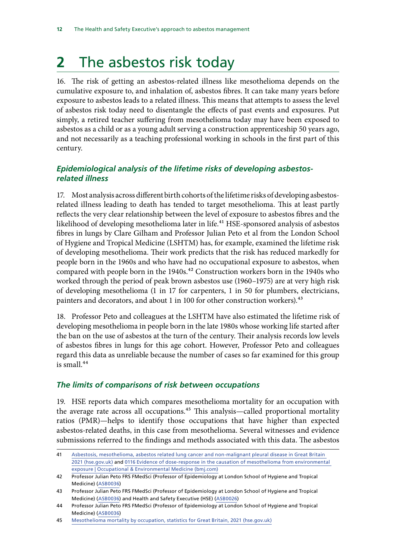# <span id="page-12-0"></span>**2** The asbestos risk today

16. The risk of getting an asbestos-related illness like mesothelioma depends on the cumulative exposure to, and inhalation of, asbestos fibres. It can take many years before exposure to asbestos leads to a related illness. This means that attempts to assess the level of asbestos risk today need to disentangle the effects of past events and exposures. Put simply, a retired teacher suffering from mesothelioma today may have been exposed to asbestos as a child or as a young adult serving a construction apprenticeship 50 years ago, and not necessarily as a teaching professional working in schools in the first part of this century.

# *Epidemiological analysis of the lifetime risks of developing asbestosrelated illness*

17. Most analysis across different birth cohorts of the lifetime risks of developing asbestosrelated illness leading to death has tended to target mesothelioma. This at least partly reflects the very clear relationship between the level of exposure to asbestos fibres and the likelihood of developing mesothelioma later in life.<sup>41</sup> HSE-sponsored analysis of asbestos fibres in lungs by Clare Gilham and Professor Julian Peto et al from the London School of Hygiene and Tropical Medicine (LSHTM) has, for example, examined the lifetime risk of developing mesothelioma. Their work predicts that the risk has reduced markedly for people born in the 1960s and who have had no occupational exposure to asbestos, when compared with people born in the 1940s.<sup>42</sup> Construction workers born in the 1940s who worked through the period of peak brown asbestos use (1960–1975) are at very high risk of developing mesothelioma (1 in 17 for carpenters, 1 in 50 for plumbers, electricians, painters and decorators, and about 1 in 100 for other construction workers).<sup>43</sup>

18. Professor Peto and colleagues at the LSHTM have also estimated the lifetime risk of developing mesothelioma in people born in the late 1980s whose working life started after the ban on the use of asbestos at the turn of the century. Their analysis records low levels of asbestos fibres in lungs for this age cohort. However, Professor Peto and colleagues regard this data as unreliable because the number of cases so far examined for this group is small. $44$ 

## *The limits of comparisons of risk between occupations*

19. HSE reports data which compares mesothelioma mortality for an occupation with the average rate across all occupations.<sup>45</sup> This analysis—called proportional mortality ratios (PMR)—helps to identify those occupations that have higher than expected asbestos-related deaths, in this case from mesothelioma. Several witnesses and evidence submissions referred to the findings and methods associated with this data. The asbestos

<sup>41</sup> [Asbestosis, mesothelioma, asbestos related lung cancer and non-malignant pleural disease in Great Britain](https://www.hse.gov.uk/statistics/causdis/asbestos-related-disease.pdf)  [2021 \(hse.gov.uk\)](https://www.hse.gov.uk/statistics/causdis/asbestos-related-disease.pdf) and 0116 [Evidence of dose-response in the causation of mesothelioma from environmental](https://oem.bmj.com/content/74/Suppl_1/A33.2)  [exposure | Occupational & Environmental Medicine \(bmj.com\)](https://oem.bmj.com/content/74/Suppl_1/A33.2)

<sup>42</sup> Professor Julian Peto FRS FMedSci (Professor of Epidemiology at London School of Hygiene and Tropical Medicine) ([ASB0036](https://committees.parliament.uk/writtenevidence/41379/html/))

<sup>43</sup> Professor Julian Peto FRS FMedSci (Professor of Epidemiology at London School of Hygiene and Tropical Medicine) ([ASB0036](https://committees.parliament.uk/writtenevidence/41379/html/)) and Health and Safety Executive (HSE) ([ASB0026\)](https://committees.parliament.uk/writtenevidence/39390/html/)

<sup>44</sup> Professor Julian Peto FRS FMedSci (Professor of Epidemiology at London School of Hygiene and Tropical Medicine) ([ASB0036](https://committees.parliament.uk/writtenevidence/41379/html/))

<sup>45</sup> [Mesothelioma mortality by occupation, statistics for Great Britain, 2021 \(hse.gov.uk\)](https://www.hse.gov.uk/statistics/causdis/mesothelioma/mesothelioma-mortality-by-occupation.pdf)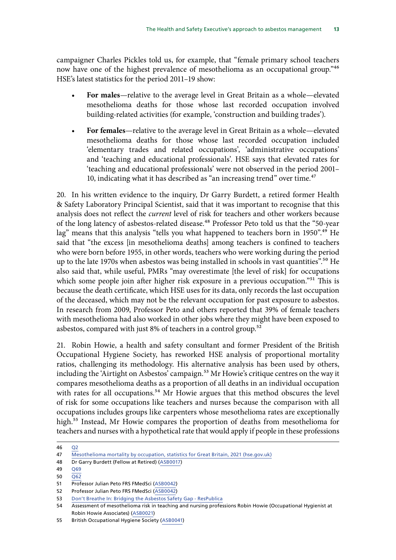campaigner Charles Pickles told us, for example, that "female primary school teachers now have one of the highest prevalence of mesothelioma as an occupational group."46 HSE's latest statistics for the period 2011–19 show:

- **For males**—relative to the average level in Great Britain as a whole—elevated mesothelioma deaths for those whose last recorded occupation involved building-related activities (for example, 'construction and building trades').
- **For females**—relative to the average level in Great Britain as a whole—elevated mesothelioma deaths for those whose last recorded occupation included 'elementary trades and related occupations', 'administrative occupations' and 'teaching and educational professionals'. HSE says that elevated rates for 'teaching and educational professionals' were not observed in the period 2001– 10, indicating what it has described as "an increasing trend" over time.<sup>47</sup>

20. In his written evidence to the inquiry, Dr Garry Burdett, a retired former Health & Safety Laboratory Principal Scientist, said that it was important to recognise that this analysis does not reflect the *current* level of risk for teachers and other workers because of the long latency of asbestos-related disease.<sup>48</sup> Professor Peto told us that the "50-year lag" means that this analysis "tells you what happened to teachers born in 1950".<sup>49</sup> He said that "the excess [in mesothelioma deaths] among teachers is confined to teachers who were born before 1955, in other words, teachers who were working during the period up to the late 1970s when asbestos was being installed in schools in vast quantities".<sup>50</sup> He also said that, while useful, PMRs "may overestimate [the level of risk] for occupations which some people join after higher risk exposure in a previous occupation."<sup>51</sup> This is because the death certificate, which HSE uses for its data, only records the last occupation of the deceased, which may not be the relevant occupation for past exposure to asbestos. In research from 2009, Professor Peto and others reported that 39% of female teachers with mesothelioma had also worked in other jobs where they might have been exposed to asbestos, compared with just 8% of teachers in a control group.<sup>52</sup>

21. Robin Howie, a health and safety consultant and former President of the British Occupational Hygiene Society, has reworked HSE analysis of proportional mortality ratios, challenging its methodology. His alternative analysis has been used by others, including the 'Airtight on Asbestos' campaign.<sup>53</sup> Mr Howie's critique centres on the way it compares mesothelioma deaths as a proportion of all deaths in an individual occupation with rates for all occupations.<sup>54</sup> Mr Howie argues that this method obscures the level of risk for some occupations like teachers and nurses because the comparison with all occupations includes groups like carpenters whose mesothelioma rates are exceptionally high.55 Instead, Mr Howie compares the proportion of deaths from mesothelioma for teachers and nurses with a hypothetical rate that would apply if people in these professions

<sup>46</sup> [Q2](https://committees.parliament.uk/oralevidence/9777/html/)

<sup>47</sup> [Mesothelioma mortality by occupation, statistics for Great Britain, 2021 \(hse.gov.uk\)](https://www.hse.gov.uk/statistics/causdis/mesothelioma/mesothelioma-mortality-by-occupation.pdf)

<sup>48</sup> Dr Garry Burdett (Fellow at Retired) ([ASB0017\)](https://committees.parliament.uk/writtenevidence/39338/html/)

<sup>49</sup> [Q69](https://committees.parliament.uk/oralevidence/3252/pdf/)

 $50 \overline{062}$ 

<sup>51</sup> Professor Julian Peto FRS FMedSci ([ASB0042](https://committees.parliament.uk/writtenevidence/43699/html/))

<sup>52</sup> Professor Julian Peto FRS FMedSci ([ASB0042](https://committees.parliament.uk/writtenevidence/43699/html/))

<sup>53</sup> [Don't Breathe In: Bridging the Asbestos Safety Gap - ResPublica](https://www.respublica.org.uk/our-work/publications/dont-breathe-in-bridging-the-asbestos-safety-gap/)

<sup>54</sup> Assessment of mesothelioma risk in teaching and nursing professions Robin Howie (Occupational Hygienist at Robin Howie Associates) [\(ASB0021](https://committees.parliament.uk/writtenevidence/39366/html/))

<sup>55</sup> British Occupational Hygiene Society ([ASB0041\)](https://committees.parliament.uk/writtenevidence/43698/html/)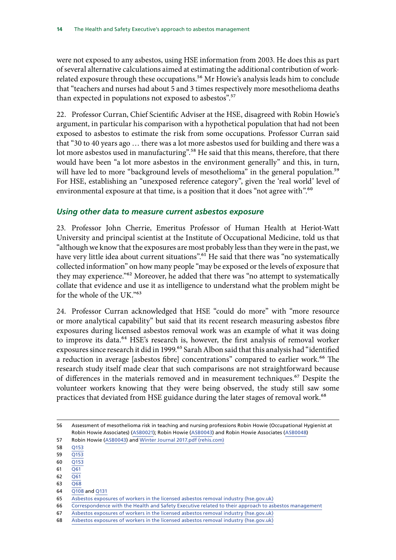<span id="page-14-0"></span>were not exposed to any asbestos, using HSE information from 2003. He does this as part of several alternative calculations aimed at estimating the additional contribution of workrelated exposure through these occupations.<sup>56</sup> Mr Howie's analysis leads him to conclude that "teachers and nurses had about 5 and 3 times respectively more mesothelioma deaths than expected in populations not exposed to asbestos".<sup>57</sup>

22. Professor Curran, Chief Scientific Adviser at the HSE, disagreed with Robin Howie's argument, in particular his comparison with a hypothetical population that had not been exposed to asbestos to estimate the risk from some occupations. Professor Curran said that "30 to 40 years ago … there was a lot more asbestos used for building and there was a lot more asbestos used in manufacturing".<sup>58</sup> He said that this means, therefore, that there would have been "a lot more asbestos in the environment generally" and this, in turn, will have led to more "background levels of mesothelioma" in the general population.<sup>59</sup> For HSE, establishing an "unexposed reference category", given the 'real world' level of environmental exposure at that time, is a position that it does "not agree with".<sup>60</sup>

## *Using other data to measure current asbestos exposure*

23. Professor John Cherrie, Emeritus Professor of Human Health at Heriot-Watt University and principal scientist at the Institute of Occupational Medicine, told us that "although we know that the exposures are most probably less than they were in the past, we have very little idea about current situations".<sup>61</sup> He said that there was "no systematically collected information" on how many people "may be exposed or the levels of exposure that they may experience."<sup>62</sup> Moreover, he added that there was "no attempt to systematically collate that evidence and use it as intelligence to understand what the problem might be for the whole of the UK."63

24. Professor Curran acknowledged that HSE "could do more" with "more resource or more analytical capability" but said that its recent research measuring asbestos fibre exposures during licensed asbestos removal work was an example of what it was doing to improve its data.<sup>64</sup> HSE's research is, however, the first analysis of removal worker exposures since research it did in 1999.<sup>65</sup> Sarah Albon said that this analysis had "identified a reduction in average [asbestos fibre] concentrations" compared to earlier work.<sup>66</sup> The research study itself made clear that such comparisons are not straightforward because of differences in the materials removed and in measurement techniques.67 Despite the volunteer workers knowing that they were being observed, the study still saw some practices that deviated from HSE guidance during the later stages of removal work.<sup>68</sup>

57 Robin Howie [\(ASB0043\)](https://committees.parliament.uk/writtenevidence/43700/html/) and [Winter Journal 2017.pdf \(rehis.com\)](https://www.rehis.com/sites/default/files/Winter%20Journal%202017.pdf)

58 [Q153](https://committees.parliament.uk/oralevidence/9780/html/)

59 [Q153](https://committees.parliament.uk/oralevidence/9780/html/)

- 60 [Q153](https://committees.parliament.uk/oralevidence/9780/html/)
- 61 [Q61](https://committees.parliament.uk/oralevidence/3252/html/)
- $62 \overline{O61}$
- 63 [Q68](https://committees.parliament.uk/oralevidence/3252/html/)
- 64 [Q108](https://committees.parliament.uk/oralevidence/9780/html/) and [Q131](https://committees.parliament.uk/oralevidence/9780/html/)

66 [Correspondence with the Health and Safety Executive related to their approach to asbestos management](https://committees.parliament.uk/publications/9112/documents/159424/default/)

<sup>56</sup> Assessment of mesothelioma risk in teaching and nursing professions Robin Howie (Occupational Hygienist at Robin Howie Associates) [\(ASB0021](https://committees.parliament.uk/writtenevidence/39366/html/)); Robin Howie ([ASB0043](https://committees.parliament.uk/writtenevidence/43700/html/)) and Robin Howie Associates ([ASB0048\)](https://committees.parliament.uk/writtenevidence/107219/html/)

<sup>65</sup> [Asbestos exposures of workers in the licensed asbestos removal industry \(hse.gov.uk\)](https://www.hse.gov.uk/research/rrpdf/rr1176.pdf)

<sup>67</sup> [Asbestos exposures of workers in the licensed asbestos removal industry \(hse.gov.uk\)](https://www.hse.gov.uk/research/rrpdf/rr1176.pdf)

<sup>68</sup> [Asbestos exposures of workers in the licensed asbestos removal industry \(hse.gov.uk\)](https://www.hse.gov.uk/research/rrpdf/rr1176.pdf)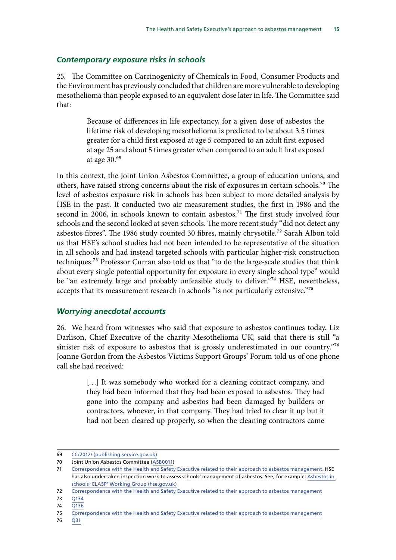#### <span id="page-15-0"></span>*Contemporary exposure risks in schools*

25. The Committee on Carcinogenicity of Chemicals in Food, Consumer Products and the Environment has previously concluded that children are more vulnerable to developing mesothelioma than people exposed to an equivalent dose later in life. The Committee said that:

> Because of differences in life expectancy, for a given dose of asbestos the lifetime risk of developing mesothelioma is predicted to be about 3.5 times greater for a child first exposed at age 5 compared to an adult first exposed at age 25 and about 5 times greater when compared to an adult first exposed at age 30.69

In this context, the Joint Union Asbestos Committee, a group of education unions, and others, have raised strong concerns about the risk of exposures in certain schools.<sup>70</sup> The level of asbestos exposure risk in schools has been subject to more detailed analysis by HSE in the past. It conducted two air measurement studies, the first in 1986 and the second in 2006, in schools known to contain asbestos.<sup>71</sup> The first study involved four schools and the second looked at seven schools. The more recent study "did not detect any asbestos fibres". The 1986 study counted 30 fibres, mainly chrysotile.<sup>72</sup> Sarah Albon told us that HSE's school studies had not been intended to be representative of the situation in all schools and had instead targeted schools with particular higher-risk construction techniques.73 Professor Curran also told us that "to do the large-scale studies that think about every single potential opportunity for exposure in every single school type" would be "an extremely large and probably unfeasible study to deliver."<sup>74</sup> HSE, nevertheless, accepts that its measurement research in schools "is not particularly extensive."<sup>75</sup>

#### *Worrying anecdotal accounts*

26. We heard from witnesses who said that exposure to asbestos continues today. Liz Darlison, Chief Executive of the charity Mesothelioma UK, said that there is still "a sinister risk of exposure to asbestos that is grossly underestimated in our country."<sup>76</sup> Joanne Gordon from the Asbestos Victims Support Groups' Forum told us of one phone call she had received:

> [...] It was somebody who worked for a cleaning contract company, and they had been informed that they had been exposed to asbestos. They had gone into the company and asbestos had been damaged by builders or contractors, whoever, in that company. They had tried to clear it up but it had not been cleared up properly, so when the cleaning contractors came

<sup>69</sup> [CC/2012/ \(publishing.service.gov.uk\)](https://assets.publishing.service.gov.uk/government/uploads/system/uploads/attachment_data/file/315919/vulnerability_of_children_to_asbestos.pdf)

<sup>70</sup> Joint Union Asbestos Committee [\(ASB0011\)](https://committees.parliament.uk/writtenevidence/39184/html/)

<sup>71</sup> [Correspondence with the Health and Safety Executive related to their approach to asbestos management.](https://committees.parliament.uk/publications/9112/documents/159424/default/) HSE has also undertaken inspection work to assess schools' management of asbestos. See, for example: [Asbestos in](https://www.hse.gov.uk/services/education/asbestos.htm)  [schools 'CLASP' Working Group \(hse.gov.uk\)](https://www.hse.gov.uk/services/education/asbestos.htm)

<sup>72</sup> [Correspondence with the Health and Safety Executive related to their approach to asbestos management](https://committees.parliament.uk/publications/9112/documents/159424/default/)

<sup>73</sup> [Q134](https://committees.parliament.uk/oralevidence/9780/html/)

<sup>74</sup> [Q136](https://committees.parliament.uk/oralevidence/9780/html/)

<sup>75</sup> [Correspondence with the Health and Safety Executive related to their approach to asbestos management](https://committees.parliament.uk/publications/9112/documents/159424/default/)

<sup>76</sup> [Q31](https://committees.parliament.uk/oralevidence/9777/pdf/)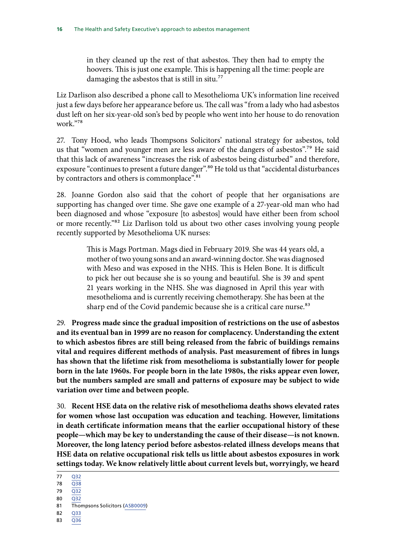in they cleaned up the rest of that asbestos. They then had to empty the hoovers. This is just one example. This is happening all the time: people are damaging the asbestos that is still in situ.<sup>77</sup>

Liz Darlison also described a phone call to Mesothelioma UK's information line received just a few days before her appearance before us. The call was "from a lady who had asbestos dust left on her six-year-old son's bed by people who went into her house to do renovation work."78

27. Tony Hood, who leads Thompsons Solicitors' national strategy for asbestos, told us that "women and younger men are less aware of the dangers of asbestos".<sup>79</sup> He said that this lack of awareness "increases the risk of asbestos being disturbed" and therefore, exposure "continues to present a future danger".<sup>80</sup> He told us that "accidental disturbances by contractors and others is commonplace".<sup>81</sup>

28. Joanne Gordon also said that the cohort of people that her organisations are supporting has changed over time. She gave one example of a 27-year-old man who had been diagnosed and whose "exposure [to asbestos] would have either been from school or more recently."82 Liz Darlison told us about two other cases involving young people recently supported by Mesothelioma UK nurses:

> This is Mags Portman. Mags died in February 2019. She was 44 years old, a mother of two young sons and an award-winning doctor. She was diagnosed with Meso and was exposed in the NHS. This is Helen Bone. It is difficult to pick her out because she is so young and beautiful. She is 39 and spent 21 years working in the NHS. She was diagnosed in April this year with mesothelioma and is currently receiving chemotherapy. She has been at the sharp end of the Covid pandemic because she is a critical care nurse.<sup>83</sup>

29. **Progress made since the gradual imposition of restrictions on the use of asbestos and its eventual ban in 1999 are no reason for complacency. Understanding the extent to which asbestos fibres are still being released from the fabric of buildings remains vital and requires different methods of analysis. Past measurement of fibres in lungs has shown that the lifetime risk from mesothelioma is substantially lower for people born in the late 1960s. For people born in the late 1980s, the risks appear even lower, but the numbers sampled are small and patterns of exposure may be subject to wide variation over time and between people.**

30. **Recent HSE data on the relative risk of mesothelioma deaths shows elevated rates for women whose last occupation was education and teaching. However, limitations in death certificate information means that the earlier occupational history of these people—which may be key to understanding the cause of their disease—is not known. Moreover, the long latency period before asbestos-related illness develops means that HSE data on relative occupational risk tells us little about asbestos exposures in work settings today. We know relatively little about current levels but, worryingly, we heard** 

83 [Q36](https://committees.parliament.uk/oralevidence/9777/pdf/)

<sup>77 032</sup> 

<sup>78</sup> [Q38](https://committees.parliament.uk/oralevidence/9777/pdf/)

<sup>79</sup> [Q32](https://committees.parliament.uk/oralevidence/9777/pdf/)  $80 \overline{032}$ 

<sup>81</sup> Thompsons Solicitors ([ASB0009](https://committees.parliament.uk/writtenevidence/39167/html/))

<sup>82</sup> [Q33](https://committees.parliament.uk/oralevidence/9777/pdf/)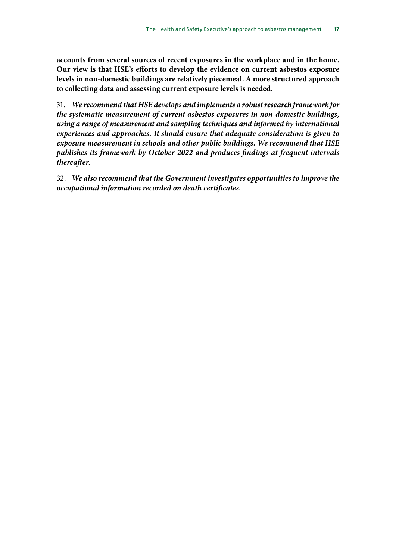**accounts from several sources of recent exposures in the workplace and in the home. Our view is that HSE's efforts to develop the evidence on current asbestos exposure levels in non-domestic buildings are relatively piecemeal. A more structured approach to collecting data and assessing current exposure levels is needed.**

31. *We recommend that HSE develops and implements a robust research framework for the systematic measurement of current asbestos exposures in non-domestic buildings, using a range of measurement and sampling techniques and informed by international experiences and approaches. It should ensure that adequate consideration is given to exposure measurement in schools and other public buildings. We recommend that HSE publishes its framework by October 2022 and produces findings at frequent intervals thereafter.*

32. *We also recommend that the Government investigates opportunities to improve the occupational information recorded on death certificates.*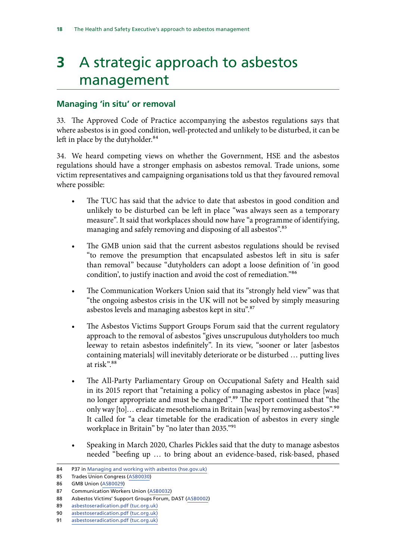# <span id="page-18-0"></span>**3** A strategic approach to asbestos management

# **Managing 'in situ' or removal**

33. The Approved Code of Practice accompanying the asbestos regulations says that where asbestos is in good condition, well-protected and unlikely to be disturbed, it can be left in place by the dutyholder.<sup>84</sup>

34. We heard competing views on whether the Government, HSE and the asbestos regulations should have a stronger emphasis on asbestos removal. Trade unions, some victim representatives and campaigning organisations told us that they favoured removal where possible:

- The TUC has said that the advice to date that asbestos in good condition and unlikely to be disturbed can be left in place "was always seen as a temporary measure". It said that workplaces should now have "a programme of identifying, managing and safely removing and disposing of all asbestos".<sup>85</sup>
- The GMB union said that the current asbestos regulations should be revised "to remove the presumption that encapsulated asbestos left in situ is safer than removal" because "dutyholders can adopt a loose definition of 'in good condition', to justify inaction and avoid the cost of remediation."86
- The Communication Workers Union said that its "strongly held view" was that "the ongoing asbestos crisis in the UK will not be solved by simply measuring asbestos levels and managing asbestos kept in situ".87
- The Asbestos Victims Support Groups Forum said that the current regulatory approach to the removal of asbestos "gives unscrupulous dutyholders too much leeway to retain asbestos indefinitely". In its view, "sooner or later [asbestos containing materials] will inevitably deteriorate or be disturbed … putting lives at risk".<sup>88</sup>
- The All-Party Parliamentary Group on Occupational Safety and Health said in its 2015 report that "retaining a policy of managing asbestos in place [was] no longer appropriate and must be changed".89 The report continued that "the only way [to]… eradicate mesothelioma in Britain [was] by removing asbestos".90 It called for "a clear timetable for the eradication of asbestos in every single workplace in Britain" by "no later than 2035."91
- Speaking in March 2020, Charles Pickles said that the duty to manage asbestos needed "beefing up … to bring about an evidence-based, risk-based, phased

<sup>84</sup> P37 in [Managing and working with asbestos \(hse.gov.uk\)](https://www.hse.gov.uk/pubns/priced/l143.pdf)

<sup>85</sup> Trades Union Congress [\(ASB0030](https://committees.parliament.uk/writtenevidence/39430/html/))

<sup>86</sup> GMB Union ([ASB0029](https://committees.parliament.uk/writtenevidence/39428/html/))

<sup>87</sup> Communication Workers Union ([ASB0032](https://committees.parliament.uk/writtenevidence/39620/html/))

<sup>88</sup> Asbestos Victims' Support Groups Forum, DAST ([ASB0002](https://committees.parliament.uk/writtenevidence/38821/html/))

<sup>89</sup> [asbestoseradication.pdf \(tuc.org.uk\)](https://www.tuc.org.uk/sites/default/files/asbestoseradication.pdf)

<sup>90</sup> [asbestoseradication.pdf \(tuc.org.uk\)](https://www.tuc.org.uk/sites/default/files/asbestoseradication.pdf)

<sup>91</sup> [asbestoseradication.pdf \(tuc.org.uk\)](https://www.tuc.org.uk/sites/default/files/asbestoseradication.pdf)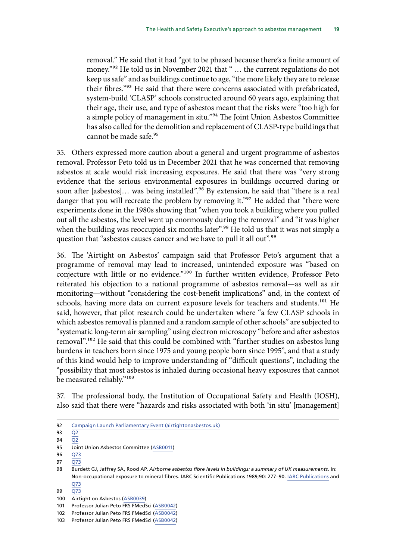removal." He said that it had "got to be phased because there's a finite amount of money."<sup>92</sup> He told us in November 2021 that " ... the current regulations do not keep us safe" and as buildings continue to age, "the more likely they are to release their fibres."93 He said that there were concerns associated with prefabricated, system-build 'CLASP' schools constructed around 60 years ago, explaining that their age, their use, and type of asbestos meant that the risks were "too high for a simple policy of management in situ."94 The Joint Union Asbestos Committee has also called for the demolition and replacement of CLASP-type buildings that cannot be made safe.95

35. Others expressed more caution about a general and urgent programme of asbestos removal. Professor Peto told us in December 2021 that he was concerned that removing asbestos at scale would risk increasing exposures. He said that there was "very strong evidence that the serious environmental exposures in buildings occurred during or soon after [asbestos]... was being installed".<sup>96</sup> By extension, he said that "there is a real danger that you will recreate the problem by removing it."<sup>97</sup> He added that "there were experiments done in the 1980s showing that "when you took a building where you pulled out all the asbestos, the level went up enormously during the removal" and "it was higher when the building was reoccupied six months later".<sup>98</sup> He told us that it was not simply a question that "asbestos causes cancer and we have to pull it all out".<sup>99</sup>

36. The 'Airtight on Asbestos' campaign said that Professor Peto's argument that a programme of removal may lead to increased, unintended exposure was "based on conjecture with little or no evidence."<sup>100</sup> In further written evidence, Professor Peto reiterated his objection to a national programme of asbestos removal—as well as air monitoring—without "considering the cost-benefit implications" and, in the context of schools, having more data on current exposure levels for teachers and students.<sup>101</sup> He said, however, that pilot research could be undertaken where "a few CLASP schools in which asbestos removal is planned and a random sample of other schools" are subjected to "systematic long-term air sampling" using electron microscopy "before and after asbestos removal".<sup>102</sup> He said that this could be combined with "further studies on asbestos lung burdens in teachers born since 1975 and young people born since 1995", and that a study of this kind would help to improve understanding of "difficult questions", including the "possibility that most asbestos is inhaled during occasional heavy exposures that cannot be measured reliably."103

37. The professional body, the Institution of Occupational Safety and Health (IOSH), also said that there were "hazards and risks associated with both 'in situ' [management]

99 [Q73](https://committees.parliament.uk/oralevidence/3252/pdf/)

101 Professor Julian Peto FRS FMedSci ([ASB0042](https://committees.parliament.uk/writtenevidence/43699/html/))

<sup>92</sup> [Campaign Launch Parliamentary Event \(airtightonasbestos.uk\)](https://www.airtightonasbestos.uk/post/campaign-launch-parliamentary-event)

<sup>93</sup> [Q2](https://committees.parliament.uk/oralevidence/9777/html/)

<sup>94</sup> [Q2](https://committees.parliament.uk/oralevidence/9777/html/)

<sup>95</sup> Joint Union Asbestos Committee [\(ASB0011\)](https://committees.parliament.uk/writtenevidence/39184/html/)

<sup>96</sup> [Q73](https://committees.parliament.uk/oralevidence/3252/pdf/)

<sup>97</sup> [Q73](https://committees.parliament.uk/oralevidence/3252/pdf/)

<sup>98</sup> Burdett GJ, Jaffrey SA, Rood AP. *Airborne asbestos fibre levels in buildings: a summary of UK measurements.* In: Non-occupational exposure to mineral fibres. IARC Scientific Publications 1989;90: 277–90. [IARC Publications](https://publications.iarc.fr/Book-And-Report-Series/Iarc-Scientific-Publications?sort_by=author_asc&limit=50) and [Q73](https://committees.parliament.uk/oralevidence/3252/pdf/)

<sup>100</sup> Airtight on Asbestos ([ASB0039\)](https://committees.parliament.uk/writtenevidence/42883/html/)

<sup>102</sup> Professor Julian Peto FRS FMedSci ([ASB0042](https://committees.parliament.uk/writtenevidence/43699/html/))

<sup>103</sup> Professor Julian Peto FRS FMedSci ([ASB0042](https://committees.parliament.uk/writtenevidence/43699/html/))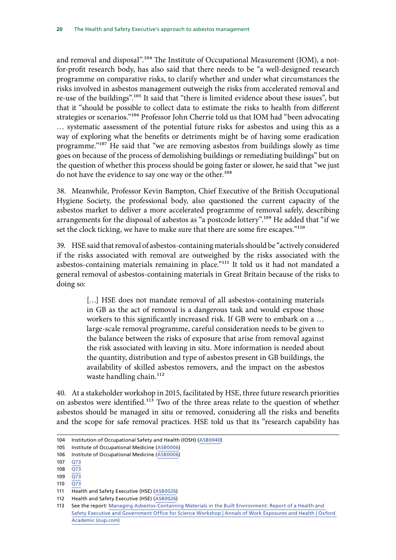and removal and disposal".<sup>104</sup> The Institute of Occupational Measurement (IOM), a notfor-profit research body, has also said that there needs to be "a well-designed research programme on comparative risks, to clarify whether and under what circumstances the risks involved in asbestos management outweigh the risks from accelerated removal and re-use of the buildings".105 It said that "there is limited evidence about these issues", but that it "should be possible to collect data to estimate the risks to health from different strategies or scenarios."<sup>106</sup> Professor John Cherrie told us that IOM had "been advocating … systematic assessment of the potential future risks for asbestos and using this as a way of exploring what the benefits or detriments might be of having some eradication programme."107 He said that "we are removing asbestos from buildings slowly as time goes on because of the process of demolishing buildings or remediating buildings" but on the question of whether this process should be going faster or slower, he said that "we just do not have the evidence to say one way or the other.<sup>108</sup>

38. Meanwhile, Professor Kevin Bampton, Chief Executive of the British Occupational Hygiene Society, the professional body, also questioned the current capacity of the asbestos market to deliver a more accelerated programme of removal safely, describing arrangements for the disposal of asbestos as "a postcode lottery".109 He added that "if we set the clock ticking, we have to make sure that there are some fire escapes."<sup>110</sup>

39. HSE said that removal of asbestos-containing materials should be "actively considered if the risks associated with removal are outweighed by the risks associated with the asbestos-containing materials remaining in place."<sup>111</sup> It told us it had not mandated a general removal of asbestos-containing materials in Great Britain because of the risks to doing so:

> [...] HSE does not mandate removal of all asbestos-containing materials in GB as the act of removal is a dangerous task and would expose those workers to this significantly increased risk. If GB were to embark on a … large-scale removal programme, careful consideration needs to be given to the balance between the risks of exposure that arise from removal against the risk associated with leaving in situ. More information is needed about the quantity, distribution and type of asbestos present in GB buildings, the availability of skilled asbestos removers, and the impact on the asbestos waste handling chain.<sup>112</sup>

40. At a stakeholder workshop in 2015, facilitated by HSE, three future research priorities on asbestos were identified.113 Two of the three areas relate to the question of whether asbestos should be managed in situ or removed, considering all the risks and benefits and the scope for safe removal practices. HSE told us that its "research capability has

<sup>104</sup> Institution of Occupational Safety and Health (IOSH) ([ASB0040\)](https://committees.parliament.uk/writtenevidence/42885/html/)

<sup>105</sup> Institute of Occupational Medicine ([ASB0006\)](https://committees.parliament.uk/writtenevidence/39150/html/)

<sup>106</sup> Institute of Occupational Medicine ([ASB0006\)](https://committees.parliament.uk/writtenevidence/39150/html/)

<sup>107</sup> [Q73](https://committees.parliament.uk/oralevidence/3252/html/)

<sup>108</sup> [Q73](https://committees.parliament.uk/oralevidence/3252/html/)

 $109$   $\overline{O}$ 73

<sup>110</sup>  $\overline{Q73}$  $\overline{Q73}$  $\overline{Q73}$ 

<sup>111</sup> Health and Safety Executive (HSE) [\(ASB0026\)](https://committees.parliament.uk/writtenevidence/39390/html/) 112 Health and Safety Executive (HSE) [\(ASB0026\)](https://committees.parliament.uk/writtenevidence/39390/html/)

<sup>113</sup> See the report: [Managing Asbestos-Containing Materials in the Built Environment: Report of a Health and](https://academic.oup.com/annweh/article/61/1/16/2762733?login=true)  [Safety Executive and Government Office for Science Workshop | Annals of Work Exposures and Health | Oxford](https://academic.oup.com/annweh/article/61/1/16/2762733?login=true)  [Academic \(oup.com\)](https://academic.oup.com/annweh/article/61/1/16/2762733?login=true)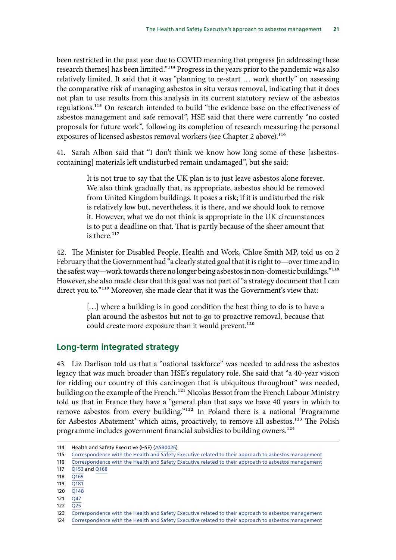<span id="page-21-0"></span>been restricted in the past year due to COVID meaning that progress [in addressing these research themes] has been limited."114 Progress in the years prior to the pandemic was also relatively limited. It said that it was "planning to re-start … work shortly" on assessing the comparative risk of managing asbestos in situ versus removal, indicating that it does not plan to use results from this analysis in its current statutory review of the asbestos regulations.115 On research intended to build "the evidence base on the effectiveness of asbestos management and safe removal", HSE said that there were currently "no costed proposals for future work", following its completion of research measuring the personal exposures of licensed asbestos removal workers (see Chapter 2 above).<sup>116</sup>

41. Sarah Albon said that "I don't think we know how long some of these [asbestoscontaining] materials left undisturbed remain undamaged", but she said:

> It is not true to say that the UK plan is to just leave asbestos alone forever. We also think gradually that, as appropriate, asbestos should be removed from United Kingdom buildings. It poses a risk; if it is undisturbed the risk is relatively low but, nevertheless, it is there, and we should look to remove it. However, what we do not think is appropriate in the UK circumstances is to put a deadline on that. That is partly because of the sheer amount that is there. $117$

42. The Minister for Disabled People, Health and Work, Chloe Smith MP, told us on 2 February that the Government had "a clearly stated goal that it is right to—over time and in the safest way—work towards there no longer being asbestos in non-domestic buildings."118 However, she also made clear that this goal was not part of "a strategy document that I can direct you to."<sup>119</sup> Moreover, she made clear that it was the Government's view that:

> [...] where a building is in good condition the best thing to do is to have a plan around the asbestos but not to go to proactive removal, because that could create more exposure than it would prevent.<sup>120</sup>

#### **Long-term integrated strategy**

43. Liz Darlison told us that a "national taskforce" was needed to address the asbestos legacy that was much broader than HSE's regulatory role. She said that "a 40-year vision for ridding our country of this carcinogen that is ubiquitous throughout" was needed, building on the example of the French.121 Nicolas Bessot from the French Labour Ministry told us that in France they have a "general plan that says we have 40 years in which to remove asbestos from every building."122 In Poland there is a national 'Programme for Asbestos Abatement' which aims, proactively, to remove all asbestos.<sup>123</sup> The Polish programme includes government financial subsidies to building owners.<sup>124</sup>

<sup>114</sup> Health and Safety Executive (HSE) [\(ASB0026\)](https://committees.parliament.uk/writtenevidence/39390/html/)

<sup>115</sup> [Correspondence with the Health and Safety Executive related to their approach to asbestos management](https://committees.parliament.uk/publications/9112/documents/159424/default/)

<sup>116</sup> [Correspondence with the Health and Safety Executive related to their approach to asbestos management](https://committees.parliament.uk/publications/9112/documents/159424/default/)

<sup>117</sup> [Q153](https://committees.parliament.uk/oralevidence/9780/html/) and [Q168](https://committees.parliament.uk/oralevidence/9780/html/)

<sup>118</sup> [Q169](https://committees.parliament.uk/oralevidence/9780/html/)

<sup>119</sup> [Q181](https://committees.parliament.uk/oralevidence/9780/html/)

<sup>120</sup> [Q148](https://committees.parliament.uk/oralevidence/9780/html/)

<sup>121</sup> [Q47](https://committees.parliament.uk/oralevidence/9777/html/)

<sup>122</sup> [Q25](https://committees.parliament.uk/oralevidence/9777/html/)

<sup>123</sup> [Correspondence with the Health and Safety Executive related to their approach to asbestos management](https://committees.parliament.uk/publications/9112/documents/159424/default/)

<sup>124</sup> [Correspondence with the Health and Safety Executive related to their approach to asbestos management](https://committees.parliament.uk/publications/9112/documents/159424/default/)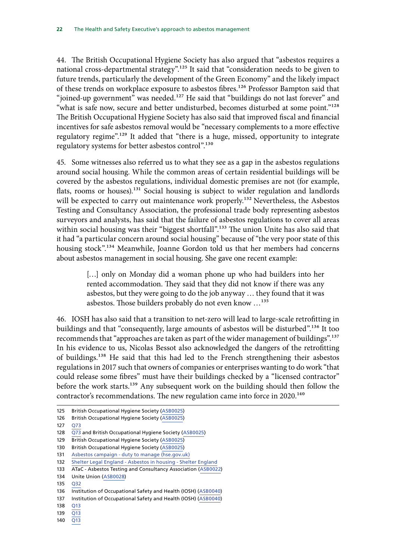44. The British Occupational Hygiene Society has also argued that "asbestos requires a national cross-departmental strategy".<sup>125</sup> It said that "consideration needs to be given to future trends, particularly the development of the Green Economy" and the likely impact of these trends on workplace exposure to asbestos fibres.<sup>126</sup> Professor Bampton said that "joined-up government" was needed.<sup>127</sup> He said that "buildings do not last forever" and "what is safe now, secure and better undisturbed, becomes disturbed at some point."<sup>128</sup> The British Occupational Hygiene Society has also said that improved fiscal and financial incentives for safe asbestos removal would be "necessary complements to a more effective regulatory regime".<sup>129</sup> It added that "there is a huge, missed, opportunity to integrate regulatory systems for better asbestos control".<sup>130</sup>

45. Some witnesses also referred us to what they see as a gap in the asbestos regulations around social housing. While the common areas of certain residential buildings will be covered by the asbestos regulations, individual domestic premises are not (for example, flats, rooms or houses).<sup>131</sup> Social housing is subject to wider regulation and landlords will be expected to carry out maintenance work properly.<sup>132</sup> Nevertheless, the Asbestos Testing and Consultancy Association, the professional trade body representing asbestos surveyors and analysts, has said that the failure of asbestos regulations to cover all areas within social housing was their "biggest shortfall".<sup>133</sup> The union Unite has also said that it had "a particular concern around social housing" because of "the very poor state of this housing stock".<sup>134</sup> Meanwhile, Joanne Gordon told us that her members had concerns about asbestos management in social housing. She gave one recent example:

> [...] only on Monday did a woman phone up who had builders into her rented accommodation. They said that they did not know if there was any asbestos, but they were going to do the job anyway … they found that it was asbestos. Those builders probably do not even know …135

46. IOSH has also said that a transition to net-zero will lead to large-scale retrofitting in buildings and that "consequently, large amounts of asbestos will be disturbed".136 It too recommends that "approaches are taken as part of the wider management of buildings".137 In his evidence to us, Nicolas Bessot also acknowledged the dangers of the retrofitting of buildings.<sup>138</sup> He said that this had led to the French strengthening their asbestos regulations in 2017 such that owners of companies or enterprises wanting to do work "that could release some fibres" must have their buildings checked by a "licensed contractor" before the work starts.139 Any subsequent work on the building should then follow the contractor's recommendations. The new regulation came into force in 2020.<sup>140</sup>

138 [Q13](https://committees.parliament.uk/oralevidence/9777/pdf/)

140 [Q13](https://committees.parliament.uk/oralevidence/9777/pdf/)

<sup>125</sup> British Occupational Hygiene Society ([ASB0025](https://committees.parliament.uk/writtenevidence/39384/html/))

<sup>126</sup> British Occupational Hygiene Society ([ASB0025](https://committees.parliament.uk/writtenevidence/39384/html/))

<sup>127</sup> [Q73](https://committees.parliament.uk/oralevidence/3252/pdf/)

<sup>128</sup> [Q73](https://committees.parliament.uk/oralevidence/3252/html/) and British Occupational Hygiene Society [\(ASB0025\)](https://committees.parliament.uk/writtenevidence/39384/html/)

<sup>129</sup> British Occupational Hygiene Society ([ASB0025](https://committees.parliament.uk/writtenevidence/39384/html/))

<sup>130</sup> British Occupational Hygiene Society ([ASB0025](https://committees.parliament.uk/writtenevidence/39384/html/))

<sup>131</sup> [Asbestos campaign - duty to manage \(hse.gov.uk\)](https://www.hse.gov.uk/asbestos/duty.htm)

<sup>132</sup> Shelter Legal England - Asbestos in housing - Shelter England

<sup>133</sup> ATaC - Asbestos Testing and Consultancy Association ([ASB0022](https://committees.parliament.uk/writtenevidence/39367/html/))

<sup>134</sup> Unite Union ([ASB0028](https://committees.parliament.uk/writtenevidence/39419/html/))

<sup>135</sup> [Q32](https://committees.parliament.uk/oralevidence/9777/pdf/)

<sup>136</sup> Institution of Occupational Safety and Health (IOSH) ([ASB0040\)](https://committees.parliament.uk/writtenevidence/42885/html/)

<sup>137</sup> Institution of Occupational Safety and Health (IOSH) ([ASB0040\)](https://committees.parliament.uk/writtenevidence/42885/html/)

<sup>139</sup> [Q13](https://committees.parliament.uk/oralevidence/9777/pdf/)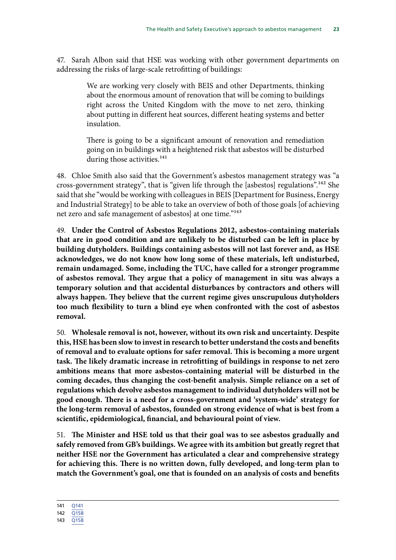47. Sarah Albon said that HSE was working with other government departments on addressing the risks of large-scale retrofitting of buildings:

> We are working very closely with BEIS and other Departments, thinking about the enormous amount of renovation that will be coming to buildings right across the United Kingdom with the move to net zero, thinking about putting in different heat sources, different heating systems and better insulation.

> There is going to be a significant amount of renovation and remediation going on in buildings with a heightened risk that asbestos will be disturbed during those activities.<sup>141</sup>

48. Chloe Smith also said that the Government's asbestos management strategy was "a cross-government strategy", that is "given life through the [asbestos] regulations".142 She said that she "would be working with colleagues in BEIS [Department for Business, Energy and Industrial Strategy] to be able to take an overview of both of those goals [of achieving net zero and safe management of asbestos] at one time."<sup>143</sup>

49. **Under the Control of Asbestos Regulations 2012, asbestos-containing materials that are in good condition and are unlikely to be disturbed can be left in place by building dutyholders. Buildings containing asbestos will not last forever and, as HSE acknowledges, we do not know how long some of these materials, left undisturbed, remain undamaged. Some, including the TUC, have called for a stronger programme of asbestos removal. They argue that a policy of management in situ was always a temporary solution and that accidental disturbances by contractors and others will always happen. They believe that the current regime gives unscrupulous dutyholders too much flexibility to turn a blind eye when confronted with the cost of asbestos removal.**

50. **Wholesale removal is not, however, without its own risk and uncertainty. Despite this, HSE has been slow to invest in research to better understand the costs and benefits of removal and to evaluate options for safer removal. This is becoming a more urgent task. The likely dramatic increase in retrofitting of buildings in response to net zero ambitions means that more asbestos-containing material will be disturbed in the coming decades, thus changing the cost-benefit analysis. Simple reliance on a set of regulations which devolve asbestos management to individual dutyholders will not be good enough. There is a need for a cross-government and 'system-wide' strategy for the long-term removal of asbestos, founded on strong evidence of what is best from a scientific, epidemiological, financial, and behavioural point of view.**

51. **The Minister and HSE told us that their goal was to see asbestos gradually and safely removed from GB's buildings. We agree with its ambition but greatly regret that neither HSE nor the Government has articulated a clear and comprehensive strategy for achieving this. There is no written down, fully developed, and long-term plan to match the Government's goal, one that is founded on an analysis of costs and benefits** 

<sup>141</sup> [Q141](https://committees.parliament.uk/oralevidence/9780/html/)

<sup>142</sup> [Q158](https://committees.parliament.uk/oralevidence/9780/html/)

<sup>143</sup> [Q158](https://committees.parliament.uk/oralevidence/9780/html/)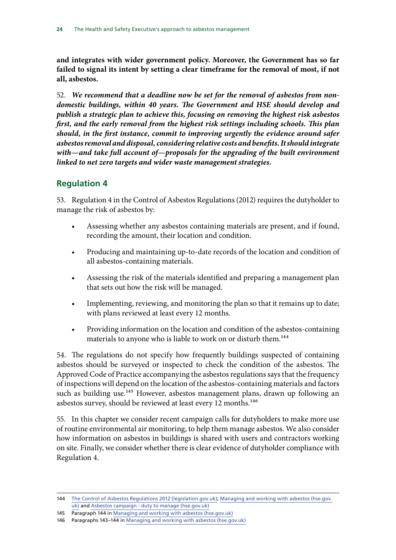<span id="page-24-0"></span>**and integrates with wider government policy. Moreover, the Government has so far failed to signal its intent by setting a clear timeframe for the removal of most, if not all, asbestos.**

52. *We recommend that a deadline now be set for the removal of asbestos from nondomestic buildings, within 40 years. The Government and HSE should develop and publish a strategic plan to achieve this, focusing on removing the highest risk asbestos first, and the early removal from the highest risk settings including schools. This plan should, in the first instance, commit to improving urgently the evidence around safer asbestos removal and disposal, considering relative costs and benefits. It should integrate with—and take full account of—proposals for the upgrading of the built environment linked to net zero targets and wider waste management strategies.*

# **Regulation 4**

53. Regulation 4 in the Control of Asbestos Regulations (2012) requires the dutyholder to manage the risk of asbestos by:

- Assessing whether any asbestos containing materials are present, and if found, recording the amount, their location and condition.
- Producing and maintaining up-to-date records of the location and condition of all asbestos-containing materials.
- Assessing the risk of the materials identified and preparing a management plan that sets out how the risk will be managed.
- Implementing, reviewing, and monitoring the plan so that it remains up to date; with plans reviewed at least every 12 months.
- Providing information on the location and condition of the asbestos-containing materials to anyone who is liable to work on or disturb them.<sup>144</sup>

54. The regulations do not specify how frequently buildings suspected of containing asbestos should be surveyed or inspected to check the condition of the asbestos. The Approved Code of Practice accompanying the asbestos regulations says that the frequency of inspections will depend on the location of the asbestos-containing materials and factors such as building use.<sup>145</sup> However, asbestos management plans, drawn up following an asbestos survey, should be reviewed at least every 12 months.<sup>146</sup>

55. In this chapter we consider recent campaign calls for dutyholders to make more use of routine environmental air monitoring, to help them manage asbestos. We also consider how information on asbestos in buildings is shared with users and contractors working on site. Finally, we consider whether there is clear evidence of dutyholder compliance with Regulation 4.

<sup>144</sup> [The Control of Asbestos Regulations 2012 \(legislation.gov.uk\);](https://www.legislation.gov.uk/uksi/2012/632/regulation/4/made) [Managing and working with asbestos \(hse.gov.](https://www.hse.gov.uk/pubns/priced/l143.pdf) [uk\)](https://www.hse.gov.uk/pubns/priced/l143.pdf) and [Asbestos campaign - duty to manage \(hse.gov.uk\)](https://www.hse.gov.uk/asbestos/duty.htm)

<sup>145</sup> Paragraph 144 in [Managing and working with asbestos \(hse.gov.uk\)](https://www.hse.gov.uk/pubns/priced/l143.pdf)

<sup>146</sup> Paragraphs 143–144 in [Managing and working with asbestos \(hse.gov.uk\)](https://www.hse.gov.uk/pubns/priced/l143.pdf)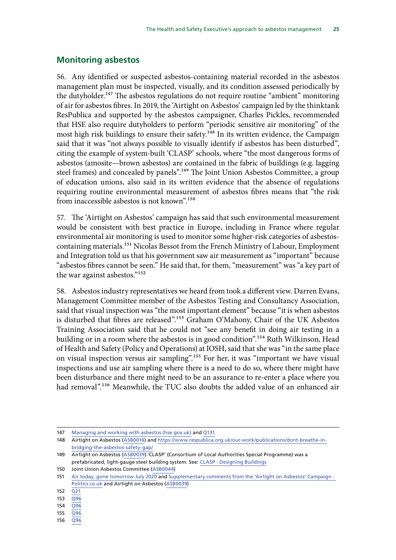## <span id="page-25-0"></span>**Monitoring asbestos**

56. Any identified or suspected asbestos-containing material recorded in the asbestos management plan must be inspected, visually, and its condition assessed periodically by the dutyholder.<sup>147</sup> The asbestos regulations do not require routine "ambient" monitoring of air for asbestos fibres. In 2019, the 'Airtight on Asbestos' campaign led by the thinktank ResPublica and supported by the asbestos campaigner, Charles Pickles, recommended that HSE also require dutyholders to perform "periodic sensitive air monitoring" of the most high risk buildings to ensure their safety.<sup>148</sup> In its written evidence, the Campaign said that it was "not always possible to visually identify if asbestos has been disturbed", citing the example of system-built 'CLASP' schools, where "the most dangerous forms of asbestos (amosite—brown asbestos) are contained in the fabric of buildings (e.g. lagging steel frames) and concealed by panels".<sup>149</sup> The Joint Union Asbestos Committee, a group of education unions, also said in its written evidence that the absence of regulations requiring routine environmental measurement of asbestos fibres means that "the risk from inaccessible asbestos is not known".150

57. The 'Airtight on Asbestos' campaign has said that such environmental measurement would be consistent with best practice in Europe, including in France where regular environmental air monitoring is used to monitor some higher-risk categories of asbestoscontaining materials.<sup>151</sup> Nicolas Bessot from the French Ministry of Labour, Employment and Integration told us that his government saw air measurement as "important" because "asbestos fibres cannot be seen." He said that, for them, "measurement" was "a key part of the war against asbestos."152

58. Asbestos industry representatives we heard from took a different view. Darren Evans, Management Committee member of the Asbestos Testing and Consultancy Association, said that visual inspection was "the most important element" because "it is when asbestos is disturbed that fibres are released".<sup>153</sup> Graham O'Mahony, Chair of the UK Asbestos Training Association said that he could not "see any benefit in doing air testing in a building or in a room where the asbestos is in good condition".<sup>154</sup> Ruth Wilkinson, Head of Health and Safety (Policy and Operations) at IOSH, said that she was "in the same place on visual inspection versus air sampling".155 For her, it was "important we have visual inspections and use air sampling where there is a need to do so, where there might have been disturbance and there might need to be an assurance to re-enter a place where you had removal".<sup>156</sup> Meanwhile, the TUC also doubts the added value of an enhanced air

156 [Q96](https://committees.parliament.uk/oralevidence/3252/pdf/)

<sup>147</sup> [Managing and working with asbestos \(hse.gov.uk\)](https://www.hse.gov.uk/pubns/priced/l143.pdf) and [Q131](https://committees.parliament.uk/oralevidence/9780/html/)

<sup>148</sup> Airtight on Asbestos ([ASB0016](https://committees.parliament.uk/writtenevidence/39313/html/)) and [https://www.respublica.org.uk/our-work/publications/dont-breathe-in](https://www.respublica.org.uk/our-work/publications/dont-breathe-in-bridging-the-asbestos-safety-gap/)[bridging-the-asbestos-safety-gap/](https://www.respublica.org.uk/our-work/publications/dont-breathe-in-bridging-the-asbestos-safety-gap/)

<sup>149</sup> Airtight on Asbestos ([ASB0039\)](https://committees.parliament.uk/writtenevidence/42883/html/).'CLASP' (Consortium of Local Authorities Special Programme) was a prefabricated, light-gauge steel building system. See: [CLASP - Designing Buildings](https://www.designingbuildings.co.uk/wiki/CLASP)

<sup>150</sup> Joint Union Asbestos Committee [\(ASB0044](https://committees.parliament.uk/writtenevidence/106294/html/))

<sup>151</sup> [Air today, gone tomorrow July 2020](https://www.airtightonasbestos.uk/_files/ugd/5e41e6_69da11396e5c44ffad18ab67d23d1953.pdf) and Supplementary comments from the 'Airtight on Asbestos' Campaign -[Politics.co.uk](https://www.politics.co.uk/opinion-former/press-release/2022/01/31/supplementary-comments-from-the-airtight-on-asbestos-campaign/) and Airtight on Asbestos ([ASB0039](https://committees.parliament.uk/writtenevidence/42883/html/))

<sup>152</sup> [Q21](https://committees.parliament.uk/oralevidence/9777/html/)

 $153 \overline{096}$ 

<sup>154</sup> [Q96](https://committees.parliament.uk/oralevidence/3252/pdf/)

<sup>155</sup> [Q96](https://committees.parliament.uk/oralevidence/3252/pdf/)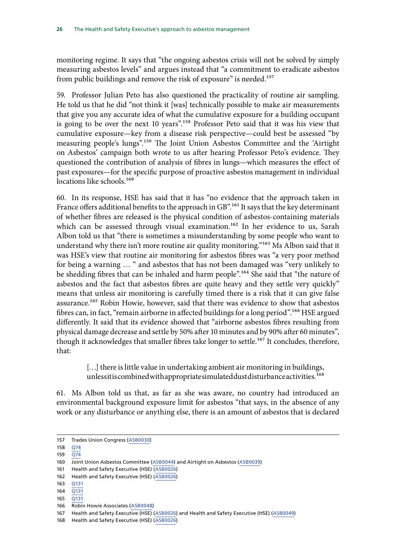monitoring regime. It says that "the ongoing asbestos crisis will not be solved by simply measuring asbestos levels" and argues instead that "a commitment to eradicate asbestos from public buildings and remove the risk of exposure" is needed.<sup>157</sup>

59. Professor Julian Peto has also questioned the practicality of routine air sampling. He told us that he did "not think it [was] technically possible to make air measurements that give you any accurate idea of what the cumulative exposure for a building occupant is going to be over the next 10 years".<sup>158</sup> Professor Peto said that it was his view that cumulative exposure—key from a disease risk perspective—could best be assessed "by measuring people's lungs".159 The Joint Union Asbestos Committee and the 'Airtight on Asbestos' campaign both wrote to us after hearing Professor Peto's evidence. They questioned the contribution of analysis of fibres in lungs—which measures the effect of past exposures—for the specific purpose of proactive asbestos management in individual locations like schools.<sup>160</sup>

60. In its response, HSE has said that it has "no evidence that the approach taken in France offers additional benefits to the approach in GB".<sup>161</sup> It says that the key determinant of whether fibres are released is the physical condition of asbestos-containing materials which can be assessed through visual examination.<sup>162</sup> In her evidence to us, Sarah Albon told us that "there is sometimes a misunderstanding by some people who want to understand why there isn't more routine air quality monitoring."163 Ms Albon said that it was HSE's view that routine air monitoring for asbestos fibres was "a very poor method for being a warning … " and asbestos that has not been damaged was "very unlikely to be shedding fibres that can be inhaled and harm people".164 She said that "the nature of asbestos and the fact that asbestos fibres are quite heavy and they settle very quickly" means that unless air monitoring is carefully timed there is a risk that it can give false assurance.165 Robin Howie, however, said that there was evidence to show that asbestos fibres can, in fact, "remain airborne in affected buildings for a long period".<sup>166</sup> HSE argued differently. It said that its evidence showed that "airborne asbestos fibres resulting from physical damage decrease and settle by 50% after 10 minutes and by 90% after 60 minutes", though it acknowledges that smaller fibres take longer to settle.<sup>167</sup> It concludes, therefore, that:

> [...] there is little value in undertaking ambient air monitoring in buildings, unlessitis combined with appropriate simulated dust disturbance activities.<sup>168</sup>

61. Ms Albon told us that, as far as she was aware, no country had introduced an environmental background exposure limit for asbestos "that says, in the absence of any work or any disturbance or anything else, there is an amount of asbestos that is declared

<sup>157</sup> Trades Union Congress [\(ASB0030](https://committees.parliament.uk/writtenevidence/39430/html/))

<sup>158</sup> [Q74](https://committees.parliament.uk/oralevidence/3252/pdf/)

<sup>159</sup> [Q74](https://committees.parliament.uk/oralevidence/3252/pdf/)

<sup>160</sup> Joint Union Asbestos Committee [\(ASB0044](https://committees.parliament.uk/writtenevidence/106294/html/)) and Airtight on Asbestos ([ASB0039](https://committees.parliament.uk/writtenevidence/42883/html/))

<sup>161</sup> Health and Safety Executive (HSE) [\(ASB0026\)](https://committees.parliament.uk/writtenevidence/39390/html/)

<sup>162</sup> Health and Safety Executive (HSE) [\(ASB0026\)](https://committees.parliament.uk/writtenevidence/39390/html/)

<sup>163</sup> [Q131](https://committees.parliament.uk/oralevidence/9780/html/)

<sup>164</sup> [Q131](https://committees.parliament.uk/oralevidence/9780/html/)

<sup>165</sup> [Q131](https://committees.parliament.uk/oralevidence/9780/html/)

<sup>166</sup> Robin Howie Associates ([ASB0048](https://committees.parliament.uk/writtenevidence/107219/html/))

<sup>167</sup> Health and Safety Executive (HSE) [\(ASB0026\)](https://committees.parliament.uk/writtenevidence/39390/html/) and Health and Safety Executive (HSE) ([ASB0049](https://committees.parliament.uk/writtenevidence/107349/html/))

<sup>168</sup> Health and Safety Executive (HSE) [\(ASB0026\)](https://committees.parliament.uk/writtenevidence/39390/html/)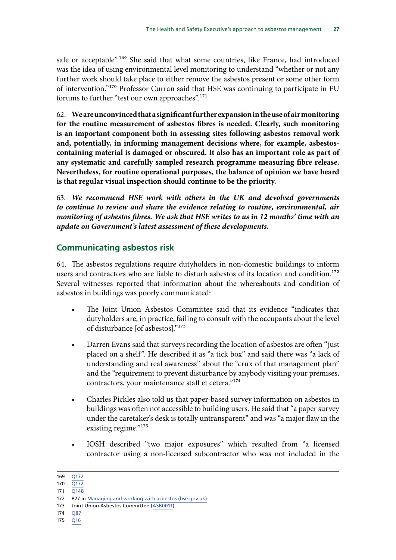<span id="page-27-0"></span>safe or acceptable".<sup>169</sup> She said that what some countries, like France, had introduced was the idea of using environmental level monitoring to understand "whether or not any further work should take place to either remove the asbestos present or some other form of intervention."170 Professor Curran said that HSE was continuing to participate in EU forums to further "test our own approaches".171

62. **We are unconvinced that a significant further expansion in the use of air monitoring for the routine measurement of asbestos fibres is needed. Clearly, such monitoring is an important component both in assessing sites following asbestos removal work and, potentially, in informing management decisions where, for example, asbestoscontaining material is damaged or obscured. It also has an important role as part of any systematic and carefully sampled research programme measuring fibre release. Nevertheless, for routine operational purposes, the balance of opinion we have heard is that regular visual inspection should continue to be the priority.**

63. *We recommend HSE work with others in the UK and devolved governments to continue to review and share the evidence relating to routine, environmental, air monitoring of asbestos fibres. We ask that HSE writes to us in 12 months' time with an update on Government's latest assessment of these developments.*

# **Communicating asbestos risk**

64. The asbestos regulations require dutyholders in non-domestic buildings to inform users and contractors who are liable to disturb asbestos of its location and condition.<sup>172</sup> Several witnesses reported that information about the whereabouts and condition of asbestos in buildings was poorly communicated:

- The Joint Union Asbestos Committee said that its evidence "indicates that dutyholders are, in practice, failing to consult with the occupants about the level of disturbance [of asbestos]."173
- Darren Evans said that surveys recording the location of asbestos are often "just placed on a shelf". He described it as "a tick box" and said there was "a lack of understanding and real awareness" about the "crux of that management plan" and the "requirement to prevent disturbance by anybody visiting your premises, contractors, your maintenance staff et cetera."174
- Charles Pickles also told us that paper-based survey information on asbestos in buildings was often not accessible to building users. He said that "a paper survey under the caretaker's desk is totally untransparent" and was "a major flaw in the existing regime."<sup>175</sup>
- IOSH described "two major exposures" which resulted from "a licensed contractor using a non-licensed subcontractor who was not included in the

174 [Q87](https://committees.parliament.uk/oralevidence/3252/pdf/)

<sup>169</sup> [Q172](https://committees.parliament.uk/oralevidence/9780/html/)

<sup>170</sup> [Q172](https://committees.parliament.uk/oralevidence/9780/html/)

<sup>171</sup> [Q148](https://committees.parliament.uk/oralevidence/9780/html/)

<sup>172</sup> P27 in [Managing and working with asbestos \(hse.gov.uk\)](https://www.hse.gov.uk/pubns/priced/l143.pdf)

<sup>173</sup> Joint Union Asbestos Committee [\(ASB0011\)](https://committees.parliament.uk/writtenevidence/39184/html/)

<sup>175</sup> [Q16](https://committees.parliament.uk/oralevidence/9777/pdf/)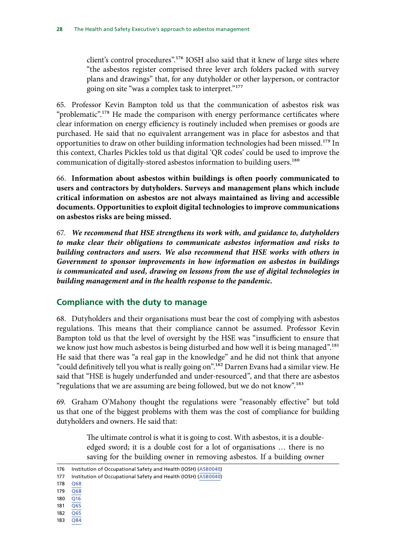<span id="page-28-0"></span>client's control procedures".176 IOSH also said that it knew of large sites where "the asbestos register comprised three lever arch folders packed with survey plans and drawings" that, for any dutyholder or other layperson, or contractor going on site "was a complex task to interpret."177

65. Professor Kevin Bampton told us that the communication of asbestos risk was "problematic".<sup>178</sup> He made the comparison with energy performance certificates where clear information on energy efficiency is routinely included when premises or goods are purchased. He said that no equivalent arrangement was in place for asbestos and that opportunities to draw on other building information technologies had been missed.<sup>179</sup> In this context, Charles Pickles told us that digital 'QR codes' could be used to improve the communication of digitally-stored asbestos information to building users.<sup>180</sup>

66. **Information about asbestos within buildings is often poorly communicated to users and contractors by dutyholders. Surveys and management plans which include critical information on asbestos are not always maintained as living and accessible documents. Opportunities to exploit digital technologies to improve communications on asbestos risks are being missed.**

67. *We recommend that HSE strengthens its work with, and guidance to, dutyholders to make clear their obligations to communicate asbestos information and risks to building contractors and users. We also recommend that HSE works with others in Government to sponsor improvements in how information on asbestos in buildings is communicated and used, drawing on lessons from the use of digital technologies in building management and in the health response to the pandemic.*

#### **Compliance with the duty to manage**

68. Dutyholders and their organisations must bear the cost of complying with asbestos regulations. This means that their compliance cannot be assumed. Professor Kevin Bampton told us that the level of oversight by the HSE was "insufficient to ensure that we know just how much asbestos is being disturbed and how well it is being managed".<sup>181</sup> He said that there was "a real gap in the knowledge" and he did not think that anyone "could definitively tell you what is really going on".182 Darren Evans had a similar view. He said that "HSE is hugely underfunded and under-resourced", and that there are asbestos "regulations that we are assuming are being followed, but we do not know".<sup>183</sup>

69. Graham O'Mahony thought the regulations were "reasonably effective" but told us that one of the biggest problems with them was the cost of compliance for building dutyholders and owners. He said that:

> The ultimate control is what it is going to cost. With asbestos, it is a doubleedged sword; it is a double cost for a lot of organisations … there is no saving for the building owner in removing asbestos. If a building owner

- 178 [Q68](https://committees.parliament.uk/oralevidence/3252/html/)
- 179 [Q68](https://committees.parliament.uk/oralevidence/3252/html/)
- 180 [Q16](https://committees.parliament.uk/oralevidence/9777/pdf/)
- 181 [Q65](https://committees.parliament.uk/oralevidence/3252/html/)
- 182 [Q65](https://committees.parliament.uk/oralevidence/3252/html/)
- 183 [Q84](https://committees.parliament.uk/oralevidence/3252/html/)

<sup>176</sup> Institution of Occupational Safety and Health (IOSH) ([ASB0040\)](https://committees.parliament.uk/writtenevidence/42885/html/)

<sup>177</sup> Institution of Occupational Safety and Health (IOSH) ([ASB0040\)](https://committees.parliament.uk/writtenevidence/42885/html/)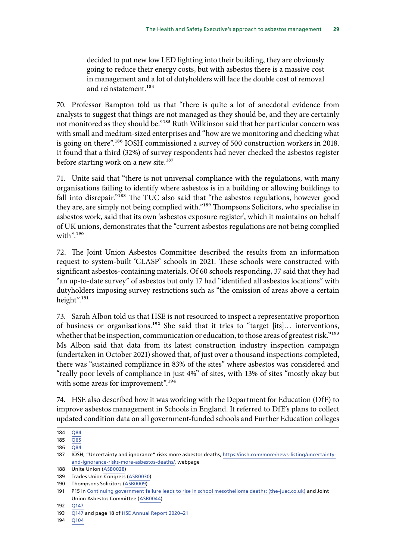decided to put new low LED lighting into their building, they are obviously going to reduce their energy costs, but with asbestos there is a massive cost in management and a lot of dutyholders will face the double cost of removal and reinstatement.<sup>184</sup>

70. Professor Bampton told us that "there is quite a lot of anecdotal evidence from analysts to suggest that things are not managed as they should be, and they are certainly not monitored as they should be."<sup>185</sup> Ruth Wilkinson said that her particular concern was with small and medium-sized enterprises and "how are we monitoring and checking what is going on there".186 IOSH commissioned a survey of 500 construction workers in 2018. It found that a third (32%) of survey respondents had never checked the asbestos register before starting work on a new site.<sup>187</sup>

71. Unite said that "there is not universal compliance with the regulations, with many organisations failing to identify where asbestos is in a building or allowing buildings to fall into disrepair."188 The TUC also said that "the asbestos regulations, however good they are, are simply not being complied with."189 Thompsons Solicitors, who specialise in asbestos work, said that its own 'asbestos exposure register', which it maintains on behalf of UK unions, demonstrates that the "current asbestos regulations are not being complied with".<sup>190</sup>

72. The Joint Union Asbestos Committee described the results from an information request to system-built 'CLASP' schools in 2021. These schools were constructed with significant asbestos-containing materials. Of 60 schools responding, 37 said that they had "an up-to-date survey" of asbestos but only 17 had "identified all asbestos locations" with dutyholders imposing survey restrictions such as "the omission of areas above a certain height".191

73. Sarah Albon told us that HSE is not resourced to inspect a representative proportion of business or organisations.<sup>192</sup> She said that it tries to "target [its]... interventions, whether that be inspection, communication or education, to those areas of greatest risk."<sup>193</sup> Ms Albon said that data from its latest construction industry inspection campaign (undertaken in October 2021) showed that, of just over a thousand inspections completed, there was "sustained compliance in 83% of the sites" where asbestos was considered and "really poor levels of compliance in just 4%" of sites, with 13% of sites "mostly okay but with some areas for improvement".<sup>194</sup>

74. HSE also described how it was working with the Department for Education (DfE) to improve asbestos management in Schools in England. It referred to DfE's plans to collect updated condition data on all government-funded schools and Further Education colleges

194 [Q104](https://committees.parliament.uk/oralevidence/9780/html/)

<sup>184</sup> [Q84](https://committees.parliament.uk/oralevidence/3252/pdf/)

<sup>185</sup> [Q65](https://committees.parliament.uk/oralevidence/3252/html/)

<sup>186</sup> [Q84](https://committees.parliament.uk/oralevidence/3252/html/)

<sup>187</sup> **IOSH**, "Uncertainty and ignorance" risks more asbestos deaths, [https://iosh.com/more/news-listing/uncertainty](https://iosh.com/more/news-listing/uncertainty-and-ignorance-risks-more-asbestos-deaths/)[and-ignorance-risks-more-asbestos-deaths/,](https://iosh.com/more/news-listing/uncertainty-and-ignorance-risks-more-asbestos-deaths/) webpage

<sup>188</sup> Unite Union ([ASB0028](https://committees.parliament.uk/writtenevidence/39419/html/))

<sup>189</sup> Trades Union Congress [\(ASB0030](https://committees.parliament.uk/writtenevidence/39430/html/))

<sup>190</sup> Thompsons Solicitors ([ASB0009](https://committees.parliament.uk/writtenevidence/39167/html/))

<sup>191</sup> P15 in [Continuing government failure leads to rise in school mesothelioma deaths: \(the-juac.co.uk\)](https://the-juac.co.uk/wp-content/uploads/2021/07/Continuing-Government-Failure-leads-to-rise-in-school-mesothelioma-deaths-JUAC-REPORT-02-07-2021-FINAL1.pdf) and Joint Union Asbestos Committee ([ASB0044\)](https://committees.parliament.uk/writtenevidence/106294/html/)

<sup>192</sup> [Q147](https://committees.parliament.uk/oralevidence/9780/html/)

<sup>193</sup> [Q147](https://committees.parliament.uk/oralevidence/9780/html/) and page 18 of [HSE Annual Report 2020–21](https://www.hse.gov.uk/aboutus/reports/ara-2020-21.pdf)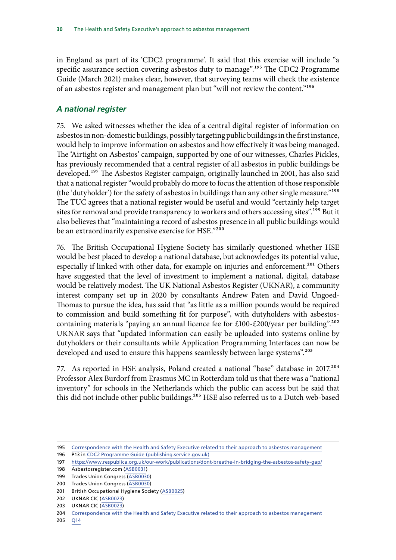<span id="page-30-0"></span>in England as part of its 'CDC2 programme'. It said that this exercise will include "a specific assurance section covering asbestos duty to manage".<sup>195</sup> The CDC2 Programme Guide (March 2021) makes clear, however, that surveying teams will check the existence of an asbestos register and management plan but "will not review the content."196

## *A national register*

75. We asked witnesses whether the idea of a central digital register of information on asbestos in non-domestic buildings, possibly targeting public buildings in the first instance, would help to improve information on asbestos and how effectively it was being managed. The 'Airtight on Asbestos' campaign, supported by one of our witnesses, Charles Pickles, has previously recommended that a central register of all asbestos in public buildings be developed.<sup>197</sup> The Asbestos Register campaign, originally launched in 2001, has also said that a national register "would probably do more to focus the attention of those responsible (the 'dutyholder') for the safety of asbestos in buildings than any other single measure."198 The TUC agrees that a national register would be useful and would "certainly help target sites for removal and provide transparency to workers and others accessing sites".<sup>199</sup> But it also believes that "maintaining a record of asbestos presence in all public buildings would be an extraordinarily expensive exercise for HSE."200

76. The British Occupational Hygiene Society has similarly questioned whether HSE would be best placed to develop a national database, but acknowledges its potential value, especially if linked with other data, for example on injuries and enforcement.<sup>201</sup> Others have suggested that the level of investment to implement a national, digital, database would be relatively modest. The UK National Asbestos Register (UKNAR), a community interest company set up in 2020 by consultants Andrew Paten and David Ungoed-Thomas to pursue the idea, has said that "as little as a million pounds would be required to commission and build something fit for purpose", with dutyholders with asbestoscontaining materials "paying an annual licence fee for £100-£200/year per building".<sup>202</sup> UKNAR says that "updated information can easily be uploaded into systems online by dutyholders or their consultants while Application Programming Interfaces can now be developed and used to ensure this happens seamlessly between large systems".<sup>203</sup>

77. As reported in HSE analysis, Poland created a national "base" database in 2017.204 Professor Alex Burdorf from Erasmus MC in Rotterdam told us that there was a "national inventory" for schools in the Netherlands which the public can access but he said that this did not include other public buildings.<sup>205</sup> HSE also referred us to a Dutch web-based

<sup>195</sup> [Correspondence with the Health and Safety Executive related to their approach to asbestos management](https://committees.parliament.uk/publications/9112/documents/159424/default/)

<sup>196</sup> P13 in [CDC2 Programme Guide \(publishing.service.gov.uk\)](https://assets.publishing.service.gov.uk/government/uploads/system/uploads/attachment_data/file/973890/CDC2_Programme_Guide.pdf)

<sup>197</sup> <https://www.respublica.org.uk/our-work/publications/dont-breathe-in-bridging-the-asbestos-safety-gap/>

<sup>198</sup> Asbestosregister.com [\(ASB0031](https://committees.parliament.uk/writtenevidence/39456/html/))

<sup>199</sup> Trades Union Congress [\(ASB0030](https://committees.parliament.uk/writtenevidence/39430/html/))

<sup>200</sup> Trades Union Congress [\(ASB0030](https://committees.parliament.uk/writtenevidence/39430/html/))

<sup>201</sup> British Occupational Hygiene Society ([ASB0025](https://committees.parliament.uk/writtenevidence/39384/html/))

<sup>202</sup> UKNAR CIC ([ASB0023](https://committees.parliament.uk/writtenevidence/39372/html/))

<sup>203</sup> UKNAR CIC ([ASB0023](https://committees.parliament.uk/writtenevidence/39372/html/))

<sup>204</sup> [Correspondence with the Health and Safety Executive related to their approach to asbestos management](https://committees.parliament.uk/publications/9112/documents/159424/default/)

<sup>205</sup> [Q14](https://committees.parliament.uk/oralevidence/9777/html/)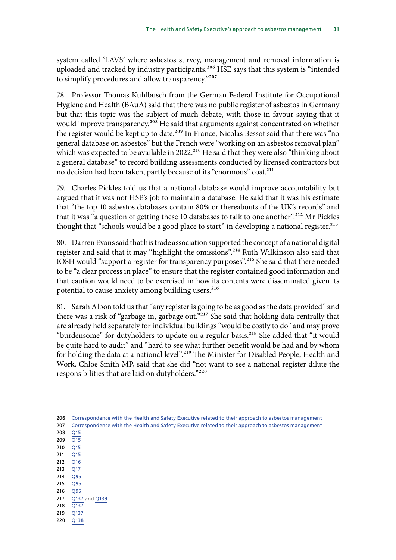system called 'LAVS' where asbestos survey, management and removal information is uploaded and tracked by industry participants.<sup>206</sup> HSE says that this system is "intended to simplify procedures and allow transparency."207

78. Professor Thomas Kuhlbusch from the German Federal Institute for Occupational Hygiene and Health (BAuA) said that there was no public register of asbestos in Germany but that this topic was the subject of much debate, with those in favour saying that it would improve transparency.<sup>208</sup> He said that arguments against concentrated on whether the register would be kept up to date.<sup>209</sup> In France, Nicolas Bessot said that there was "no general database on asbestos" but the French were "working on an asbestos removal plan" which was expected to be available in 2022.<sup>210</sup> He said that they were also "thinking about a general database" to record building assessments conducted by licensed contractors but no decision had been taken, partly because of its "enormous" cost.<sup>211</sup>

79. Charles Pickles told us that a national database would improve accountability but argued that it was not HSE's job to maintain a database. He said that it was his estimate that "the top 10 asbestos databases contain 80% or thereabouts of the UK's records" and that it was "a question of getting these 10 databases to talk to one another".<sup>212</sup> Mr Pickles thought that "schools would be a good place to start" in developing a national register.<sup>213</sup>

80. Darren Evans said that his trade association supported the concept of a national digital register and said that it may "highlight the omissions".214 Ruth Wilkinson also said that IOSH would "support a register for transparency purposes".215 She said that there needed to be "a clear process in place" to ensure that the register contained good information and that caution would need to be exercised in how its contents were disseminated given its potential to cause anxiety among building users.<sup>216</sup>

81. Sarah Albon told us that "any register is going to be as good as the data provided" and there was a risk of "garbage in, garbage out."217 She said that holding data centrally that are already held separately for individual buildings "would be costly to do" and may prove "burdensome" for dutyholders to update on a regular basis.<sup>218</sup> She added that "it would be quite hard to audit" and "hard to see what further benefit would be had and by whom for holding the data at a national level".219 The Minister for Disabled People, Health and Work, Chloe Smith MP, said that she did "not want to see a national register dilute the responsibilities that are laid on dutyholders."220

| 206 | Correspondence with the Health and Safety Executive related to their approach to asbestos management |
|-----|------------------------------------------------------------------------------------------------------|
| 207 | Correspondence with the Health and Safety Executive related to their approach to asbestos management |
| 208 | Q15                                                                                                  |
| 209 | Q15                                                                                                  |
| 210 | Q <sub>15</sub>                                                                                      |
| 211 | Q <sub>15</sub>                                                                                      |
| 212 | Q16                                                                                                  |
| 213 | Q17                                                                                                  |
| 214 | Q95                                                                                                  |
| 215 | Q95                                                                                                  |
| 216 | Q95                                                                                                  |
| 217 | Q137 and Q139                                                                                        |
| 218 | Q137                                                                                                 |
| 219 | Q137                                                                                                 |
| 220 | Q138                                                                                                 |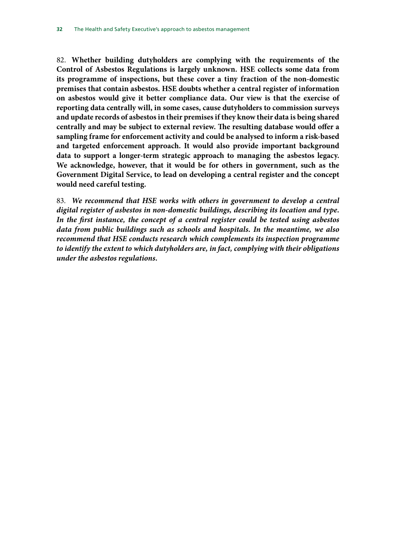82. **Whether building dutyholders are complying with the requirements of the Control of Asbestos Regulations is largely unknown. HSE collects some data from its programme of inspections, but these cover a tiny fraction of the non-domestic premises that contain asbestos. HSE doubts whether a central register of information on asbestos would give it better compliance data. Our view is that the exercise of reporting data centrally will, in some cases, cause dutyholders to commission surveys and update records of asbestos in their premises if they know their data is being shared centrally and may be subject to external review. The resulting database would offer a sampling frame for enforcement activity and could be analysed to inform a risk-based and targeted enforcement approach. It would also provide important background data to support a longer-term strategic approach to managing the asbestos legacy. We acknowledge, however, that it would be for others in government, such as the Government Digital Service, to lead on developing a central register and the concept would need careful testing.**

83. *We recommend that HSE works with others in government to develop a central digital register of asbestos in non-domestic buildings, describing its location and type. In the first instance, the concept of a central register could be tested using asbestos data from public buildings such as schools and hospitals. In the meantime, we also recommend that HSE conducts research which complements its inspection programme to identify the extent to which dutyholders are, in fact, complying with their obligations under the asbestos regulations.*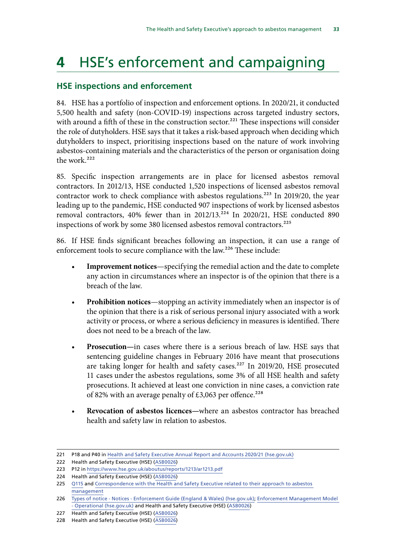# <span id="page-33-0"></span>**4** HSE's enforcement and campaigning

# **HSE inspections and enforcement**

84. HSE has a portfolio of inspection and enforcement options. In 2020/21, it conducted 5,500 health and safety (non-COVID-19) inspections across targeted industry sectors, with around a fifth of these in the construction sector.<sup>221</sup> These inspections will consider the role of dutyholders. HSE says that it takes a risk-based approach when deciding which dutyholders to inspect, prioritising inspections based on the nature of work involving asbestos-containing materials and the characteristics of the person or organisation doing the work.<sup>222</sup>

85. Specific inspection arrangements are in place for licensed asbestos removal contractors. In 2012/13, HSE conducted 1,520 inspections of licensed asbestos removal contractor work to check compliance with asbestos regulations.<sup>223</sup> In 2019/20, the year leading up to the pandemic, HSE conducted 907 inspections of work by licensed asbestos removal contractors, 40% fewer than in 2012/13. $^{224}$  In 2020/21, HSE conducted 890 inspections of work by some 380 licensed asbestos removal contractors.<sup>225</sup>

86. If HSE finds significant breaches following an inspection, it can use a range of enforcement tools to secure compliance with the law.<sup>226</sup> These include:

- **Improvement notices**—specifying the remedial action and the date to complete any action in circumstances where an inspector is of the opinion that there is a breach of the law.
- **Prohibition notices**—stopping an activity immediately when an inspector is of the opinion that there is a risk of serious personal injury associated with a work activity or process, or where a serious deficiency in measures is identified. There does not need to be a breach of the law.
- **Prosecution—**in cases where there is a serious breach of law. HSE says that sentencing guideline changes in February 2016 have meant that prosecutions are taking longer for health and safety cases.<sup>227</sup> In 2019/20, HSE prosecuted 11 cases under the asbestos regulations, some 3% of all HSE health and safety prosecutions. It achieved at least one conviction in nine cases, a conviction rate of 82% with an average penalty of  $£3,063$  per offence.<sup>228</sup>
- **Revocation of asbestos licences—**where an asbestos contractor has breached health and safety law in relation to asbestos.

<sup>221</sup> P18 and P40 in [Health and Safety Executive Annual Report and Accounts 2020/21 \(hse.gov.uk\)](https://www.hse.gov.uk/aboutus/reports/ara-2020-21.pdf)

<sup>222</sup> Health and Safety Executive (HSE) [\(ASB0026\)](https://committees.parliament.uk/writtenevidence/39390/html/)

<sup>223</sup> P12 in <https://www.hse.gov.uk/aboutus/reports/1213/ar1213.pdf>

<sup>224</sup> Health and Safety Executive (HSE) [\(ASB0026\)](https://committees.parliament.uk/writtenevidence/39390/html/)

<sup>225</sup> [Q115](https://committees.parliament.uk/oralevidence/9780/html/) and Correspondence with the Health and Safety Executive related to their approach to asbestos [management](https://committees.parliament.uk/publications/9112/documents/159424/default/)

<sup>226</sup> [Types of notice - Notices - Enforcement Guide \(England & Wales\) \(hse.gov.uk\);](https://www.hse.gov.uk/enforce/enforcementguide/notices/notices-types.htm) [Enforcement Management Model](https://www.hse.gov.uk/enforce/emm.pdf)  [- Operational \(hse.gov.uk\)](https://www.hse.gov.uk/enforce/emm.pdf) and Health and Safety Executive (HSE) ([ASB0026\)](https://committees.parliament.uk/writtenevidence/39390/html/)

<sup>227</sup> Health and Safety Executive (HSE) [\(ASB0026\)](https://committees.parliament.uk/writtenevidence/39390/html/)

<sup>228</sup> Health and Safety Executive (HSE) [\(ASB0026\)](https://committees.parliament.uk/writtenevidence/39390/html/)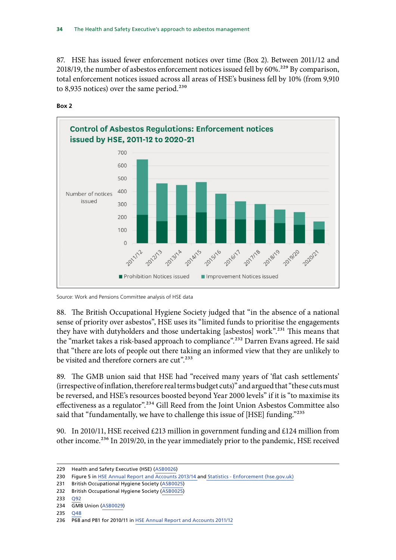87. HSE has issued fewer enforcement notices over time (Box 2). Between 2011/12 and 2018/19, the number of asbestos enforcement notices issued fell by 60%.<sup>229</sup> By comparison, total enforcement notices issued across all areas of HSE's business fell by 10% (from 9,910 to 8,935 notices) over the same period. $230$ 



**Box 2**

Source: Work and Pensions Committee analysis of HSE data

88. The British Occupational Hygiene Society judged that "in the absence of a national sense of priority over asbestos", HSE uses its "limited funds to prioritise the engagements they have with dutyholders and those undertaking [asbestos] work".231 This means that the "market takes a risk-based approach to compliance".<sup>232</sup> Darren Evans agreed. He said that "there are lots of people out there taking an informed view that they are unlikely to be visited and therefore corners are cut".<sup>233</sup>

89. The GMB union said that HSE had "received many years of 'flat cash settlements' (irrespective of inflation, therefore real terms budget cuts)" and argued that "these cuts must be reversed, and HSE's resources boosted beyond Year 2000 levels" if it is "to maximise its effectiveness as a regulator".<sup>234</sup> Gill Reed from the Joint Union Asbestos Committee also said that "fundamentally, we have to challenge this issue of [HSE] funding."235

90. In 2010/11, HSE received £213 million in government funding and £124 million from other income.<sup>236</sup> In 2019/20, in the year immediately prior to the pandemic, HSE received

233 [Q92](https://committees.parliament.uk/oralevidence/3252/pdf/)

<sup>229</sup> Health and Safety Executive (HSE) [\(ASB0026\)](https://committees.parliament.uk/writtenevidence/39390/html/)

<sup>230</sup> Figure 5 in [HSE Annual Report and Accounts 2013/14](https://www.hse.gov.uk/aboutus/reports/1314/ar1314.pdf) and [Statistics - Enforcement \(hse.gov.uk\)](https://www.hse.gov.uk/statistics/enforcement.htm)

<sup>231</sup> British Occupational Hygiene Society ([ASB0025](https://committees.parliament.uk/writtenevidence/39384/html/))

<sup>232</sup> British Occupational Hygiene Society ([ASB0025](https://committees.parliament.uk/writtenevidence/39384/html/))

<sup>234</sup> GMB Union ([ASB0029](https://committees.parliament.uk/writtenevidence/39428/html/))

<sup>235</sup> [Q48](https://committees.parliament.uk/oralevidence/9777/html/)

<sup>236</sup> P68 and P81 for 2010/11 in [HSE Annual Report and Accounts 2011/12](https://www.hse.gov.uk/aboutus/reports/1112/ar1112.pdf)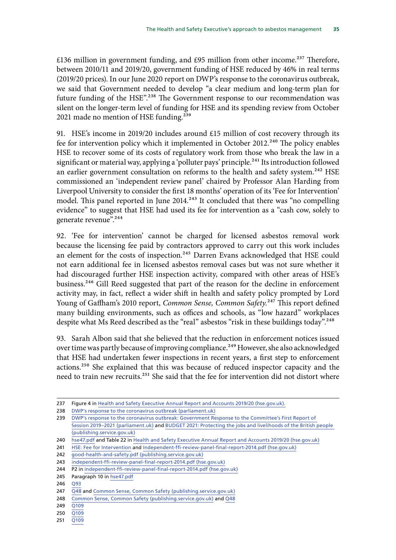£136 million in government funding, and £95 million from other income.<sup>237</sup> Therefore, between 2010/11 and 2019/20, government funding of HSE reduced by 46% in real terms (2019/20 prices). In our June 2020 report on DWP's response to the coronavirus outbreak, we said that Government needed to develop "a clear medium and long-term plan for future funding of the HSE".<sup>238</sup> The Government response to our recommendation was silent on the longer-term level of funding for HSE and its spending review from October 2021 made no mention of HSE funding.<sup>239</sup>

91. HSE's income in 2019/20 includes around £15 million of cost recovery through its fee for intervention policy which it implemented in October 2012.<sup>240</sup> The policy enables HSE to recover some of its costs of regulatory work from those who break the law in a significant or material way, applying a 'polluter pays' principle.<sup>241</sup> Its introduction followed an earlier government consultation on reforms to the health and safety system.<sup>242</sup> HSE commissioned an 'independent review panel' chaired by Professor Alan Harding from Liverpool University to consider the first 18 months' operation of its 'Fee for Intervention' model. This panel reported in June 2014.<sup>243</sup> It concluded that there was "no compelling evidence" to suggest that HSE had used its fee for intervention as a "cash cow, solely to generate revenue".<sup>244</sup>

92. 'Fee for intervention' cannot be charged for licensed asbestos removal work because the licensing fee paid by contractors approved to carry out this work includes an element for the costs of inspection.<sup>245</sup> Darren Evans acknowledged that HSE could not earn additional fee in licensed asbestos removal cases but was not sure whether it had discouraged further HSE inspection activity, compared with other areas of HSE's business.<sup>246</sup> Gill Reed suggested that part of the reason for the decline in enforcement activity may, in fact, reflect a wider shift in health and safety policy prompted by Lord Young of Gaffham's 2010 report, *Common Sense, Common Safety.*<sup>247</sup> This report defined many building environments, such as offices and schools, as "low hazard" workplaces despite what Ms Reed described as the "real" asbestos "risk in these buildings today".<sup>248</sup>

93. Sarah Albon said that she believed that the reduction in enforcement notices issued over time was partly because of improving compliance.<sup>249</sup> However, she also acknowledged that HSE had undertaken fewer inspections in recent years, a first step to enforcement actions.250 She explained that this was because of reduced inspector capacity and the need to train new recruits.<sup>251</sup> She said that the fee for intervention did not distort where

<sup>237</sup> Figure 4 in [Health and Safety Executive Annual Report and Accounts 2019/20 \(hse.gov.uk\)](https://www.hse.gov.uk/aboutus/reports/ara-2020-21.pdf).

<sup>238</sup> [DWP's response to the coronavirus outbreak \(parliament.uk\)](https://committees.parliament.uk/publications/1558/documents/14743/default/)

<sup>239</sup> [DWP's response to the coronavirus outbreak: Government Response to the Committee's First Report of](https://committees.parliament.uk/publications/2376/documents/23786/default/)  [Session 2019–2021 \(parliament.uk\)](https://committees.parliament.uk/publications/2376/documents/23786/default/) and [BUDGET 2021: Protecting the jobs and livelihoods of the British people](https://assets.publishing.service.gov.uk/government/uploads/system/uploads/attachment_data/file/1043688/Budget_AB2021_Print.pdf)  [\(publishing.service.gov.uk\)](https://assets.publishing.service.gov.uk/government/uploads/system/uploads/attachment_data/file/1043688/Budget_AB2021_Print.pdf)

<sup>240</sup> [hse47.pdf](https://www.hse.gov.uk/pubns/hse47.pdf) and Table 22 in [Health and Safety Executive Annual Report and Accounts 2019/20 \(hse.gov.uk\)](https://www.hse.gov.uk/aboutus/reports/ara-2020-21.pdf)

<sup>241</sup> [HSE: Fee for Intervention](https://www.hse.gov.uk/fee-for-intervention/) and [Independent-ffi-review-panel-final-report-2014.pdf \(hse.gov.uk\)](https://www.hse.gov.uk/fee-for-intervention/assets/docs/independent-ffi-review-panel-final-report-2014.pdf)

<sup>242</sup> [good-health-and-safety.pdf \(publishing.service.gov.uk\)](https://assets.publishing.service.gov.uk/government/uploads/system/uploads/attachment_data/file/66745/good-health-and-safety.pdf)

<sup>243</sup> [independent-ffi-review-panel-final-report-2014.pdf \(hse.gov.uk\)](https://www.hse.gov.uk/fee-for-intervention/assets/docs/independent-ffi-review-panel-final-report-2014.pdf)

<sup>244</sup> P2 in [independent-ffi-review-panel-final-report-2014.pdf \(hse.gov.uk\)](https://www.hse.gov.uk/fee-for-intervention/assets/docs/independent-ffi-review-panel-final-report-2014.pdf)

<sup>245</sup> Paragraph 10 in [hse47.pdf](https://www.hse.gov.uk/pubns/hse47.pdf)

<sup>246</sup> [Q93](https://committees.parliament.uk/oralevidence/3252/html/)

<sup>247</sup> [Q48](https://committees.parliament.uk/oralevidence/9777/html/) and [Common Sense, Common Safety \(publishing.service.gov.uk\)](https://assets.publishing.service.gov.uk/government/uploads/system/uploads/attachment_data/file/60905/402906_CommonSense_acc.pdf)

<sup>248</sup> [Common Sense, Common Safety \(publishing.service.gov.uk\)](https://assets.publishing.service.gov.uk/government/uploads/system/uploads/attachment_data/file/60905/402906_CommonSense_acc.pdf) and [Q48](https://committees.parliament.uk/oralevidence/9777/pdf/)

<sup>249</sup> [Q109](https://committees.parliament.uk/oralevidence/9780/html/)

<sup>250</sup> [Q109](https://committees.parliament.uk/oralevidence/9780/html/)

<sup>251</sup> [Q109](https://committees.parliament.uk/oralevidence/9780/html/)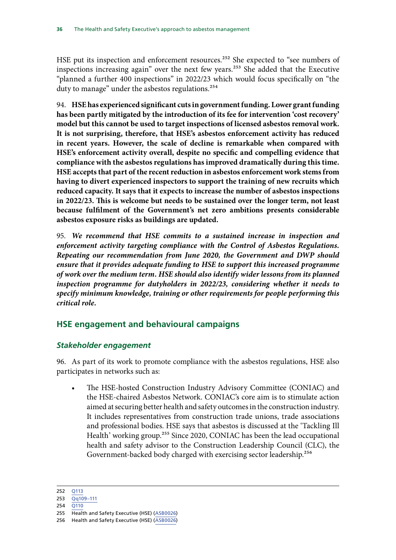<span id="page-36-0"></span>HSE put its inspection and enforcement resources.<sup>252</sup> She expected to "see numbers of inspections increasing again" over the next few years.253 She added that the Executive "planned a further 400 inspections" in 2022/23 which would focus specifically on "the duty to manage" under the asbestos regulations.<sup>254</sup>

94. **HSE has experienced significant cuts in government funding. Lower grant funding has been partly mitigated by the introduction of its fee for intervention 'cost recovery' model but this cannot be used to target inspections of licensed asbestos removal work. It is not surprising, therefore, that HSE's asbestos enforcement activity has reduced in recent years. However, the scale of decline is remarkable when compared with HSE's enforcement activity overall, despite no specific and compelling evidence that compliance with the asbestos regulations has improved dramatically during this time. HSE accepts that part of the recent reduction in asbestos enforcement work stems from having to divert experienced inspectors to support the training of new recruits which reduced capacity. It says that it expects to increase the number of asbestos inspections in 2022/23. This is welcome but needs to be sustained over the longer term, not least because fulfilment of the Government's net zero ambitions presents considerable asbestos exposure risks as buildings are updated.**

95. *We recommend that HSE commits to a sustained increase in inspection and enforcement activity targeting compliance with the Control of Asbestos Regulations. Repeating our recommendation from June 2020, the Government and DWP should ensure that it provides adequate funding to HSE to support this increased programme of work over the medium term. HSE should also identify wider lessons from its planned inspection programme for dutyholders in 2022/23, considering whether it needs to specify minimum knowledge, training or other requirements for people performing this critical role.*

# **HSE engagement and behavioural campaigns**

## *Stakeholder engagement*

96. As part of its work to promote compliance with the asbestos regulations, HSE also participates in networks such as:

• The HSE-hosted Construction Industry Advisory Committee (CONIAC) and the HSE-chaired Asbestos Network. CONIAC's core aim is to stimulate action aimed at securing better health and safety outcomes in the construction industry. It includes representatives from construction trade unions, trade associations and professional bodies. HSE says that asbestos is discussed at the 'Tackling Ill Health' working group.<sup>255</sup> Since 2020, CONIAC has been the lead occupational health and safety advisor to the Construction Leadership Council (CLC), the Government-backed body charged with exercising sector leadership.256

252 [Q113](https://committees.parliament.uk/oralevidence/9780/html/)

254 [Q110](https://committees.parliament.uk/oralevidence/9780/html/)

<sup>253</sup> [Qq109–111](https://committees.parliament.uk/oralevidence/9780/html/)

<sup>255</sup> Health and Safety Executive (HSE) [\(ASB0026\)](https://committees.parliament.uk/writtenevidence/39390/html/)

<sup>256</sup> Health and Safety Executive (HSE) [\(ASB0026\)](https://committees.parliament.uk/writtenevidence/39390/html/)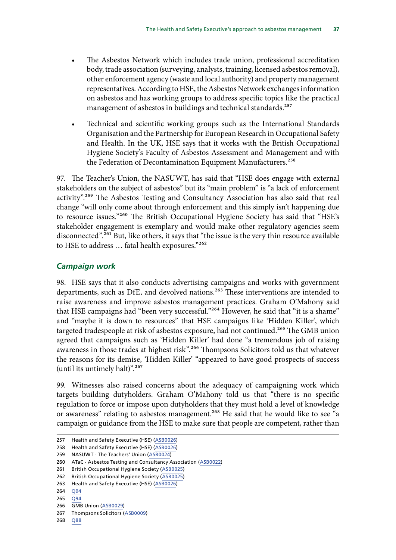- <span id="page-37-0"></span>The Asbestos Network which includes trade union, professional accreditation body, trade association (surveying, analysts, training, licensed asbestos removal), other enforcement agency (waste and local authority) and property management representatives. According to HSE, the Asbestos Network exchanges information on asbestos and has working groups to address specific topics like the practical management of asbestos in buildings and technical standards.<sup>257</sup>
- Technical and scientific working groups such as the International Standards Organisation and the Partnership for European Research in Occupational Safety and Health. In the UK, HSE says that it works with the British Occupational Hygiene Society's Faculty of Asbestos Assessment and Management and with the Federation of Decontamination Equipment Manufacturers.<sup>258</sup>

97. The Teacher's Union, the NASUWT, has said that "HSE does engage with external stakeholders on the subject of asbestos" but its "main problem" is "a lack of enforcement activity".259 The Asbestos Testing and Consultancy Association has also said that real change "will only come about through enforcement and this simply isn't happening due to resource issues."<sup>260</sup> The British Occupational Hygiene Society has said that "HSE's stakeholder engagement is exemplary and would make other regulatory agencies seem disconnected".<sup>261</sup> But, like others, it says that "the issue is the very thin resource available to HSE to address ... fatal health exposures."262

# *Campaign work*

98. HSE says that it also conducts advertising campaigns and works with government departments, such as DfE, and devolved nations.<sup>263</sup> These interventions are intended to raise awareness and improve asbestos management practices. Graham O'Mahony said that HSE campaigns had "been very successful."<sup>264</sup> However, he said that "it is a shame" and "maybe it is down to resources" that HSE campaigns like 'Hidden Killer', which targeted tradespeople at risk of asbestos exposure, had not continued.<sup>265</sup> The GMB union agreed that campaigns such as 'Hidden Killer' had done "a tremendous job of raising awareness in those trades at highest risk".<sup>266</sup> Thompsons Solicitors told us that whatever the reasons for its demise, 'Hidden Killer' "appeared to have good prospects of success (until its untimely halt)".267

99. Witnesses also raised concerns about the adequacy of campaigning work which targets building dutyholders. Graham O'Mahony told us that "there is no specific regulation to force or impose upon dutyholders that they must hold a level of knowledge or awareness" relating to asbestos management.<sup>268</sup> He said that he would like to see "a campaign or guidance from the HSE to make sure that people are competent, rather than

<sup>257</sup> Health and Safety Executive (HSE) [\(ASB0026\)](https://committees.parliament.uk/writtenevidence/39390/html/)

<sup>258</sup> Health and Safety Executive (HSE) [\(ASB0026\)](https://committees.parliament.uk/writtenevidence/39390/html/)

<sup>259</sup> NASUWT - The Teachers' Union ([ASB0024\)](https://committees.parliament.uk/writtenevidence/39382/html/)

<sup>260</sup> ATaC - Asbestos Testing and Consultancy Association ([ASB0022](https://committees.parliament.uk/writtenevidence/39367/html/))

<sup>261</sup> British Occupational Hygiene Society ([ASB0025](https://committees.parliament.uk/writtenevidence/39384/html/))

<sup>262</sup> British Occupational Hygiene Society ([ASB0025](https://committees.parliament.uk/writtenevidence/39384/html/))

<sup>263</sup> Health and Safety Executive (HSE) [\(ASB0026\)](https://committees.parliament.uk/writtenevidence/39390/html/)

<sup>264</sup> [Q94](https://committees.parliament.uk/oralevidence/3252/html/) 265 [Q94](https://committees.parliament.uk/oralevidence/3252/html/)

<sup>266</sup> GMB Union ([ASB0029](https://committees.parliament.uk/writtenevidence/39428/html/))

<sup>267</sup> Thompsons Solicitors ([ASB0009](https://committees.parliament.uk/writtenevidence/39167/html/))

<sup>268</sup> [Q88](https://committees.parliament.uk/oralevidence/3252/html/)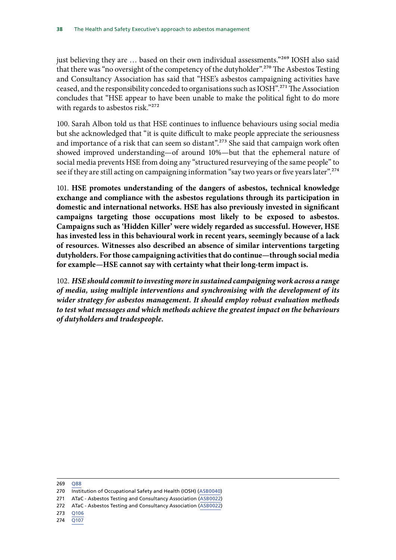just believing they are ... based on their own individual assessments."<sup>269</sup> IOSH also said that there was "no oversight of the competency of the dutyholder".270 The Asbestos Testing and Consultancy Association has said that "HSE's asbestos campaigning activities have ceased, and the responsibility conceded to organisations such as IOSH".271 The Association concludes that "HSE appear to have been unable to make the political fight to do more with regards to asbestos risk."272

100. Sarah Albon told us that HSE continues to influence behaviours using social media but she acknowledged that "it is quite difficult to make people appreciate the seriousness and importance of a risk that can seem so distant".<sup>273</sup> She said that campaign work often showed improved understanding—of around 10%—but that the ephemeral nature of social media prevents HSE from doing any "structured resurveying of the same people" to see if they are still acting on campaigning information "say two years or five years later".<sup>274</sup>

101. **HSE promotes understanding of the dangers of asbestos, technical knowledge exchange and compliance with the asbestos regulations through its participation in domestic and international networks. HSE has also previously invested in significant campaigns targeting those occupations most likely to be exposed to asbestos. Campaigns such as 'Hidden Killer' were widely regarded as successful. However, HSE has invested less in this behavioural work in recent years, seemingly because of a lack of resources. Witnesses also described an absence of similar interventions targeting dutyholders. For those campaigning activities that do continue—through social media for example—HSE cannot say with certainty what their long-term impact is.**

102. *HSE should commit to investing more in sustained campaigning work across a range of media, using multiple interventions and synchronising with the development of its wider strategy for asbestos management. It should employ robust evaluation methods to test what messages and which methods achieve the greatest impact on the behaviours of dutyholders and tradespeople.*

- 271 ATaC Asbestos Testing and Consultancy Association ([ASB0022](https://committees.parliament.uk/writtenevidence/39367/html/))
- 272 ATaC Asbestos Testing and Consultancy Association ([ASB0022](https://committees.parliament.uk/writtenevidence/39367/html/))
- 273 [Q106](https://committees.parliament.uk/oralevidence/9780/html/)
- 274 [Q107](https://committees.parliament.uk/oralevidence/9780/html/)

<sup>269</sup> [Q88](https://committees.parliament.uk/oralevidence/3252/html/)

<sup>270</sup> Institution of Occupational Safety and Health (IOSH) ([ASB0040\)](https://committees.parliament.uk/writtenevidence/42885/html/)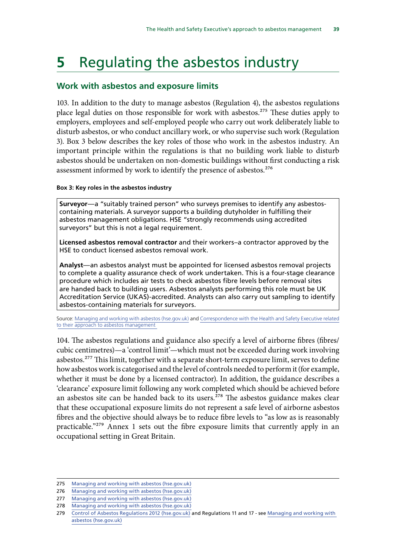# <span id="page-39-0"></span>**5** Regulating the asbestos industry

## **Work with asbestos and exposure limits**

103. In addition to the duty to manage asbestos (Regulation 4), the asbestos regulations place legal duties on those responsible for work with asbestos.<sup>275</sup> These duties apply to employers, employees and self-employed people who carry out work deliberately liable to disturb asbestos, or who conduct ancillary work, or who supervise such work (Regulation 3). Box 3 below describes the key roles of those who work in the asbestos industry. An important principle within the regulations is that no building work liable to disturb asbestos should be undertaken on non-domestic buildings without first conducting a risk assessment informed by work to identify the presence of asbestos.<sup>276</sup>

#### **Box 3: Key roles in the asbestos industry**

**Surveyor**—a "suitably trained person" who surveys premises to identify any asbestoscontaining materials. A surveyor supports a building dutyholder in fulfilling their asbestos management obligations. HSE "strongly recommends using accredited surveyors" but this is not a legal requirement.

**Licensed asbestos removal contractor** and their workers–a contractor approved by the HSE to conduct licensed asbestos removal work.

**Analyst**—an asbestos analyst must be appointed for licensed asbestos removal projects to complete a quality assurance check of work undertaken. This is a four-stage clearance procedure which includes air tests to check asbestos fibre levels before removal sites are handed back to building users. Asbestos analysts performing this role must be UK Accreditation Service (UKAS)-accredited. Analysts can also carry out sampling to identify asbestos-containing materials for surveyors.

Source: [Managing and working with asbestos \(hse.gov.uk\)](https://www.hse.gov.uk/pubns/priced/l143.pdf) and [Correspondence with the Health and Safety Executive related](https://committees.parliament.uk/publications/9112/documents/159424/default/) to their **approach** to asbestos management

104. The asbestos regulations and guidance also specify a level of airborne fibres (fibres/ cubic centimetres)—a 'control limit'—which must not be exceeded during work involving asbestos.<sup>277</sup> This limit, together with a separate short-term exposure limit, serves to define how asbestos work is categorised and the level of controls needed to perform it (for example, whether it must be done by a licensed contractor). In addition, the guidance describes a 'clearance' exposure limit following any work completed which should be achieved before an asbestos site can be handed back to its users. $278$  The asbestos guidance makes clear that these occupational exposure limits do not represent a safe level of airborne asbestos fibres and the objective should always be to reduce fibre levels to "as low as is reasonably practicable."279 Annex 1 sets out the fibre exposure limits that currently apply in an occupational setting in Great Britain.

<sup>275</sup> [Managing and working with asbestos \(hse.gov.uk\)](https://www.hse.gov.uk/pubns/priced/l143.pdf)

<sup>276</sup> [Managing and working with asbestos \(hse.gov.uk\)](https://www.hse.gov.uk/pubns/priced/l143.pdf)

<sup>277</sup> [Managing and working with asbestos \(hse.gov.uk\)](https://www.hse.gov.uk/pubns/priced/l143.pdf)

<sup>278</sup> [Managing and working with asbestos \(hse.gov.uk\)](https://www.hse.gov.uk/pubns/priced/l143.pdf)

<sup>279</sup> [Control of Asbestos Regulations 2012 \(hse.gov.uk\)](https://www.hse.gov.uk/asbestos/regulations.htm) and Regulations 11 and 17 - see [Managing and working with](https://www.hse.gov.uk/pubns/priced/l143.pdf)  [asbestos \(hse.gov.uk\)](https://www.hse.gov.uk/pubns/priced/l143.pdf)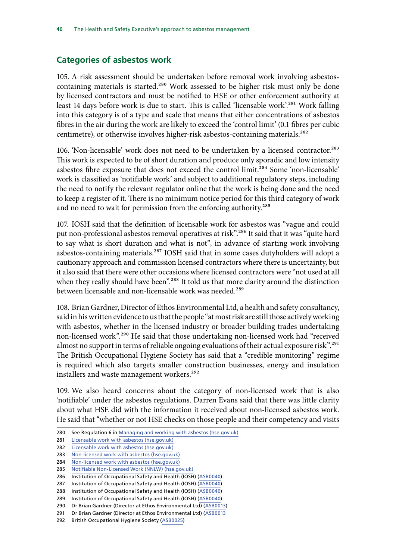## <span id="page-40-0"></span>**Categories of asbestos work**

105. A risk assessment should be undertaken before removal work involving asbestoscontaining materials is started.<sup>280</sup> Work assessed to be higher risk must only be done by licensed contractors and must be notified to HSE or other enforcement authority at least 14 days before work is due to start. This is called 'licensable work'.<sup>281</sup> Work falling into this category is of a type and scale that means that either concentrations of asbestos fibres in the air during the work are likely to exceed the 'control limit' (0.1 fibres per cubic centimetre), or otherwise involves higher-risk asbestos-containing materials.<sup>282</sup>

106. 'Non-licensable' work does not need to be undertaken by a licensed contractor.<sup>283</sup> This work is expected to be of short duration and produce only sporadic and low intensity asbestos fibre exposure that does not exceed the control limit.<sup>284</sup> Some 'non-licensable' work is classified as 'notifiable work' and subject to additional regulatory steps, including the need to notify the relevant regulator online that the work is being done and the need to keep a register of it. There is no minimum notice period for this third category of work and no need to wait for permission from the enforcing authority.<sup>285</sup>

107. IOSH said that the definition of licensable work for asbestos was "vague and could put non-professional asbestos removal operatives at risk".<sup>286</sup> It said that it was "quite hard to say what is short duration and what is not", in advance of starting work involving asbestos-containing materials.<sup>287</sup> IOSH said that in some cases dutyholders will adopt a cautionary approach and commission licensed contractors where there is uncertainty, but it also said that there were other occasions where licensed contractors were "not used at all when they really should have been".<sup>288</sup> It told us that more clarity around the distinction between licensable and non-licensable work was needed.<sup>289</sup>

108. Brian Gardner, Director of Ethos Environmental Ltd, a health and safety consultancy, said in his written evidence to us that the people "at most risk are still those actively working with asbestos, whether in the licensed industry or broader building trades undertaking non-licensed work".<sup>290</sup> He said that those undertaking non-licensed work had "received almost no support in terms of reliable ongoing evaluations of their actual exposure risk".<sup>291</sup> The British Occupational Hygiene Society has said that a "credible monitoring" regime is required which also targets smaller construction businesses, energy and insulation installers and waste management workers.<sup>292</sup>

109. We also heard concerns about the category of non-licensed work that is also 'notifiable' under the asbestos regulations. Darren Evans said that there was little clarity about what HSE did with the information it received about non-licensed asbestos work. He said that "whether or not HSE checks on those people and their competency and visits

286 Institution of Occupational Safety and Health (IOSH) ([ASB0040\)](https://committees.parliament.uk/writtenevidence/42885/html/)

<sup>280</sup> See Regulation 6 in [Managing and working with asbestos \(hse.gov.uk\)](https://www.hse.gov.uk/pubns/priced/l143.pdf)

<sup>281</sup> [Licensable work with asbestos \(hse.gov.uk\)](https://www.hse.gov.uk/asbestos/licensing/licensed-contractor.htm)

<sup>282</sup> [Licensable work with asbestos \(hse.gov.uk\)](https://www.hse.gov.uk/asbestos/licensing/licensed-contractor.htm)

<sup>283</sup> [Non-licensed work with asbestos \(hse.gov.uk\)](https://www.hse.gov.uk/asbestos/licensing/non-licensed-work.htm)

<sup>284</sup> [Non-licensed work with asbestos \(hse.gov.uk\)](https://www.hse.gov.uk/asbestos/licensing/non-licensed-work.htm)

<sup>285</sup> [Notifiable Non-Licensed Work \(NNLW\) \(hse.gov.uk\)](https://www.hse.gov.uk/asbestos/licensing/notifiable-non-licensed-work.htm)

<sup>287</sup> Institution of Occupational Safety and Health (IOSH) ([ASB0040\)](https://committees.parliament.uk/writtenevidence/42885/html/)

<sup>288</sup> Institution of Occupational Safety and Health (IOSH) ([ASB0040\)](https://committees.parliament.uk/writtenevidence/42885/html/)

<sup>289</sup> Institution of Occupational Safety and Health (IOSH) ([ASB0040\)](https://committees.parliament.uk/writtenevidence/42885/html/)

<sup>290</sup> Dr Brian Gardner (Director at Ethos Environmental Ltd) ([ASB0013](https://committees.parliament.uk/writtenevidence/39210/html/))

<sup>291</sup> Dr Brian Gardner (Director at Ethos Environmental Ltd) ([ASB0013](https://committees.parliament.uk/writtenevidence/39210/html/)

<sup>292</sup> British Occupational Hygiene Society ([ASB0025](https://committees.parliament.uk/writtenevidence/39384/html/))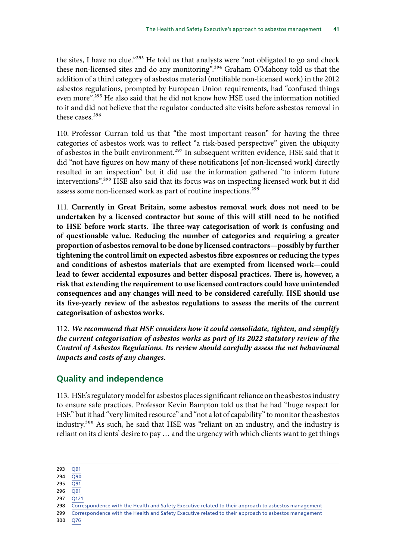<span id="page-41-0"></span>the sites, I have no clue."293 He told us that analysts were "not obligated to go and check these non-licensed sites and do any monitoring".294 Graham O'Mahony told us that the addition of a third category of asbestos material (notifiable non-licensed work) in the 2012 asbestos regulations, prompted by European Union requirements, had "confused things even more".<sup>295</sup> He also said that he did not know how HSE used the information notified to it and did not believe that the regulator conducted site visits before asbestos removal in these cases.<sup>296</sup>

110. Professor Curran told us that "the most important reason" for having the three categories of asbestos work was to reflect "a risk-based perspective" given the ubiquity of asbestos in the built environment.<sup>297</sup> In subsequent written evidence, HSE said that it did "not have figures on how many of these notifications [of non-licensed work] directly resulted in an inspection" but it did use the information gathered "to inform future interventions".298 HSE also said that its focus was on inspecting licensed work but it did assess some non-licensed work as part of routine inspections.<sup>299</sup>

111. **Currently in Great Britain, some asbestos removal work does not need to be undertaken by a licensed contractor but some of this will still need to be notified to HSE before work starts. The three-way categorisation of work is confusing and of questionable value. Reducing the number of categories and requiring a greater proportion of asbestos removal to be done by licensed contractors—possibly by further tightening the control limit on expected asbestos fibre exposures or reducing the types and conditions of asbestos materials that are exempted from licensed work—could lead to fewer accidental exposures and better disposal practices. There is, however, a risk that extending the requirement to use licensed contractors could have unintended consequences and any changes will need to be considered carefully. HSE should use its five-yearly review of the asbestos regulations to assess the merits of the current categorisation of asbestos works.**

112. *We recommend that HSE considers how it could consolidate, tighten, and simplify the current categorisation of asbestos works as part of its 2022 statutory review of the Control of Asbestos Regulations. Its review should carefully assess the net behavioural impacts and costs of any changes.*

## **Quality and independence**

113. HSE's regulatory model for asbestos places significant reliance on the asbestos industry to ensure safe practices. Professor Kevin Bampton told us that he had "huge respect for HSE" but it had "very limited resource" and "not a lot of capability" to monitor the asbestos industry.300 As such, he said that HSE was "reliant on an industry, and the industry is reliant on its clients' desire to pay … and the urgency with which clients want to get things

<sup>293</sup> [Q91](https://committees.parliament.uk/oralevidence/3252/html/)  $294 \ \ 090$ 

<sup>295</sup> [Q91](https://committees.parliament.uk/oralevidence/3252/html/)

 $296 \quad \overline{Q91}$  $296 \quad \overline{Q91}$  $296 \quad \overline{Q91}$ 

 $297 \overline{0121}$ 

<sup>298</sup> [Correspondence with the Health and Safety Executive related to their approach to asbestos management](https://committees.parliament.uk/publications/9112/documents/159424/default/) 299 [Correspondence with the Health and Safety Executive related to their approach to asbestos management](https://committees.parliament.uk/publications/9112/documents/159424/default/)

<sup>300</sup> [Q76](https://committees.parliament.uk/oralevidence/3252/pdf/)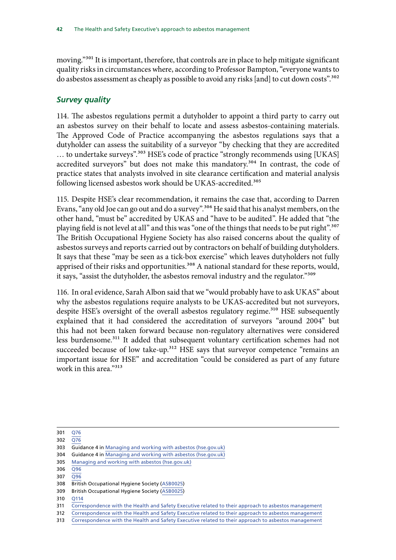<span id="page-42-0"></span>moving."<sup>301</sup> It is important, therefore, that controls are in place to help mitigate significant quality risks in circumstances where, according to Professor Bampton, "everyone wants to do asbestos assessment as cheaply as possible to avoid any risks [and] to cut down costs".302

#### *Survey quality*

114. The asbestos regulations permit a dutyholder to appoint a third party to carry out an asbestos survey on their behalf to locate and assess asbestos-containing materials. The Approved Code of Practice accompanying the asbestos regulations says that a dutyholder can assess the suitability of a surveyor "by checking that they are accredited ... to undertake surveys".<sup>303</sup> HSE's code of practice "strongly recommends using [UKAS] accredited surveyors" but does not make this mandatory.<sup>304</sup> In contrast, the code of practice states that analysts involved in site clearance certification and material analysis following licensed asbestos work should be UKAS-accredited.<sup>305</sup>

115. Despite HSE's clear recommendation, it remains the case that, according to Darren Evans, "any old Joe can go out and do a survey".306 He said that his analyst members, on the other hand, "must be" accredited by UKAS and "have to be audited". He added that "the playing field is not level at all" and this was "one of the things that needs to be put right".<sup>307</sup> The British Occupational Hygiene Society has also raised concerns about the quality of asbestos surveys and reports carried out by contractors on behalf of building dutyholders. It says that these "may be seen as a tick-box exercise" which leaves dutyholders not fully apprised of their risks and opportunities.<sup>308</sup> A national standard for these reports, would, it says, "assist the dutyholder, the asbestos removal industry and the regulator."<sup>309</sup>

116. In oral evidence, Sarah Albon said that we "would probably have to ask UKAS" about why the asbestos regulations require analysts to be UKAS-accredited but not surveyors, despite HSE's oversight of the overall asbestos regulatory regime.<sup>310</sup> HSE subsequently explained that it had considered the accreditation of surveyors "around 2004" but this had not been taken forward because non-regulatory alternatives were considered less burdensome.311 It added that subsequent voluntary certification schemes had not succeeded because of low take-up.<sup>312</sup> HSE says that surveyor competence "remains an important issue for HSE" and accreditation "could be considered as part of any future work in this area."<sup>313</sup>

- 309 British Occupational Hygiene Society ([ASB0025](https://committees.parliament.uk/writtenevidence/39384/html/))
- 310 [Q114](https://committees.parliament.uk/oralevidence/9780/html/)

<sup>301</sup> [Q76](https://committees.parliament.uk/oralevidence/3252/pdf/)

<sup>302</sup> [Q76](https://committees.parliament.uk/oralevidence/3252/pdf/)

<sup>303</sup> Guidance 4 in [Managing and working with asbestos \(hse.gov.uk\)](https://www.hse.gov.uk/pubns/priced/l143.pdf)

<sup>304</sup> Guidance 4 in [Managing and working with asbestos \(hse.gov.uk\)](https://www.hse.gov.uk/pubns/priced/l143.pdf)

<sup>305</sup> [Managing and working with asbestos \(hse.gov.uk\)](https://www.hse.gov.uk/pubns/priced/l143.pdf)

<sup>306</sup> [Q96](https://committees.parliament.uk/oralevidence/3252/html/)

<sup>307</sup> [Q96](https://committees.parliament.uk/oralevidence/3252/html/)

<sup>308</sup> British Occupational Hygiene Society ([ASB0025](https://committees.parliament.uk/writtenevidence/39384/html/))

<sup>311</sup> [Correspondence with the Health and Safety Executive related to their approach to asbestos management](https://committees.parliament.uk/publications/9112/documents/159424/default/)

<sup>312</sup> [Correspondence with the Health and Safety Executive related to their approach to asbestos management](https://committees.parliament.uk/publications/9112/documents/159424/default/)

<sup>313</sup> [Correspondence with the Health and Safety Executive related to their approach to asbestos management](https://committees.parliament.uk/publications/9112/documents/159424/default/)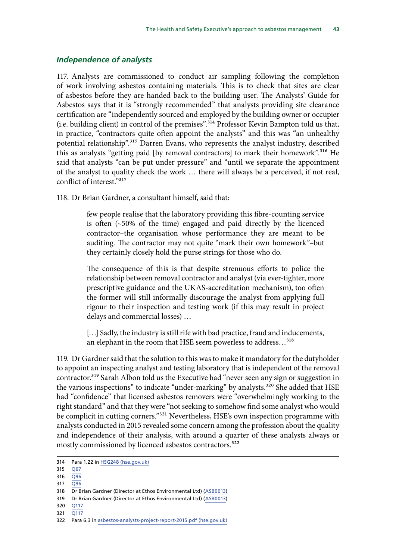#### <span id="page-43-0"></span>*Independence of analysts*

117. Analysts are commissioned to conduct air sampling following the completion of work involving asbestos containing materials. This is to check that sites are clear of asbestos before they are handed back to the building user. The Analysts' Guide for Asbestos says that it is "strongly recommended" that analysts providing site clearance certification are "independently sourced and employed by the building owner or occupier (i.e. building client) in control of the premises".314 Professor Kevin Bampton told us that, in practice, "contractors quite often appoint the analysts" and this was "an unhealthy potential relationship".315 Darren Evans, who represents the analyst industry, described this as analysts "getting paid [by removal contractors] to mark their homework".<sup>316</sup> He said that analysts "can be put under pressure" and "until we separate the appointment of the analyst to quality check the work … there will always be a perceived, if not real, conflict of interest<sup>"317</sup>

118. Dr Brian Gardner, a consultant himself, said that:

few people realise that the laboratory providing this fibre-counting service is often (~50% of the time) engaged and paid directly by the licenced contractor–the organisation whose performance they are meant to be auditing. The contractor may not quite "mark their own homework"–but they certainly closely hold the purse strings for those who do.

The consequence of this is that despite strenuous efforts to police the relationship between removal contractor and analyst (via ever-tighter, more prescriptive guidance and the UKAS-accreditation mechanism), too often the former will still informally discourage the analyst from applying full rigour to their inspection and testing work (if this may result in project delays and commercial losses) …

[...] Sadly, the industry is still rife with bad practice, fraud and inducements, an elephant in the room that HSE seem powerless to address…318

119. Dr Gardner said that the solution to this was to make it mandatory for the dutyholder to appoint an inspecting analyst and testing laboratory that is independent of the removal contractor.<sup>319</sup> Sarah Albon told us the Executive had "never seen any sign or suggestion in the various inspections" to indicate "under-marking" by analysts.<sup>320</sup> She added that HSE had "confidence" that licensed asbestos removers were "overwhelmingly working to the right standard" and that they were "not seeking to somehow find some analyst who would be complicit in cutting corners."<sup>321</sup> Nevertheless, HSE's own inspection programme with analysts conducted in 2015 revealed some concern among the profession about the quality and independence of their analysis, with around a quarter of these analysts always or mostly commissioned by licenced asbestos contractors.<sup>322</sup>

- 320 [Q117](https://committees.parliament.uk/oralevidence/9780/html/)
- 321 O117

<sup>314</sup> Para 1.22 in [HSG248 \(hse.gov.uk\)](https://www.hse.gov.uk/pubns/priced/hsg248.pdf)

<sup>315</sup> [Q67](https://committees.parliament.uk/oralevidence/3252/html/)

<sup>316</sup>  $\overline{O96}$ 

<sup>317</sup> [Q96](https://committees.parliament.uk/oralevidence/3252/html/)

<sup>318</sup> Dr Brian Gardner (Director at Ethos Environmental Ltd) ([ASB0013](https://committees.parliament.uk/writtenevidence/39210/html/))

<sup>319</sup> Dr Brian Gardner (Director at Ethos Environmental Ltd) ([ASB0013](https://committees.parliament.uk/writtenevidence/39210/html/))

<sup>322</sup> Para 6.3 in [asbestos-analysts-project-report-2015.pdf \(hse.gov.uk\)](https://www.hse.gov.uk/asbestos/assets/docs/asbestos-analysts-project-report-2015.pdf)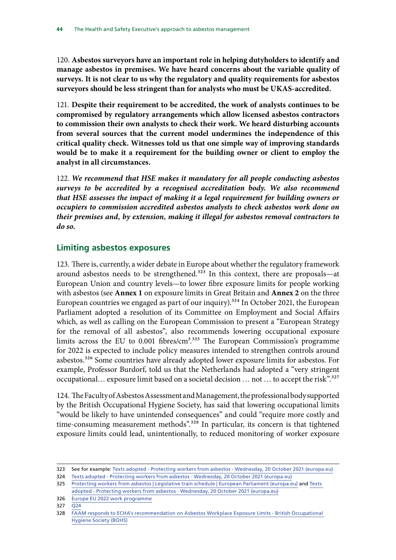<span id="page-44-0"></span>120. **Asbestos surveyors have an important role in helping dutyholders to identify and manage asbestos in premises. We have heard concerns about the variable quality of surveys. It is not clear to us why the regulatory and quality requirements for asbestos surveyors should be less stringent than for analysts who must be UKAS-accredited.**

121. **Despite their requirement to be accredited, the work of analysts continues to be compromised by regulatory arrangements which allow licensed asbestos contractors to commission their own analysts to check their work. We heard disturbing accounts from several sources that the current model undermines the independence of this critical quality check. Witnesses told us that one simple way of improving standards would be to make it a requirement for the building owner or client to employ the analyst in all circumstances.**

122. *We recommend that HSE makes it mandatory for all people conducting asbestos surveys to be accredited by a recognised accreditation body. We also recommend that HSE assesses the impact of making it a legal requirement for building owners or occupiers to commission accredited asbestos analysts to check asbestos work done on their premises and, by extension, making it illegal for asbestos removal contractors to do so.*

## **Limiting asbestos exposures**

123. There is, currently, a wider debate in Europe about whether the regulatory framework around asbestos needs to be strengthened.<sup>323</sup> In this context, there are proposals—at European Union and country levels—to lower fibre exposure limits for people working with asbestos (see **Annex 1** on exposure limits in Great Britain and **Annex 2** on the three European countries we engaged as part of our inquiry).<sup>324</sup> In October 2021, the European Parliament adopted a resolution of its Committee on Employment and Social Affairs which, as well as calling on the European Commission to present a "European Strategy for the removal of all asbestos", also recommends lowering occupational exposure limits across the EU to  $0.001$  fibres/cm<sup>3,325</sup> The European Commission's programme for 2022 is expected to include policy measures intended to strengthen controls around asbestos.<sup>326</sup> Some countries have already adopted lower exposure limits for asbestos. For example, Professor Burdorf, told us that the Netherlands had adopted a "very stringent occupational... exposure limit based on a societal decision ... not ... to accept the risk".<sup>327</sup>

124. The Faculty of Asbestos Assessment and Management, the professional body supported by the British Occupational Hygiene Society, has said that lowering occupational limits "would be likely to have unintended consequences" and could "require more costly and time-consuming measurement methods".<sup>328</sup> In particular, its concern is that tightened exposure limits could lead, unintentionally, to reduced monitoring of worker exposure

326 [Europe EU 2022 work programme](https://eur-lex.europa.eu/resource.html?uri=cellar%3A9fb5131e-30e9-11ec-bd8e-01aa75ed71a1.0001.02/DOC_1&format=PDF)

327 [Q24](https://committees.parliament.uk/oralevidence/9777/pdf/)

<sup>323</sup> See for example: [Texts adopted - Protecting workers from asbestos - Wednesday, 20 October 2021 \(europa.eu\)](https://www.europarl.europa.eu/doceo/document/TA-9-2021-0427_EN.html)

<sup>324</sup> [Texts adopted - Protecting workers from asbestos - Wednesday, 20 October 2021 \(europa.eu\)](https://www.europarl.europa.eu/doceo/document/TA-9-2021-0427_EN.html)

<sup>325</sup> [Protecting workers from asbestos | Legislative train schedule | European Parliament \(europa.eu\)](https://www.europarl.europa.eu/legislative-train/theme-an-economy-that-works-for-people/file-protecting-workers-from-asbestos) and [Texts](https://www.europarl.europa.eu/doceo/document/TA-9-2021-0427_EN.html) 

[adopted - Protecting workers from asbestos - Wednesday, 20 October 2021 \(europa.eu\)](https://www.europarl.europa.eu/doceo/document/TA-9-2021-0427_EN.html)

<sup>328</sup> [FAAM responds to ECHA's recommendation on Asbestos Workplace Exposure Limits - British Occupational](https://www.bohs.org/media-resources/press-releases/detail/faam-responds-to-echas-recommendation-on-asbestos-workplace-exposure-limits/)  [Hygiene Society \(BOHS\)](https://www.bohs.org/media-resources/press-releases/detail/faam-responds-to-echas-recommendation-on-asbestos-workplace-exposure-limits/)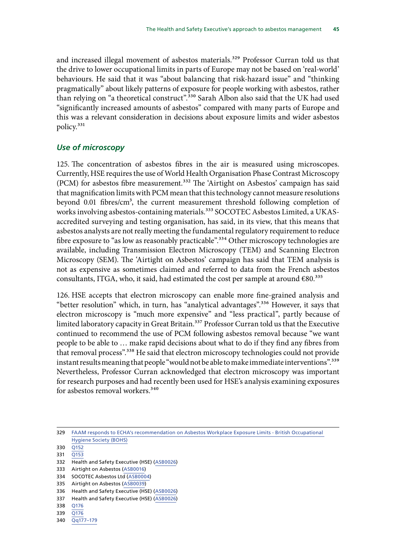<span id="page-45-0"></span>and increased illegal movement of asbestos materials.<sup>329</sup> Professor Curran told us that the drive to lower occupational limits in parts of Europe may not be based on 'real-world' behaviours. He said that it was "about balancing that risk-hazard issue" and "thinking pragmatically" about likely patterns of exposure for people working with asbestos, rather than relying on "a theoretical construct".<sup>330</sup> Sarah Albon also said that the UK had used "significantly increased amounts of asbestos" compared with many parts of Europe and this was a relevant consideration in decisions about exposure limits and wider asbestos policy.<sup>331</sup>

#### *Use of microscopy*

125. The concentration of asbestos fibres in the air is measured using microscopes. Currently, HSE requires the use of World Health Organisation Phase Contrast Microscopy (PCM) for asbestos fibre measurement.332 The 'Airtight on Asbestos' campaign has said that magnification limits with PCM mean that this technology cannot measure resolutions beyond 0.01 fibres/cm<sup>3</sup>, the current measurement threshold following completion of works involving asbestos-containing materials.<sup>333</sup> SOCOTEC Asbestos Limited, a UKASaccredited surveying and testing organisation, has said, in its view, that this means that asbestos analysts are not really meeting the fundamental regulatory requirement to reduce fibre exposure to "as low as reasonably practicable".<sup>334</sup> Other microscopy technologies are available, including Transmission Electron Microscopy (TEM) and Scanning Electron Microscopy (SEM). The 'Airtight on Asbestos' campaign has said that TEM analysis is not as expensive as sometimes claimed and referred to data from the French asbestos consultants, ITGA, who, it said, had estimated the cost per sample at around  $\epsilon$ 80.<sup>335</sup>

126. HSE accepts that electron microscopy can enable more fine-grained analysis and "better resolution" which, in turn, has "analytical advantages".<sup>336</sup> However, it says that electron microscopy is "much more expensive" and "less practical", partly because of limited laboratory capacity in Great Britain.<sup>337</sup> Professor Curran told us that the Executive continued to recommend the use of PCM following asbestos removal because "we want people to be able to … make rapid decisions about what to do if they find any fibres from that removal process".<sup>338</sup> He said that electron microscopy technologies could not provide instant results meaning that people "would not be able to make immediate interventions".<sup>339</sup> Nevertheless, Professor Curran acknowledged that electron microscopy was important for research purposes and had recently been used for HSE's analysis examining exposures for asbestos removal workers.<sup>340</sup>

- 333 Airtight on Asbestos ([ASB0016](https://committees.parliament.uk/writtenevidence/39313/html/))
- 334 SOCOTEC Asbestos Ltd ([ASB0004](https://committees.parliament.uk/writtenevidence/39071/html/))

- 337 Health and Safety Executive (HSE) [\(ASB0026\)](https://committees.parliament.uk/writtenevidence/39390/html/)
- 338 [Q176](https://committees.parliament.uk/oralevidence/9780/html/)
- 339 [Q176](https://committees.parliament.uk/oralevidence/9780/html/)
- 340 [Qq177–179](https://committees.parliament.uk/oralevidence/9780/html/)

<sup>329</sup> [FAAM responds to ECHA's recommendation on Asbestos Workplace Exposure Limits - British Occupational](https://www.bohs.org/media-resources/press-releases/detail/faam-responds-to-echas-recommendation-on-asbestos-workplace-exposure-limits/)  [Hygiene Society \(BOHS\)](https://www.bohs.org/media-resources/press-releases/detail/faam-responds-to-echas-recommendation-on-asbestos-workplace-exposure-limits/)

<sup>330</sup> [Q152](https://committees.parliament.uk/oralevidence/9780/html/)

<sup>331</sup> [Q153](https://committees.parliament.uk/oralevidence/9780/html/)

<sup>332</sup> Health and Safety Executive (HSE) [\(ASB0026\)](https://committees.parliament.uk/writtenevidence/39390/html/)

<sup>335</sup> Airtight on Asbestos ([ASB0039\)](https://committees.parliament.uk/writtenevidence/42883/html/)

<sup>336</sup> Health and Safety Executive (HSE) [\(ASB0026\)](https://committees.parliament.uk/writtenevidence/39390/html/)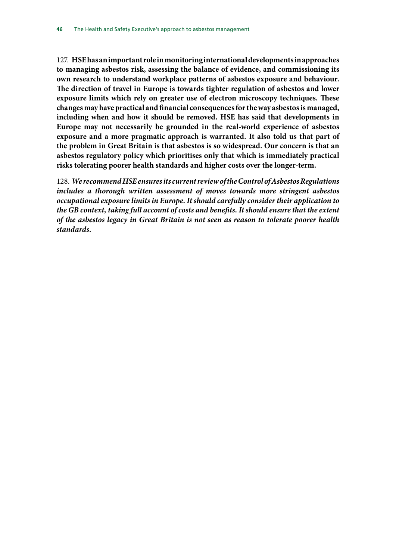127. **HSE has an important role in monitoring international developments in approaches to managing asbestos risk, assessing the balance of evidence, and commissioning its own research to understand workplace patterns of asbestos exposure and behaviour. The direction of travel in Europe is towards tighter regulation of asbestos and lower exposure limits which rely on greater use of electron microscopy techniques. These changes may have practical and financial consequences for the way asbestos is managed, including when and how it should be removed. HSE has said that developments in Europe may not necessarily be grounded in the real-world experience of asbestos exposure and a more pragmatic approach is warranted. It also told us that part of the problem in Great Britain is that asbestos is so widespread. Our concern is that an asbestos regulatory policy which prioritises only that which is immediately practical risks tolerating poorer health standards and higher costs over the longer-term.**

128. *We recommend HSE ensures its current review of the Control of Asbestos Regulations includes a thorough written assessment of moves towards more stringent asbestos occupational exposure limits in Europe. It should carefully consider their application to the GB context, taking full account of costs and benefits. It should ensure that the extent of the asbestos legacy in Great Britain is not seen as reason to tolerate poorer health standards.*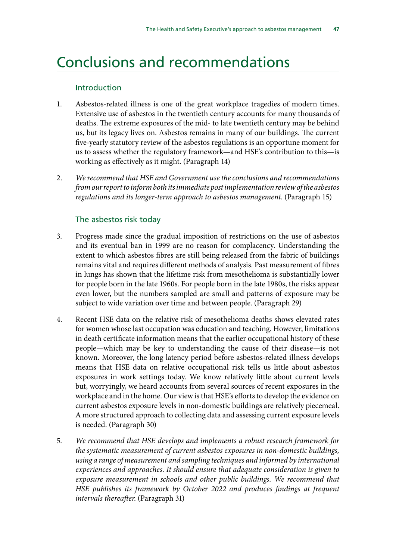# <span id="page-47-0"></span>Conclusions and recommendations

#### Introduction

- 1. Asbestos-related illness is one of the great workplace tragedies of modern times. Extensive use of asbestos in the twentieth century accounts for many thousands of deaths. The extreme exposures of the mid- to late twentieth century may be behind us, but its legacy lives on. Asbestos remains in many of our buildings. The current five-yearly statutory review of the asbestos regulations is an opportune moment for us to assess whether the regulatory framework—and HSE's contribution to this—is working as effectively as it might. (Paragraph 14)
- 2. *We recommend that HSE and Government use the conclusions and recommendations from our report to inform both its immediate post implementation review of the asbestos regulations and its longer-term approach to asbestos management*. (Paragraph 15)

#### The asbestos risk today

- 3. Progress made since the gradual imposition of restrictions on the use of asbestos and its eventual ban in 1999 are no reason for complacency. Understanding the extent to which asbestos fibres are still being released from the fabric of buildings remains vital and requires different methods of analysis. Past measurement of fibres in lungs has shown that the lifetime risk from mesothelioma is substantially lower for people born in the late 1960s. For people born in the late 1980s, the risks appear even lower, but the numbers sampled are small and patterns of exposure may be subject to wide variation over time and between people. (Paragraph 29)
- 4. Recent HSE data on the relative risk of mesothelioma deaths shows elevated rates for women whose last occupation was education and teaching. However, limitations in death certificate information means that the earlier occupational history of these people—which may be key to understanding the cause of their disease—is not known. Moreover, the long latency period before asbestos-related illness develops means that HSE data on relative occupational risk tells us little about asbestos exposures in work settings today. We know relatively little about current levels but, worryingly, we heard accounts from several sources of recent exposures in the workplace and in the home. Our view is that HSE's efforts to develop the evidence on current asbestos exposure levels in non-domestic buildings are relatively piecemeal. A more structured approach to collecting data and assessing current exposure levels is needed. (Paragraph 30)
- 5. *We recommend that HSE develops and implements a robust research framework for the systematic measurement of current asbestos exposures in non-domestic buildings, using a range of measurement and sampling techniques and informed by international experiences and approaches. It should ensure that adequate consideration is given to exposure measurement in schools and other public buildings. We recommend that HSE publishes its framework by October 2022 and produces findings at frequent intervals thereafter*. (Paragraph 31)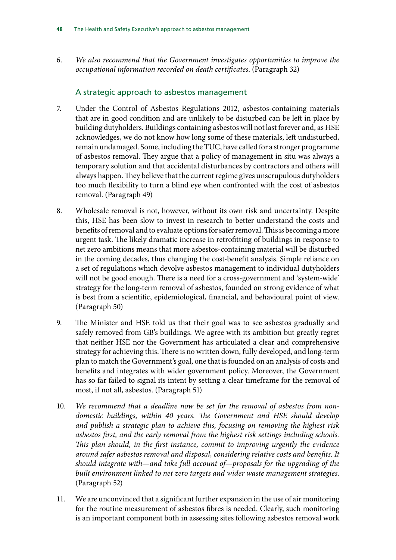6. *We also recommend that the Government investigates opportunities to improve the occupational information recorded on death certificates*. (Paragraph 32)

## A strategic approach to asbestos management

- 7. Under the Control of Asbestos Regulations 2012, asbestos-containing materials that are in good condition and are unlikely to be disturbed can be left in place by building dutyholders. Buildings containing asbestos will not last forever and, as HSE acknowledges, we do not know how long some of these materials, left undisturbed, remain undamaged. Some, including the TUC, have called for a stronger programme of asbestos removal. They argue that a policy of management in situ was always a temporary solution and that accidental disturbances by contractors and others will always happen. They believe that the current regime gives unscrupulous dutyholders too much flexibility to turn a blind eye when confronted with the cost of asbestos removal. (Paragraph 49)
- 8. Wholesale removal is not, however, without its own risk and uncertainty. Despite this, HSE has been slow to invest in research to better understand the costs and benefits of removal and to evaluate options for safer removal. This is becoming a more urgent task. The likely dramatic increase in retrofitting of buildings in response to net zero ambitions means that more asbestos-containing material will be disturbed in the coming decades, thus changing the cost-benefit analysis. Simple reliance on a set of regulations which devolve asbestos management to individual dutyholders will not be good enough. There is a need for a cross-government and 'system-wide' strategy for the long-term removal of asbestos, founded on strong evidence of what is best from a scientific, epidemiological, financial, and behavioural point of view. (Paragraph 50)
- 9. The Minister and HSE told us that their goal was to see asbestos gradually and safely removed from GB's buildings. We agree with its ambition but greatly regret that neither HSE nor the Government has articulated a clear and comprehensive strategy for achieving this. There is no written down, fully developed, and long-term plan to match the Government's goal, one that is founded on an analysis of costs and benefits and integrates with wider government policy. Moreover, the Government has so far failed to signal its intent by setting a clear timeframe for the removal of most, if not all, asbestos. (Paragraph 51)
- 10. *We recommend that a deadline now be set for the removal of asbestos from nondomestic buildings, within 40 years. The Government and HSE should develop and publish a strategic plan to achieve this, focusing on removing the highest risk asbestos first, and the early removal from the highest risk settings including schools. This plan should, in the first instance, commit to improving urgently the evidence around safer asbestos removal and disposal, considering relative costs and benefits. It should integrate with—and take full account of—proposals for the upgrading of the built environment linked to net zero targets and wider waste management strategies*. (Paragraph 52)
- 11. We are unconvinced that a significant further expansion in the use of air monitoring for the routine measurement of asbestos fibres is needed. Clearly, such monitoring is an important component both in assessing sites following asbestos removal work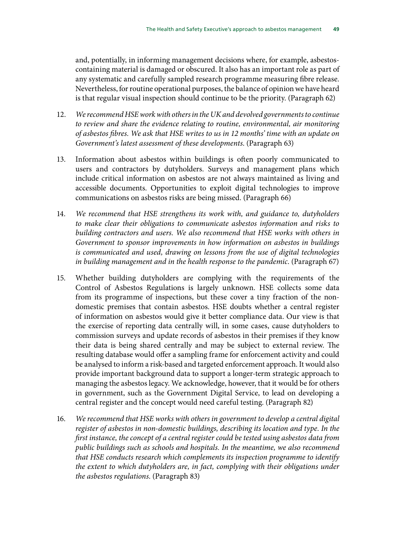and, potentially, in informing management decisions where, for example, asbestoscontaining material is damaged or obscured. It also has an important role as part of any systematic and carefully sampled research programme measuring fibre release. Nevertheless, for routine operational purposes, the balance of opinion we have heard is that regular visual inspection should continue to be the priority. (Paragraph 62)

- 12. *We recommend HSE work with others in the UK and devolved governments to continue to review and share the evidence relating to routine, environmental, air monitoring of asbestos fibres. We ask that HSE writes to us in 12 months' time with an update on Government's latest assessment of these developments*. (Paragraph 63)
- 13. Information about asbestos within buildings is often poorly communicated to users and contractors by dutyholders. Surveys and management plans which include critical information on asbestos are not always maintained as living and accessible documents. Opportunities to exploit digital technologies to improve communications on asbestos risks are being missed. (Paragraph 66)
- 14. *We recommend that HSE strengthens its work with, and guidance to, dutyholders to make clear their obligations to communicate asbestos information and risks to building contractors and users. We also recommend that HSE works with others in Government to sponsor improvements in how information on asbestos in buildings is communicated and used, drawing on lessons from the use of digital technologies in building management and in the health response to the pandemic*. (Paragraph 67)
- 15. Whether building dutyholders are complying with the requirements of the Control of Asbestos Regulations is largely unknown. HSE collects some data from its programme of inspections, but these cover a tiny fraction of the nondomestic premises that contain asbestos. HSE doubts whether a central register of information on asbestos would give it better compliance data. Our view is that the exercise of reporting data centrally will, in some cases, cause dutyholders to commission surveys and update records of asbestos in their premises if they know their data is being shared centrally and may be subject to external review. The resulting database would offer a sampling frame for enforcement activity and could be analysed to inform a risk-based and targeted enforcement approach. It would also provide important background data to support a longer-term strategic approach to managing the asbestos legacy. We acknowledge, however, that it would be for others in government, such as the Government Digital Service, to lead on developing a central register and the concept would need careful testing. (Paragraph 82)
- 16. *We recommend that HSE works with others in government to develop a central digital register of asbestos in non-domestic buildings, describing its location and type. In the first instance, the concept of a central register could be tested using asbestos data from public buildings such as schools and hospitals. In the meantime, we also recommend that HSE conducts research which complements its inspection programme to identify the extent to which dutyholders are, in fact, complying with their obligations under the asbestos regulations*. (Paragraph 83)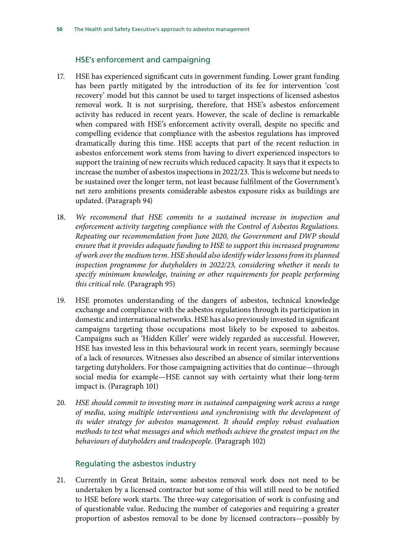#### HSE's enforcement and campaigning

- 17. HSE has experienced significant cuts in government funding. Lower grant funding has been partly mitigated by the introduction of its fee for intervention 'cost recovery' model but this cannot be used to target inspections of licensed asbestos removal work. It is not surprising, therefore, that HSE's asbestos enforcement activity has reduced in recent years. However, the scale of decline is remarkable when compared with HSE's enforcement activity overall, despite no specific and compelling evidence that compliance with the asbestos regulations has improved dramatically during this time. HSE accepts that part of the recent reduction in asbestos enforcement work stems from having to divert experienced inspectors to support the training of new recruits which reduced capacity. It says that it expects to increase the number of asbestos inspections in 2022/23. This is welcome but needs to be sustained over the longer term, not least because fulfilment of the Government's net zero ambitions presents considerable asbestos exposure risks as buildings are updated. (Paragraph 94)
- 18. *We recommend that HSE commits to a sustained increase in inspection and enforcement activity targeting compliance with the Control of Asbestos Regulations. Repeating our recommendation from June 2020, the Government and DWP should ensure that it provides adequate funding to HSE to support this increased programme of work over the medium term. HSE should also identify wider lessons from its planned inspection programme for dutyholders in 2022/23, considering whether it needs to specify minimum knowledge, training or other requirements for people performing this critical role*. (Paragraph 95)
- 19. HSE promotes understanding of the dangers of asbestos, technical knowledge exchange and compliance with the asbestos regulations through its participation in domestic and international networks. HSE has also previously invested in significant campaigns targeting those occupations most likely to be exposed to asbestos. Campaigns such as 'Hidden Killer' were widely regarded as successful. However, HSE has invested less in this behavioural work in recent years, seemingly because of a lack of resources. Witnesses also described an absence of similar interventions targeting dutyholders. For those campaigning activities that do continue—through social media for example—HSE cannot say with certainty what their long-term impact is. (Paragraph 101)
- 20. *HSE should commit to investing more in sustained campaigning work across a range of media, using multiple interventions and synchronising with the development of its wider strategy for asbestos management. It should employ robust evaluation methods to test what messages and which methods achieve the greatest impact on the behaviours of dutyholders and tradespeople*. (Paragraph 102)

#### Regulating the asbestos industry

21. Currently in Great Britain, some asbestos removal work does not need to be undertaken by a licensed contractor but some of this will still need to be notified to HSE before work starts. The three-way categorisation of work is confusing and of questionable value. Reducing the number of categories and requiring a greater proportion of asbestos removal to be done by licensed contractors—possibly by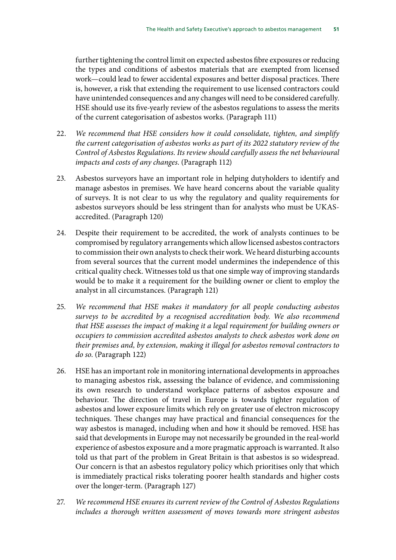further tightening the control limit on expected asbestos fibre exposures or reducing the types and conditions of asbestos materials that are exempted from licensed work—could lead to fewer accidental exposures and better disposal practices. There is, however, a risk that extending the requirement to use licensed contractors could have unintended consequences and any changes will need to be considered carefully. HSE should use its five-yearly review of the asbestos regulations to assess the merits of the current categorisation of asbestos works. (Paragraph 111)

- 22. *We recommend that HSE considers how it could consolidate, tighten, and simplify the current categorisation of asbestos works as part of its 2022 statutory review of the Control of Asbestos Regulations. Its review should carefully assess the net behavioural impacts and costs of any changes*. (Paragraph 112)
- 23. Asbestos surveyors have an important role in helping dutyholders to identify and manage asbestos in premises. We have heard concerns about the variable quality of surveys. It is not clear to us why the regulatory and quality requirements for asbestos surveyors should be less stringent than for analysts who must be UKASaccredited. (Paragraph 120)
- 24. Despite their requirement to be accredited, the work of analysts continues to be compromised by regulatory arrangements which allow licensed asbestos contractors to commission their own analysts to check their work. We heard disturbing accounts from several sources that the current model undermines the independence of this critical quality check. Witnesses told us that one simple way of improving standards would be to make it a requirement for the building owner or client to employ the analyst in all circumstances. (Paragraph 121)
- 25. *We recommend that HSE makes it mandatory for all people conducting asbestos surveys to be accredited by a recognised accreditation body. We also recommend that HSE assesses the impact of making it a legal requirement for building owners or occupiers to commission accredited asbestos analysts to check asbestos work done on their premises and, by extension, making it illegal for asbestos removal contractors to do so*. (Paragraph 122)
- 26. HSE has an important role in monitoring international developments in approaches to managing asbestos risk, assessing the balance of evidence, and commissioning its own research to understand workplace patterns of asbestos exposure and behaviour. The direction of travel in Europe is towards tighter regulation of asbestos and lower exposure limits which rely on greater use of electron microscopy techniques. These changes may have practical and financial consequences for the way asbestos is managed, including when and how it should be removed. HSE has said that developments in Europe may not necessarily be grounded in the real-world experience of asbestos exposure and a more pragmatic approach is warranted. It also told us that part of the problem in Great Britain is that asbestos is so widespread. Our concern is that an asbestos regulatory policy which prioritises only that which is immediately practical risks tolerating poorer health standards and higher costs over the longer-term. (Paragraph 127)
- 27. *We recommend HSE ensures its current review of the Control of Asbestos Regulations includes a thorough written assessment of moves towards more stringent asbestos*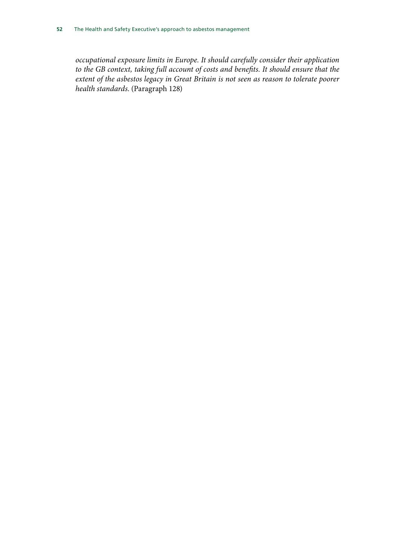*occupational exposure limits in Europe. It should carefully consider their application to the GB context, taking full account of costs and benefits. It should ensure that the extent of the asbestos legacy in Great Britain is not seen as reason to tolerate poorer health standards*. (Paragraph 128)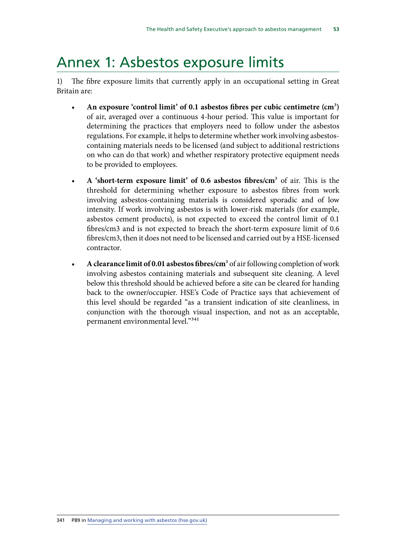# <span id="page-53-0"></span>Annex 1: Asbestos exposure limits

1) The fibre exposure limits that currently apply in an occupational setting in Great Britain are:

- An exposure 'control limit' of 0.1 asbestos fibres per cubic centimetre (cm<sup>3</sup>) of air, averaged over a continuous 4-hour period. This value is important for determining the practices that employers need to follow under the asbestos regulations. For example, it helps to determine whether work involving asbestoscontaining materials needs to be licensed (and subject to additional restrictions on who can do that work) and whether respiratory protective equipment needs to be provided to employees.
- A 'short-term exposure limit' of 0.6 asbestos fibres/cm<sup>3</sup> of air. This is the threshold for determining whether exposure to asbestos fibres from work involving asbestos-containing materials is considered sporadic and of low intensity. If work involving asbestos is with lower-risk materials (for example, asbestos cement products), is not expected to exceed the control limit of 0.1 fibres/cm3 and is not expected to breach the short-term exposure limit of 0.6 fibres/cm3, then it does not need to be licensed and carried out by a HSE-licensed contractor.
- A **clearance limit of 0.01 asbestos fibres/cm<sup>3</sup> of air following completion of work** involving asbestos containing materials and subsequent site cleaning. A level below this threshold should be achieved before a site can be cleared for handing back to the owner/occupier. HSE's Code of Practice says that achievement of this level should be regarded "as a transient indication of site cleanliness, in conjunction with the thorough visual inspection, and not as an acceptable, permanent environmental level."341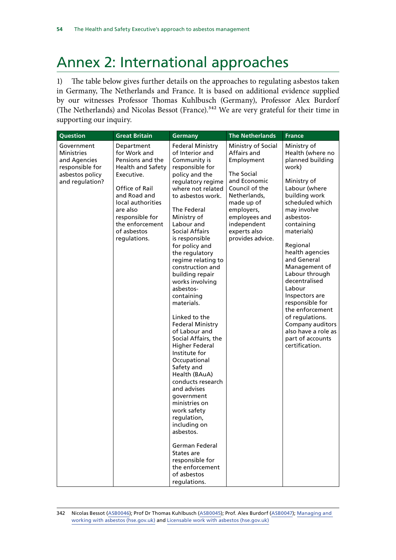# <span id="page-54-0"></span>Annex 2: International approaches

1) The table below gives further details on the approaches to regulating asbestos taken in Germany, The Netherlands and France. It is based on additional evidence supplied by our witnesses Professor Thomas Kuhlbusch (Germany), Professor Alex Burdorf (The Netherlands) and Nicolas Bessot (France).<sup>342</sup> We are very grateful for their time in supporting our inquiry.

| Question                                                                                                 | <b>Great Britain</b>                                                                                                                                                                                                      | <b>Germany</b>                                                                                                                                                                                                                                                                                                                                                                                                                                                                                                                                                                                                                                                                                                                                                                                                              | <b>The Netherlands</b>                                                                                                                                                                                          | <b>France</b>                                                                                                                                                                                                                                                                                                                                                                                                                                                    |
|----------------------------------------------------------------------------------------------------------|---------------------------------------------------------------------------------------------------------------------------------------------------------------------------------------------------------------------------|-----------------------------------------------------------------------------------------------------------------------------------------------------------------------------------------------------------------------------------------------------------------------------------------------------------------------------------------------------------------------------------------------------------------------------------------------------------------------------------------------------------------------------------------------------------------------------------------------------------------------------------------------------------------------------------------------------------------------------------------------------------------------------------------------------------------------------|-----------------------------------------------------------------------------------------------------------------------------------------------------------------------------------------------------------------|------------------------------------------------------------------------------------------------------------------------------------------------------------------------------------------------------------------------------------------------------------------------------------------------------------------------------------------------------------------------------------------------------------------------------------------------------------------|
| Government<br><b>Ministries</b><br>and Agencies<br>responsible for<br>asbestos policy<br>and regulation? | Department<br>for Work and<br>Pensions and the<br>Health and Safety<br>Executive.<br>Office of Rail<br>and Road and<br>local authorities<br>are also<br>responsible for<br>the enforcement<br>of asbestos<br>regulations. | <b>Federal Ministry</b><br>of Interior and<br>Community is<br>responsible for<br>policy and the<br>regulatory regime<br>where not related<br>to asbestos work.<br>The Federal<br>Ministry of<br>Labour and<br>Social Affairs<br>is responsible<br>for policy and<br>the regulatory<br>regime relating to<br>construction and<br>building repair<br>works involving<br>asbestos-<br>containing<br>materials.<br>Linked to the<br><b>Federal Ministry</b><br>of Labour and<br>Social Affairs, the<br><b>Higher Federal</b><br>Institute for<br>Occupational<br>Safety and<br>Health (BAuA)<br>conducts research<br>and advises<br>government<br>ministries on<br>work safety<br>regulation,<br>including on<br>asbestos.<br>German Federal<br>States are<br>responsible for<br>the enforcement<br>of asbestos<br>regulations. | Ministry of Social<br>Affairs and<br>Employment<br>The Social<br>and Economic<br>Council of the<br>Netherlands,<br>made up of<br>employers,<br>employees and<br>independent<br>experts also<br>provides advice. | Ministry of<br>Health (where no<br>planned building<br>work)<br>Ministry of<br>Labour (where<br>building work<br>scheduled which<br>may involve<br>asbestos-<br>containing<br>materials)<br>Regional<br>health agencies<br>and General<br>Management of<br>Labour through<br>decentralised<br>Labour<br>Inspectors are<br>responsible for<br>the enforcement<br>of regulations.<br>Company auditors<br>also have a role as<br>part of accounts<br>certification. |

342 Nicolas Bessot ([ASB0046\)](https://committees.parliament.uk/writtenevidence/106891/html/); Prof Dr Thomas Kuhlbusch [\(ASB0045](https://committees.parliament.uk/writtenevidence/106890/html/)); Prof. Alex Burdorf ([ASB0047\)](https://committees.parliament.uk/writtenevidence/106892/html/); [Managing and](https://www.hse.gov.uk/pubns/priced/l143.pdf)  [working with asbestos \(hse.gov.uk\)](https://www.hse.gov.uk/pubns/priced/l143.pdf) and [Licensable work with asbestos \(hse.gov.uk\)](https://www.hse.gov.uk/asbestos/licensing/licensed-contractor.htm)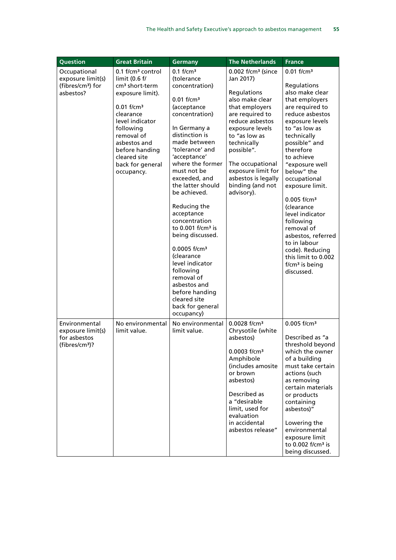|                                                                                             | <b>Great Britain</b>                                                                                                                                                                                                                                                        |                                                                                                                                                                                                                                                                                                                                                                                                                                                                                                                                                                                                   |                                                                                                                                                                                                                                                                                                                                       | <b>France</b>                                                                                                                                                                                                                                                                                                                                                                                                                                                                                   |
|---------------------------------------------------------------------------------------------|-----------------------------------------------------------------------------------------------------------------------------------------------------------------------------------------------------------------------------------------------------------------------------|---------------------------------------------------------------------------------------------------------------------------------------------------------------------------------------------------------------------------------------------------------------------------------------------------------------------------------------------------------------------------------------------------------------------------------------------------------------------------------------------------------------------------------------------------------------------------------------------------|---------------------------------------------------------------------------------------------------------------------------------------------------------------------------------------------------------------------------------------------------------------------------------------------------------------------------------------|-------------------------------------------------------------------------------------------------------------------------------------------------------------------------------------------------------------------------------------------------------------------------------------------------------------------------------------------------------------------------------------------------------------------------------------------------------------------------------------------------|
| Question<br>Occupational<br>exposure limit(s)<br>(fibres/cm <sup>3</sup> ) for<br>asbestos? | 0.1 f/cm <sup>3</sup> control<br>limit (0.6 f/<br>cm <sup>3</sup> short-term<br>exposure limit).<br>$0.01$ f/cm <sup>3</sup><br>clearance<br>level indicator<br>following<br>removal of<br>asbestos and<br>before handing<br>cleared site<br>back for general<br>occupancy. | <b>Germany</b><br>$0.1$ f/cm <sup>3</sup><br>(tolerance<br>concentration)<br>$0.01$ f/cm <sup>3</sup><br>(acceptance<br>concentration)<br>In Germany a<br>distinction is<br>made between<br>'tolerance' and<br>'acceptance'<br>where the former<br>must not be<br>exceeded, and<br>the latter should<br>be achieved.<br>Reducing the<br>acceptance<br>concentration<br>to $0.001$ f/cm <sup>3</sup> is<br>being discussed.<br>$0.0005$ f/cm <sup>3</sup><br><i>(clearance</i><br>level indicator<br>following<br>removal of<br>asbestos and<br>before handing<br>cleared site<br>back for general | <b>The Netherlands</b><br>$0.002$ f/cm <sup>3</sup> (since<br>Jan 2017)<br>Regulations<br>also make clear<br>that employers<br>are required to<br>reduce asbestos<br>exposure levels<br>to "as low as<br>technically<br>possible".<br>The occupational<br>exposure limit for<br>asbestos is legally<br>binding (and not<br>advisory). | $0.01$ f/cm <sup>3</sup><br>Regulations<br>also make clear<br>that employers<br>are required to<br>reduce asbestos<br>exposure levels<br>to "as low as<br>technically<br>possible" and<br>therefore<br>to achieve<br>"exposure well<br>below" the<br>occupational<br>exposure limit.<br>$0.005$ f/cm <sup>3</sup><br>(clearance<br>level indicator<br>following<br>removal of<br>asbestos, referred<br>to in labour<br>code). Reducing<br>this limit to 0.002<br>$f/cm3$ is being<br>discussed. |
| Environmental<br>exposure limit(s)<br>for asbestos<br>$(fibres/cm3)$ ?                      | No environmental<br>limit value.                                                                                                                                                                                                                                            | occupancy)<br>No environmental<br>limit value.                                                                                                                                                                                                                                                                                                                                                                                                                                                                                                                                                    | 0.0028 f/cm <sup>3</sup><br>Chrysotile (white<br>asbestos)<br>0.0003 f/cm <sup>3</sup><br>Amphibole<br>(includes amosite<br>or brown<br>asbestos)<br>Described as<br>a "desirable<br>limit, used for<br>evaluation<br>in accidental<br>asbestos release"                                                                              | $0.005$ f/cm <sup>3</sup><br>Described as "a<br>threshold beyond<br>which the owner<br>of a building<br>must take certain<br>actions (such<br>as removing<br>certain materials<br>or products<br>containing<br>asbestos)"<br>Lowering the<br>environmental<br>exposure limit<br>to 0.002 f/cm <sup>3</sup> is<br>being discussed.                                                                                                                                                               |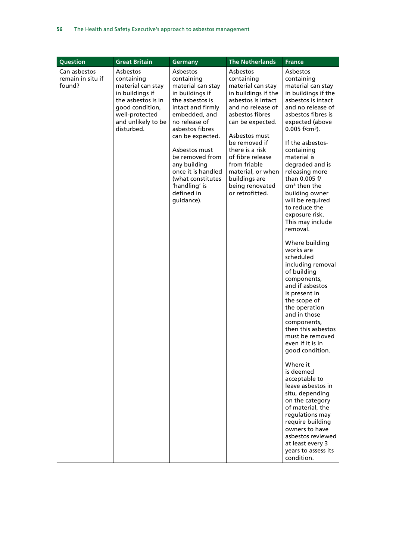| Question                                    | <b>Great Britain</b>                                                                                                                                          | <b>Germany</b>                                                                                                                                                                                                                                                                                                              | <b>The Netherlands</b>                                                                                                                                                                                                                                                                                                    | <b>France</b>                                                                                                                                                                                                                                                                                                                                                                                                                                                                                                                                                                                                                                                                                                                                                                                                                                                                                                                                                               |
|---------------------------------------------|---------------------------------------------------------------------------------------------------------------------------------------------------------------|-----------------------------------------------------------------------------------------------------------------------------------------------------------------------------------------------------------------------------------------------------------------------------------------------------------------------------|---------------------------------------------------------------------------------------------------------------------------------------------------------------------------------------------------------------------------------------------------------------------------------------------------------------------------|-----------------------------------------------------------------------------------------------------------------------------------------------------------------------------------------------------------------------------------------------------------------------------------------------------------------------------------------------------------------------------------------------------------------------------------------------------------------------------------------------------------------------------------------------------------------------------------------------------------------------------------------------------------------------------------------------------------------------------------------------------------------------------------------------------------------------------------------------------------------------------------------------------------------------------------------------------------------------------|
| Can asbestos<br>remain in situ if<br>found? | Asbestos<br>containing<br>material can stay<br>in buildings if<br>the asbestos is in<br>good condition,<br>well-protected<br>and unlikely to be<br>disturbed. | Asbestos<br>containing<br>material can stay<br>in buildings if<br>the asbestos is<br>intact and firmly<br>embedded, and<br>no release of<br>asbestos fibres<br>can be expected.<br>Asbestos must<br>be removed from<br>any building<br>once it is handled<br>(what constitutes<br>'handling' is<br>defined in<br>guidance). | Asbestos<br>containing<br>material can stay<br>in buildings if the<br>asbestos is intact<br>and no release of<br>asbestos fibres<br>can be expected.<br>Asbestos must<br>be removed if<br>there is a risk<br>of fibre release<br>from friable<br>material, or when<br>buildings are<br>being renovated<br>or retrofitted. | Asbestos<br>containing<br>material can stay<br>in buildings if the<br>asbestos is intact<br>and no release of<br>asbestos fibres is<br>expected (above<br>$0.005$ f/cm <sup>3</sup> ).<br>If the asbestos-<br>containing<br>material is<br>degraded and is<br>releasing more<br>than 0.005 f/<br>$cm3$ then the<br>building owner<br>will be required<br>to reduce the<br>exposure risk.<br>This may include<br>removal.<br>Where building<br>works are<br>scheduled<br>including removal<br>of building<br>components,<br>and if asbestos<br>is present in<br>the scope of<br>the operation<br>and in those<br>components,<br>then this asbestos<br>must be removed<br>even if it is in<br>good condition.<br>Where it<br>is deemed<br>acceptable to<br>leave asbestos in<br>situ, depending<br>on the category<br>of material, the<br>regulations may<br>require building<br>owners to have<br>asbestos reviewed<br>at least every 3<br>years to assess its<br>condition. |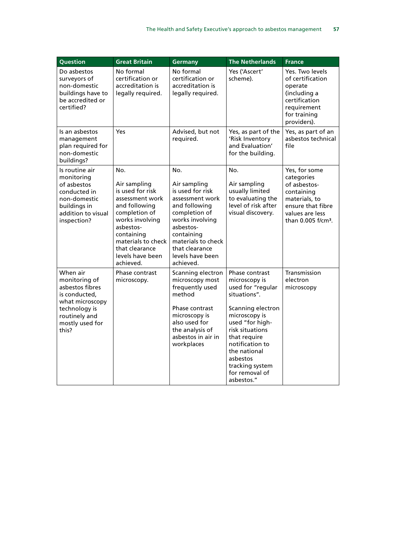| Question                                                                                                                                       | <b>Great Britain</b>                                                                                                                                                                                                | <b>Germany</b>                                                                                                                                                                                                      | <b>The Netherlands</b>                                                                                                                                                                                                                                             | <b>France</b>                                                                                                                                        |
|------------------------------------------------------------------------------------------------------------------------------------------------|---------------------------------------------------------------------------------------------------------------------------------------------------------------------------------------------------------------------|---------------------------------------------------------------------------------------------------------------------------------------------------------------------------------------------------------------------|--------------------------------------------------------------------------------------------------------------------------------------------------------------------------------------------------------------------------------------------------------------------|------------------------------------------------------------------------------------------------------------------------------------------------------|
| Do asbestos<br>surveyors of<br>non-domestic<br>buildings have to<br>be accredited or<br>certified?                                             | No formal<br>certification or<br>accreditation is<br>legally required.                                                                                                                                              | No formal<br>certification or<br>accreditation is<br>legally required.                                                                                                                                              | Yes ('Ascert'<br>scheme).                                                                                                                                                                                                                                          | Yes. Two levels<br>of certification<br>operate<br>(including a<br>certification<br>requirement<br>for training<br>providers).                        |
| Is an asbestos<br>management<br>plan required for<br>non-domestic<br>buildings?                                                                | Yes                                                                                                                                                                                                                 | Advised, but not<br>required.                                                                                                                                                                                       | Yes, as part of the<br>'Risk Inventory<br>and Evaluation'<br>for the building.                                                                                                                                                                                     | Yes, as part of an<br>asbestos technical<br>file                                                                                                     |
| Is routine air<br>monitoring<br>of asbestos<br>conducted in<br>non-domestic<br>buildings in<br>addition to visual<br>inspection?               | No.<br>Air sampling<br>is used for risk<br>assessment work<br>and following<br>completion of<br>works involving<br>asbestos-<br>containing<br>materials to check<br>that clearance<br>levels have been<br>achieved. | No.<br>Air sampling<br>is used for risk<br>assessment work<br>and following<br>completion of<br>works involving<br>asbestos-<br>containing<br>materials to check<br>that clearance<br>levels have been<br>achieved. | No.<br>Air sampling<br>usually limited<br>to evaluating the<br>level of risk after<br>visual discovery.                                                                                                                                                            | Yes, for some<br>categories<br>of asbestos-<br>containing<br>materials, to<br>ensure that fibre<br>values are less<br>than 0.005 f/cm <sup>3</sup> . |
| When air<br>monitoring of<br>asbestos fibres<br>is conducted,<br>what microscopy<br>technology is<br>routinely and<br>mostly used for<br>this? | Phase contrast<br>microscopy.                                                                                                                                                                                       | Scanning electron<br>microscopy most<br>frequently used<br>method<br>Phase contrast<br>microscopy is<br>also used for<br>the analysis of<br>asbestos in air in<br>workplaces                                        | Phase contrast<br>microscopy is<br>used for "regular<br>situations".<br>Scanning electron<br>microscopy is<br>used "for high-<br>risk situations<br>that require<br>notification to<br>the national<br>asbestos<br>tracking system<br>for removal of<br>asbestos." | Transmission<br>electron<br>microscopy                                                                                                               |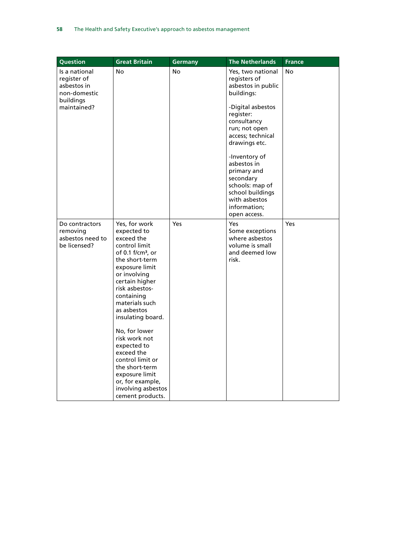| <b>Question</b>                                                | <b>Great Britain</b>                                                                                                                                                                                                                                                                                                                                                                                                                          | <b>Germany</b> | <b>The Netherlands</b>                                                                                                                           | <b>France</b> |
|----------------------------------------------------------------|-----------------------------------------------------------------------------------------------------------------------------------------------------------------------------------------------------------------------------------------------------------------------------------------------------------------------------------------------------------------------------------------------------------------------------------------------|----------------|--------------------------------------------------------------------------------------------------------------------------------------------------|---------------|
| Is a national<br>register of<br>asbestos in<br>non-domestic    | No                                                                                                                                                                                                                                                                                                                                                                                                                                            | <b>No</b>      | Yes, two national<br>registers of<br>asbestos in public<br>buildings:                                                                            | <b>No</b>     |
| buildings<br>maintained?                                       |                                                                                                                                                                                                                                                                                                                                                                                                                                               |                | -Digital asbestos<br>register:<br>consultancy<br>run; not open<br>access; technical<br>drawings etc.                                             |               |
|                                                                |                                                                                                                                                                                                                                                                                                                                                                                                                                               |                | -Inventory of<br>asbestos in<br>primary and<br>secondary<br>schools: map of<br>school buildings<br>with asbestos<br>information;<br>open access. |               |
| Do contractors<br>removing<br>asbestos need to<br>be licensed? | Yes, for work<br>expected to<br>exceed the<br>control limit<br>of 0.1 f/cm <sup>3</sup> , or<br>the short-term<br>exposure limit<br>or involving<br>certain higher<br>risk asbestos-<br>containing<br>materials such<br>as asbestos<br>insulating board.<br>No, for lower<br>risk work not<br>expected to<br>exceed the<br>control limit or<br>the short-term<br>exposure limit<br>or, for example,<br>involving asbestos<br>cement products. | Yes            | Yes<br>Some exceptions<br>where asbestos<br>volume is small<br>and deemed low<br>risk.                                                           | <b>Yes</b>    |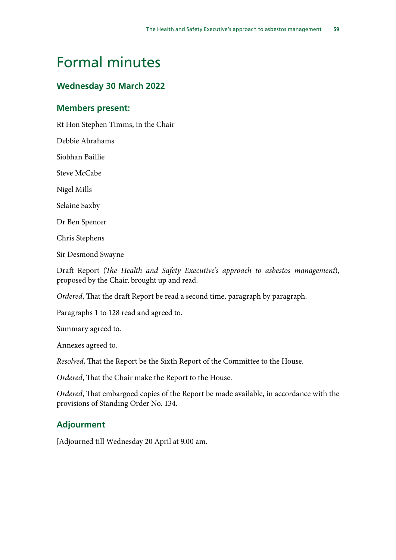# <span id="page-59-0"></span>Formal minutes

## **Wednesday 30 March 2022**

#### **Members present:**

Rt Hon Stephen Timms, in the Chair

Debbie Abrahams

Siobhan Baillie

Steve McCabe

Nigel Mills

Selaine Saxby

Dr Ben Spencer

Chris Stephens

Sir Desmond Swayne

Draft Report (*The Health and Safety Executive's approach to asbestos management*), proposed by the Chair, brought up and read.

*Ordered*, That the draft Report be read a second time, paragraph by paragraph.

Paragraphs 1 to 128 read and agreed to.

Summary agreed to.

Annexes agreed to.

*Resolved*, That the Report be the Sixth Report of the Committee to the House.

*Ordered*, That the Chair make the Report to the House.

*Ordered*, That embargoed copies of the Report be made available, in accordance with the provisions of Standing Order No. 134.

## **Adjourment**

[Adjourned till Wednesday 20 April at 9.00 am.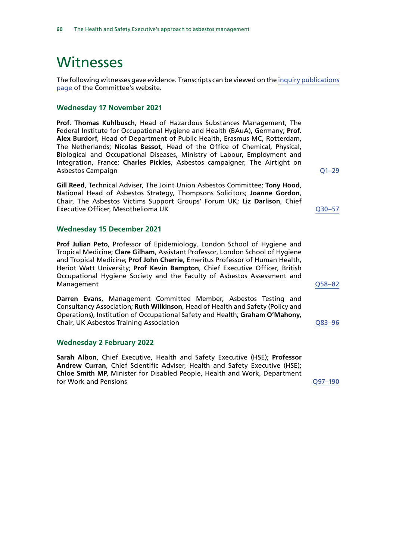# <span id="page-60-0"></span>**Witnesses**

The following witnesses gave evidence. Transcripts can be viewed on the [inquiry publications](https://committees.parliament.uk/work/1393/default/publications/oral-evidence/) [page](https://committees.parliament.uk/work/1393/default/publications/oral-evidence/) of the Committee's website.

#### **Wednesday 17 November 2021**

**Prof. Thomas Kuhlbusch**, Head of Hazardous Substances Management, The Federal Institute for Occupational Hygiene and Health (BAuA), Germany; **Prof. Alex Burdorf**, Head of Department of Public Health, Erasmus MC, Rotterdam, The Netherlands; **Nicolas Bessot**, Head of the Office of Chemical, Physical, Biological and Occupational Diseases, Ministry of Labour, Employment and Integration, France; **Charles Pickles**, Asbestos campaigner, The Airtight on Asbestos Campaign [Q1–29](https://committees.parliament.uk/oralevidence/9776/html/)

**Gill Reed**, Technical Adviser, The Joint Union Asbestos Committee; **Tony Hood**, National Head of Asbestos Strategy, Thompsons Solicitors; **Joanne Gordon**, Chair, The Asbestos Victims Support Groups' Forum UK; **Liz Darlison**, Chief Executive Officer, Mesothelioma UK [Q30–57](https://committees.parliament.uk/oralevidence/9776/html/)

#### **Wednesday 15 December 2021**

**Prof Julian Peto**, Professor of Epidemiology, London School of Hygiene and Tropical Medicine; **Clare Gilham**, Assistant Professor, London School of Hygiene and Tropical Medicine; **Prof John Cherrie**, Emeritus Professor of Human Health, Heriot Watt University; **Prof Kevin Bampton**, Chief Executive Officer, British Occupational Hygiene Society and the Faculty of Asbestos Assessment and Management [Q58–82](https://committees.parliament.uk/oralevidence/3251/html/)

**Darren Evans**, Management Committee Member, Asbestos Testing and Consultancy Association; **Ruth Wilkinson**, Head of Health and Safety (Policy and Operations), Institution of Occupational Safety and Health; **Graham O'Mahony**, Chair, UK Asbestos Training Association [Q83–96](https://committees.parliament.uk/oralevidence/3251/html/)

#### **Wednesday 2 February 2022**

**Sarah Albon**, Chief Executive, Health and Safety Executive (HSE); **Professor Andrew Curran**, Chief Scientific Adviser, Health and Safety Executive (HSE); **Chloe Smith MP**, Minister for Disabled People, Health and Work, Department for Work and Pensions [Q97–190](https://committees.parliament.uk/oralevidence/9780/html/)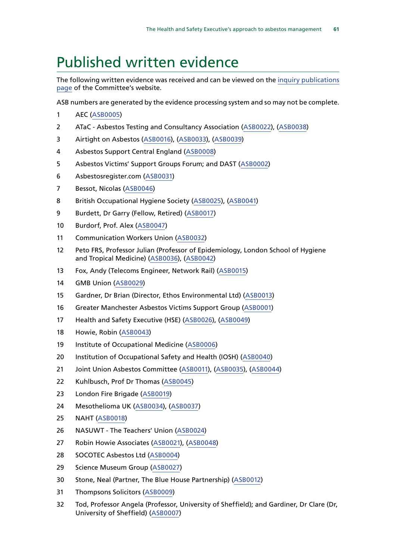# <span id="page-61-0"></span>Published written evidence

The following written evidence was received and can be viewed on the [inquiry publications](https://committees.parliament.uk/work/1393/default/publications/written-evidence/) [page](https://committees.parliament.uk/work/1393/default/publications/written-evidence/) of the Committee's website.

ASB numbers are generated by the evidence processing system and so may not be complete.

- AEC [\(ASB0005](https://committees.parliament.uk/writtenevidence/39082/html/))
- ATaC Asbestos Testing and Consultancy Association ([ASB0022](https://committees.parliament.uk/writtenevidence/39367/html/)), [\(ASB0038\)](https://committees.parliament.uk/writtenevidence/42606/html/)
- Airtight on Asbestos ([ASB0016\)](https://committees.parliament.uk/writtenevidence/39313/html/), ([ASB0033](https://committees.parliament.uk/writtenevidence/40943/html/)), [\(ASB0039](https://committees.parliament.uk/writtenevidence/42883/html/))
- Asbestos Support Central England ([ASB0008](https://committees.parliament.uk/writtenevidence/39164/html/))
- Asbestos Victims' Support Groups Forum; and DAST ([ASB0002](https://committees.parliament.uk/writtenevidence/38821/html/))
- Asbestosregister.com ([ASB0031](https://committees.parliament.uk/writtenevidence/39456/html/))
- Bessot, Nicolas ([ASB0046\)](https://committees.parliament.uk/writtenevidence/106891/html/)
- British Occupational Hygiene Society [\(ASB0025](https://committees.parliament.uk/writtenevidence/39384/html/)), ([ASB0041](https://committees.parliament.uk/writtenevidence/43698/html/))
- Burdett, Dr Garry (Fellow, Retired) ([ASB0017](https://committees.parliament.uk/writtenevidence/39338/html/))
- Burdorf, Prof. Alex ([ASB0047](https://committees.parliament.uk/writtenevidence/106892/html/))
- Communication Workers Union ([ASB0032\)](https://committees.parliament.uk/writtenevidence/39620/html/)
- Peto FRS, Professor Julian (Professor of Epidemiology, London School of Hygiene and Tropical Medicine) ([ASB0036](https://committees.parliament.uk/writtenevidence/41379/html/)), [\(ASB0042](https://committees.parliament.uk/writtenevidence/43699/html/))
- Fox, Andy (Telecoms Engineer, Network Rail) [\(ASB0015\)](https://committees.parliament.uk/writtenevidence/39277/html/)
- GMB Union ([ASB0029\)](https://committees.parliament.uk/writtenevidence/39428/html/)
- Gardner, Dr Brian (Director, Ethos Environmental Ltd) ([ASB0013](https://committees.parliament.uk/writtenevidence/39210/html/))
- Greater Manchester Asbestos Victims Support Group ([ASB0001\)](https://committees.parliament.uk/writtenevidence/38647/html/)
- Health and Safety Executive (HSE) ([ASB0026](https://committees.parliament.uk/writtenevidence/39390/html/)), [\(ASB0049\)](https://committees.parliament.uk/writtenevidence/107349/html/)
- Howie, Robin ([ASB0043](https://committees.parliament.uk/writtenevidence/43700/html/))
- Institute of Occupational Medicine ([ASB0006](https://committees.parliament.uk/writtenevidence/39150/html/))
- Institution of Occupational Safety and Health (IOSH) ([ASB0040\)](https://committees.parliament.uk/writtenevidence/42885/html/)
- Joint Union Asbestos Committee ([ASB0011](https://committees.parliament.uk/writtenevidence/39184/html/)), ([ASB0035](https://committees.parliament.uk/writtenevidence/41225/html/)), [\(ASB0044](https://committees.parliament.uk/writtenevidence/106294/html/))
- Kuhlbusch, Prof Dr Thomas [\(ASB0045\)](https://committees.parliament.uk/writtenevidence/106890/html/)
- London Fire Brigade [\(ASB0019\)](https://committees.parliament.uk/writtenevidence/39360/html/)
- Mesothelioma UK [\(ASB0034\)](https://committees.parliament.uk/writtenevidence/41156/html/), ([ASB0037](https://committees.parliament.uk/writtenevidence/42262/html/))
- NAHT [\(ASB0018\)](https://committees.parliament.uk/writtenevidence/39351/html/)
- NASUWT The Teachers' Union [\(ASB0024](https://committees.parliament.uk/writtenevidence/39382/html/))
- Robin Howie Associates [\(ASB0021\)](https://committees.parliament.uk/writtenevidence/39366/html/), [\(ASB0048](https://committees.parliament.uk/writtenevidence/107219/html/))
- SOCOTEC Asbestos Ltd [\(ASB0004](https://committees.parliament.uk/writtenevidence/39071/html/))
- Science Museum Group [\(ASB0027](https://committees.parliament.uk/writtenevidence/39403/html/))
- Stone, Neal (Partner, The Blue House Partnership) ([ASB0012](https://committees.parliament.uk/writtenevidence/39193/html/))
- Thompsons Solicitors ([ASB0009](https://committees.parliament.uk/writtenevidence/39167/html/))
- Tod, Professor Angela (Professor, University of Sheffield); and Gardiner, Dr Clare (Dr, University of Sheffield) ([ASB0007](https://committees.parliament.uk/writtenevidence/39160/html/))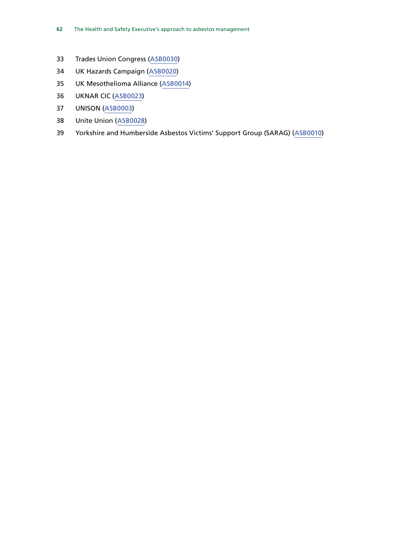- Trades Union Congress ([ASB0030](https://committees.parliament.uk/writtenevidence/39430/html/))
- UK Hazards Campaign ([ASB0020](https://committees.parliament.uk/writtenevidence/39364/html/))
- UK Mesothelioma Alliance [\(ASB0014\)](https://committees.parliament.uk/writtenevidence/39222/html/)
- UKNAR CIC [\(ASB0023\)](https://committees.parliament.uk/writtenevidence/39372/html/)
- UNISON [\(ASB0003\)](https://committees.parliament.uk/writtenevidence/39001/html/)
- Unite Union [\(ASB0028\)](https://committees.parliament.uk/writtenevidence/39419/html/)
- Yorkshire and Humberside Asbestos Victims' Support Group (SARAG) ([ASB0010\)](https://committees.parliament.uk/writtenevidence/39176/html/)